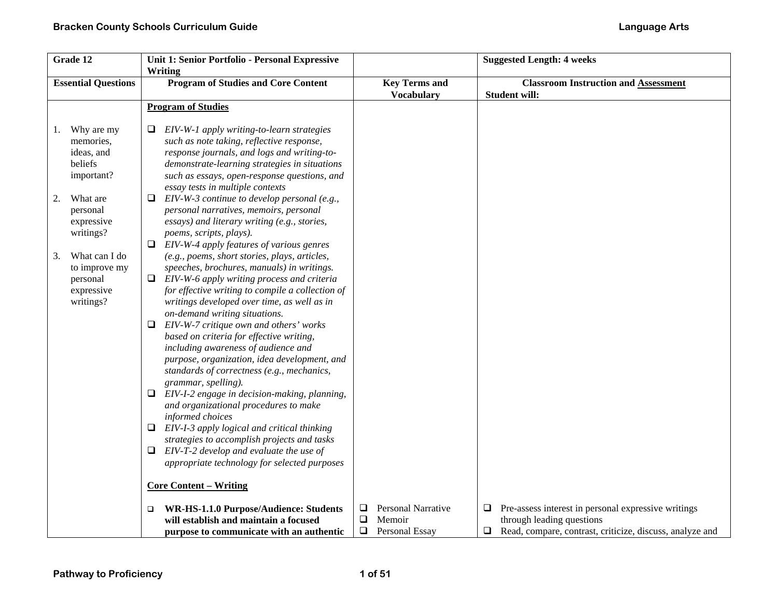| Grade 12                   |                                                                                                                                                                                            | Unit 1: Senior Portfolio - Personal Expressive                                                                                                                                                                                                                                                                                                                                                                                                                                                                                                                                                                                                                                                                                                                                                                                                                                                                                                                                                                                                                                                                                                                                                                                                                                                                                                                                                                                                         |                                         | <b>Suggested Length: 4 weeks</b>                                                                |
|----------------------------|--------------------------------------------------------------------------------------------------------------------------------------------------------------------------------------------|--------------------------------------------------------------------------------------------------------------------------------------------------------------------------------------------------------------------------------------------------------------------------------------------------------------------------------------------------------------------------------------------------------------------------------------------------------------------------------------------------------------------------------------------------------------------------------------------------------------------------------------------------------------------------------------------------------------------------------------------------------------------------------------------------------------------------------------------------------------------------------------------------------------------------------------------------------------------------------------------------------------------------------------------------------------------------------------------------------------------------------------------------------------------------------------------------------------------------------------------------------------------------------------------------------------------------------------------------------------------------------------------------------------------------------------------------------|-----------------------------------------|-------------------------------------------------------------------------------------------------|
|                            |                                                                                                                                                                                            | Writing                                                                                                                                                                                                                                                                                                                                                                                                                                                                                                                                                                                                                                                                                                                                                                                                                                                                                                                                                                                                                                                                                                                                                                                                                                                                                                                                                                                                                                                |                                         |                                                                                                 |
| <b>Essential Questions</b> |                                                                                                                                                                                            | <b>Program of Studies and Core Content</b>                                                                                                                                                                                                                                                                                                                                                                                                                                                                                                                                                                                                                                                                                                                                                                                                                                                                                                                                                                                                                                                                                                                                                                                                                                                                                                                                                                                                             | <b>Key Terms and</b>                    | <b>Classroom Instruction and Assessment</b>                                                     |
|                            |                                                                                                                                                                                            |                                                                                                                                                                                                                                                                                                                                                                                                                                                                                                                                                                                                                                                                                                                                                                                                                                                                                                                                                                                                                                                                                                                                                                                                                                                                                                                                                                                                                                                        | <b>Vocabulary</b>                       | <b>Student will:</b>                                                                            |
|                            |                                                                                                                                                                                            | <b>Program of Studies</b>                                                                                                                                                                                                                                                                                                                                                                                                                                                                                                                                                                                                                                                                                                                                                                                                                                                                                                                                                                                                                                                                                                                                                                                                                                                                                                                                                                                                                              |                                         |                                                                                                 |
| 1.<br>2.<br>3.             | Why are my<br>memories.<br>ideas, and<br>beliefs<br>important?<br>What are<br>personal<br>expressive<br>writings?<br>What can I do<br>to improve my<br>personal<br>expressive<br>writings? | EIV-W-1 apply writing-to-learn strategies<br>such as note taking, reflective response,<br>response journals, and logs and writing-to-<br>demonstrate-learning strategies in situations<br>such as essays, open-response questions, and<br>essay tests in multiple contexts<br>$EIV-W-3$ continue to develop personal (e.g.,<br>⊔<br>personal narratives, memoirs, personal<br>essays) and literary writing (e.g., stories,<br>poems, scripts, plays).<br>$\Box$ EIV-W-4 apply features of various genres<br>(e.g., poems, short stories, plays, articles,<br>speeches, brochures, manuals) in writings.<br>$\Box$ EIV-W-6 apply writing process and criteria<br>for effective writing to compile a collection of<br>writings developed over time, as well as in<br>on-demand writing situations.<br>$\Box$ EIV-W-7 critique own and others' works<br>based on criteria for effective writing,<br>including awareness of audience and<br>purpose, organization, idea development, and<br>standards of correctness (e.g., mechanics,<br>grammar, spelling).<br>EIV-I-2 engage in decision-making, planning,<br>and organizational procedures to make<br>informed choices<br>$\Box$ EIV-I-3 apply logical and critical thinking<br>strategies to accomplish projects and tasks<br>EIV-T-2 develop and evaluate the use of<br>□<br>appropriate technology for selected purposes<br><b>Core Content – Writing</b><br>WR-HS-1.1.0 Purpose/Audience: Students | <b>Personal Narrative</b><br>$\Box$     | $\Box$ Pre-assess interest in personal expressive writings                                      |
|                            |                                                                                                                                                                                            | will establish and maintain a focused<br>purpose to communicate with an authentic                                                                                                                                                                                                                                                                                                                                                                                                                                                                                                                                                                                                                                                                                                                                                                                                                                                                                                                                                                                                                                                                                                                                                                                                                                                                                                                                                                      | ❏<br>Memoir<br>$\Box$<br>Personal Essay | through leading questions<br>Read, compare, contrast, criticize, discuss, analyze and<br>$\Box$ |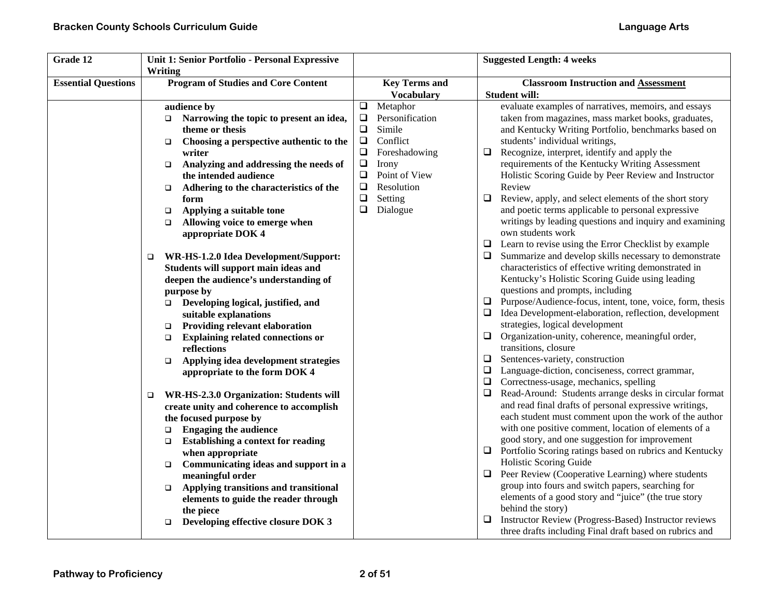| Grade 12                   | Unit 1: Senior Portfolio - Personal Expressive<br>Writing |                                           | <b>Suggested Length: 4 weeks</b>                                    |
|----------------------------|-----------------------------------------------------------|-------------------------------------------|---------------------------------------------------------------------|
| <b>Essential Questions</b> | <b>Program of Studies and Core Content</b>                | <b>Key Terms and</b><br><b>Vocabulary</b> | <b>Classroom Instruction and Assessment</b><br><b>Student will:</b> |
|                            | audience by                                               | $\Box$<br>Metaphor                        | evaluate examples of narratives, memoirs, and essays                |
|                            | Narrowing the topic to present an idea,<br>□              | $\Box$<br>Personification                 | taken from magazines, mass market books, graduates,                 |
|                            | theme or thesis                                           | Simile<br>$\Box$                          | and Kentucky Writing Portfolio, benchmarks based on                 |
|                            | Choosing a perspective authentic to the                   | $\Box$<br>Conflict                        | students' individual writings,                                      |
|                            | $\Box$<br>writer                                          | $\Box$<br>Foreshadowing                   | $\Box$<br>Recognize, interpret, identify and apply the              |
|                            | Analyzing and addressing the needs of<br>$\Box$           | $\Box$<br>Irony                           | requirements of the Kentucky Writing Assessment                     |
|                            | the intended audience                                     | Point of View<br>❏                        | Holistic Scoring Guide by Peer Review and Instructor                |
|                            | Adhering to the characteristics of the                    | Resolution<br>$\Box$                      | Review                                                              |
|                            | $\Box$<br>form                                            | $\Box$<br>Setting                         | $\Box$<br>Review, apply, and select elements of the short story     |
|                            | Applying a suitable tone<br>$\Box$                        | $\Box$<br>Dialogue                        | and poetic terms applicable to personal expressive                  |
|                            | Allowing voice to emerge when<br>$\Box$                   |                                           | writings by leading questions and inquiry and examining             |
|                            | appropriate DOK 4                                         |                                           | own students work                                                   |
|                            |                                                           |                                           | $\Box$ Learn to revise using the Error Checklist by example         |
|                            | WR-HS-1.2.0 Idea Development/Support:<br>□                |                                           | Summarize and develop skills necessary to demonstrate<br>□          |
|                            | Students will support main ideas and                      |                                           | characteristics of effective writing demonstrated in                |
|                            | deepen the audience's understanding of                    |                                           | Kentucky's Holistic Scoring Guide using leading                     |
|                            | purpose by                                                |                                           | questions and prompts, including                                    |
|                            | Developing logical, justified, and                        |                                           | Purpose/Audience-focus, intent, tone, voice, form, thesis<br>$\Box$ |
|                            | suitable explanations                                     |                                           | Idea Development-elaboration, reflection, development               |
|                            | <b>Providing relevant elaboration</b><br>$\Box$           |                                           | strategies, logical development                                     |
|                            | <b>Explaining related connections or</b><br>$\Box$        |                                           | $\Box$<br>Organization-unity, coherence, meaningful order,          |
|                            | reflections                                               |                                           | transitions, closure                                                |
|                            | Applying idea development strategies<br>$\Box$            |                                           | Sentences-variety, construction<br>$\Box$                           |
|                            | appropriate to the form DOK 4                             |                                           | Language-diction, conciseness, correct grammar,<br>□                |
|                            |                                                           |                                           | Correctness-usage, mechanics, spelling<br>$\Box$                    |
|                            | WR-HS-2.3.0 Organization: Students will<br>$\Box$         |                                           | $\Box$<br>Read-Around: Students arrange desks in circular format    |
|                            | create unity and coherence to accomplish                  |                                           | and read final drafts of personal expressive writings,              |
|                            | the focused purpose by                                    |                                           | each student must comment upon the work of the author               |
|                            | <b>Engaging the audience</b><br>$\Box$                    |                                           | with one positive comment, location of elements of a                |
|                            | <b>Establishing a context for reading</b><br>$\Box$       |                                           | good story, and one suggestion for improvement                      |
|                            | when appropriate                                          |                                           | $\Box$ Portfolio Scoring ratings based on rubrics and Kentucky      |
|                            | Communicating ideas and support in a<br>$\Box$            |                                           | Holistic Scoring Guide                                              |
|                            | meaningful order                                          |                                           | Peer Review (Cooperative Learning) where students<br>$\Box$         |
|                            | Applying transitions and transitional<br>$\Box$           |                                           | group into fours and switch papers, searching for                   |
|                            | elements to guide the reader through                      |                                           | elements of a good story and "juice" (the true story                |
|                            | the piece                                                 |                                           | behind the story)                                                   |
|                            | Developing effective closure DOK 3<br>$\Box$              |                                           | Instructor Review (Progress-Based) Instructor reviews<br>❏          |
|                            |                                                           |                                           | three drafts including Final draft based on rubrics and             |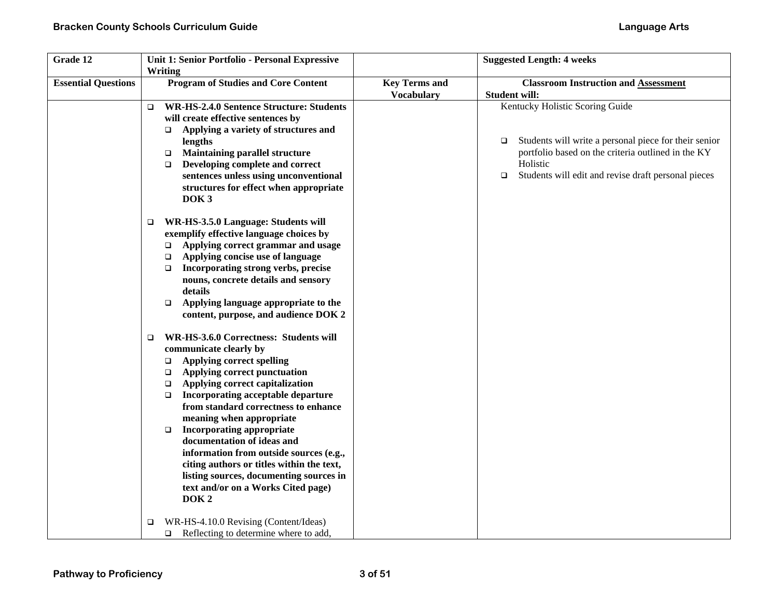| Grade 12                   | Unit 1: Senior Portfolio - Personal Expressive<br>Writing                                                                                                                                                                                                                                                                                                                                                                                                                                                                                                |                                           | <b>Suggested Length: 4 weeks</b>                                                                                                                                                                                                      |
|----------------------------|----------------------------------------------------------------------------------------------------------------------------------------------------------------------------------------------------------------------------------------------------------------------------------------------------------------------------------------------------------------------------------------------------------------------------------------------------------------------------------------------------------------------------------------------------------|-------------------------------------------|---------------------------------------------------------------------------------------------------------------------------------------------------------------------------------------------------------------------------------------|
| <b>Essential Questions</b> | <b>Program of Studies and Core Content</b>                                                                                                                                                                                                                                                                                                                                                                                                                                                                                                               | <b>Key Terms and</b><br><b>Vocabulary</b> | <b>Classroom Instruction and Assessment</b><br><b>Student will:</b>                                                                                                                                                                   |
|                            | <b>WR-HS-2.4.0 Sentence Structure: Students</b><br>$\Box$<br>will create effective sentences by<br>Applying a variety of structures and<br>$\Box$<br>lengths<br><b>Maintaining parallel structure</b><br>$\Box$<br>Developing complete and correct<br>$\Box$<br>sentences unless using unconventional<br>structures for effect when appropriate<br>DOK <sub>3</sub>                                                                                                                                                                                      |                                           | Kentucky Holistic Scoring Guide<br>Students will write a personal piece for their senior<br>$\Box$<br>portfolio based on the criteria outlined in the KY<br>Holistic<br>$\Box$<br>Students will edit and revise draft personal pieces |
|                            | WR-HS-3.5.0 Language: Students will<br>$\Box$<br>exemplify effective language choices by<br>Applying correct grammar and usage<br>$\Box$<br>Applying concise use of language<br>$\Box$<br>Incorporating strong verbs, precise<br>$\Box$<br>nouns, concrete details and sensory<br>details<br>Applying language appropriate to the<br>$\Box$<br>content, purpose, and audience DOK 2<br>WR-HS-3.6.0 Correctness: Students will<br>$\Box$                                                                                                                  |                                           |                                                                                                                                                                                                                                       |
|                            | communicate clearly by<br><b>Applying correct spelling</b><br>$\Box$<br>Applying correct punctuation<br>$\Box$<br>Applying correct capitalization<br>$\Box$<br>Incorporating acceptable departure<br>$\Box$<br>from standard correctness to enhance<br>meaning when appropriate<br><b>Incorporating appropriate</b><br>$\Box$<br>documentation of ideas and<br>information from outside sources (e.g.,<br>citing authors or titles within the text,<br>listing sources, documenting sources in<br>text and/or on a Works Cited page)<br>DOK <sub>2</sub> |                                           |                                                                                                                                                                                                                                       |
|                            | WR-HS-4.10.0 Revising (Content/Ideas)<br>□<br>Reflecting to determine where to add,<br>$\Box$                                                                                                                                                                                                                                                                                                                                                                                                                                                            |                                           |                                                                                                                                                                                                                                       |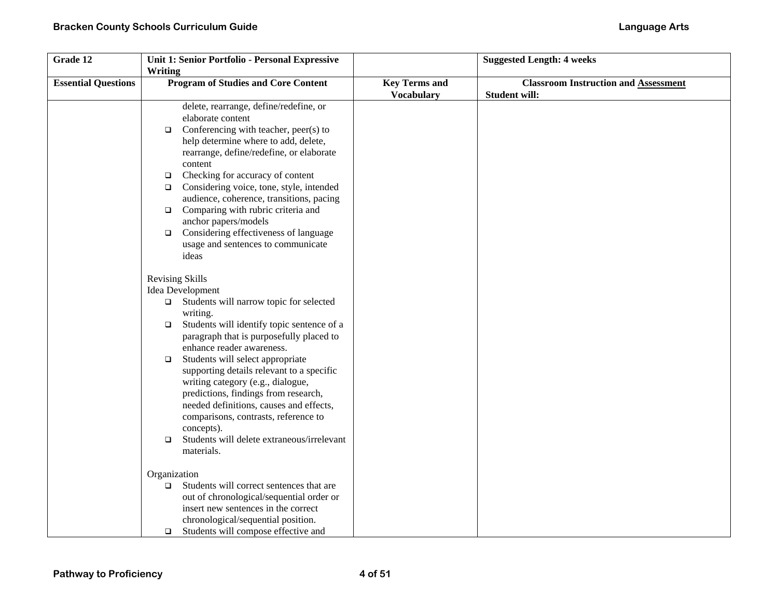| Grade 12                   | Unit 1: Senior Portfolio - Personal Expressive       |                      | <b>Suggested Length: 4 weeks</b>            |
|----------------------------|------------------------------------------------------|----------------------|---------------------------------------------|
|                            | Writing                                              |                      |                                             |
| <b>Essential Questions</b> | <b>Program of Studies and Core Content</b>           | <b>Key Terms and</b> | <b>Classroom Instruction and Assessment</b> |
|                            |                                                      | <b>Vocabulary</b>    | <b>Student will:</b>                        |
|                            | delete, rearrange, define/redefine, or               |                      |                                             |
|                            | elaborate content                                    |                      |                                             |
|                            | Conferencing with teacher, peer(s) to<br>$\Box$      |                      |                                             |
|                            | help determine where to add, delete,                 |                      |                                             |
|                            | rearrange, define/redefine, or elaborate             |                      |                                             |
|                            | content                                              |                      |                                             |
|                            | Checking for accuracy of content<br>$\Box$           |                      |                                             |
|                            | Considering voice, tone, style, intended<br>$\Box$   |                      |                                             |
|                            | audience, coherence, transitions, pacing             |                      |                                             |
|                            | Comparing with rubric criteria and<br>$\Box$         |                      |                                             |
|                            | anchor papers/models                                 |                      |                                             |
|                            | Considering effectiveness of language<br>$\Box$      |                      |                                             |
|                            | usage and sentences to communicate                   |                      |                                             |
|                            | ideas                                                |                      |                                             |
|                            | Revising Skills                                      |                      |                                             |
|                            | Idea Development                                     |                      |                                             |
|                            | Students will narrow topic for selected              |                      |                                             |
|                            | $\Box$<br>writing.                                   |                      |                                             |
|                            | Students will identify topic sentence of a<br>$\Box$ |                      |                                             |
|                            | paragraph that is purposefully placed to             |                      |                                             |
|                            | enhance reader awareness.                            |                      |                                             |
|                            | Students will select appropriate<br>$\Box$           |                      |                                             |
|                            | supporting details relevant to a specific            |                      |                                             |
|                            | writing category (e.g., dialogue,                    |                      |                                             |
|                            | predictions, findings from research,                 |                      |                                             |
|                            | needed definitions, causes and effects,              |                      |                                             |
|                            | comparisons, contrasts, reference to                 |                      |                                             |
|                            | concepts).                                           |                      |                                             |
|                            | Students will delete extraneous/irrelevant<br>$\Box$ |                      |                                             |
|                            | materials.                                           |                      |                                             |
|                            | Organization                                         |                      |                                             |
|                            | Students will correct sentences that are<br>$\Box$   |                      |                                             |
|                            | out of chronological/sequential order or             |                      |                                             |
|                            | insert new sentences in the correct                  |                      |                                             |
|                            | chronological/sequential position.                   |                      |                                             |
|                            | Students will compose effective and<br>$\Box$        |                      |                                             |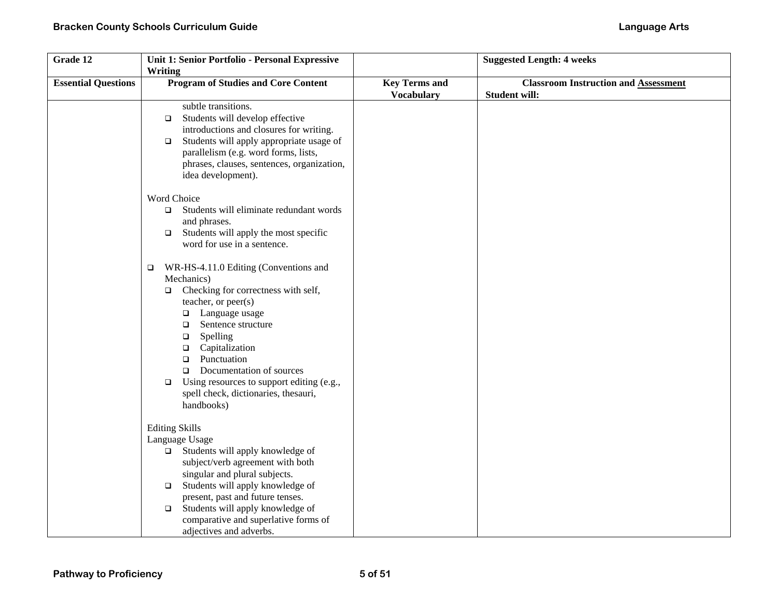| Grade 12                   | Unit 1: Senior Portfolio - Personal Expressive      |                      | <b>Suggested Length: 4 weeks</b>            |
|----------------------------|-----------------------------------------------------|----------------------|---------------------------------------------|
|                            | Writing                                             |                      |                                             |
| <b>Essential Questions</b> | <b>Program of Studies and Core Content</b>          | <b>Key Terms and</b> | <b>Classroom Instruction and Assessment</b> |
|                            |                                                     | <b>Vocabulary</b>    | <b>Student will:</b>                        |
|                            | subtle transitions.                                 |                      |                                             |
|                            | Students will develop effective<br>$\Box$           |                      |                                             |
|                            | introductions and closures for writing.             |                      |                                             |
|                            | Students will apply appropriate usage of<br>$\Box$  |                      |                                             |
|                            | parallelism (e.g. word forms, lists,                |                      |                                             |
|                            | phrases, clauses, sentences, organization,          |                      |                                             |
|                            | idea development).                                  |                      |                                             |
|                            | Word Choice                                         |                      |                                             |
|                            | Students will eliminate redundant words<br>$\Box$   |                      |                                             |
|                            | and phrases.                                        |                      |                                             |
|                            | Students will apply the most specific<br>$\Box$     |                      |                                             |
|                            | word for use in a sentence.                         |                      |                                             |
|                            |                                                     |                      |                                             |
|                            | WR-HS-4.11.0 Editing (Conventions and<br>$\Box$     |                      |                                             |
|                            | Mechanics)                                          |                      |                                             |
|                            | Checking for correctness with self,<br>$\Box$       |                      |                                             |
|                            | teacher, or peer(s)                                 |                      |                                             |
|                            | $\Box$ Language usage<br>Sentence structure<br>□    |                      |                                             |
|                            | Spelling<br>$\Box$                                  |                      |                                             |
|                            | Capitalization<br>$\Box$                            |                      |                                             |
|                            | Punctuation<br>$\Box$                               |                      |                                             |
|                            | Documentation of sources<br>$\Box$                  |                      |                                             |
|                            | Using resources to support editing (e.g.,<br>$\Box$ |                      |                                             |
|                            | spell check, dictionaries, thesauri,                |                      |                                             |
|                            | handbooks)                                          |                      |                                             |
|                            | <b>Editing Skills</b>                               |                      |                                             |
|                            | Language Usage                                      |                      |                                             |
|                            | Students will apply knowledge of<br>$\Box$          |                      |                                             |
|                            | subject/verb agreement with both                    |                      |                                             |
|                            | singular and plural subjects.                       |                      |                                             |
|                            | Students will apply knowledge of<br>$\Box$          |                      |                                             |
|                            | present, past and future tenses.                    |                      |                                             |
|                            | Students will apply knowledge of<br>$\Box$          |                      |                                             |
|                            | comparative and superlative forms of                |                      |                                             |
|                            | adjectives and adverbs.                             |                      |                                             |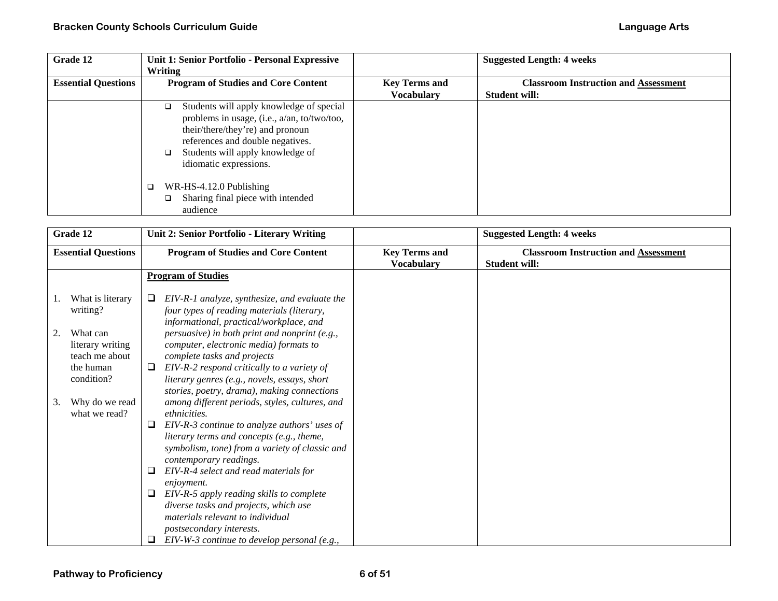| Grade 12                   | Unit 1: Senior Portfolio - Personal Expressive<br>Writing                                                                                                                                                                                                                                                                               |                      | <b>Suggested Length: 4 weeks</b>            |
|----------------------------|-----------------------------------------------------------------------------------------------------------------------------------------------------------------------------------------------------------------------------------------------------------------------------------------------------------------------------------------|----------------------|---------------------------------------------|
| <b>Essential Questions</b> | <b>Program of Studies and Core Content</b>                                                                                                                                                                                                                                                                                              | <b>Key Terms and</b> | <b>Classroom Instruction and Assessment</b> |
|                            |                                                                                                                                                                                                                                                                                                                                         | <b>Vocabulary</b>    | <b>Student will:</b>                        |
|                            | Students will apply knowledge of special<br>□<br>problems in usage, (i.e., a/an, to/two/too,<br>their/there/they're) and pronoun<br>references and double negatives.<br>Students will apply knowledge of<br>◻<br>idiomatic expressions.<br>WR-HS-4.12.0 Publishing<br>$\Box$<br>Sharing final piece with intended<br>$\Box$<br>audience |                      |                                             |

| Grade 12                                             | Unit 2: Senior Portfolio - Literary Writing                                                                                                                                                             |                                           | <b>Suggested Length: 4 weeks</b>                                    |
|------------------------------------------------------|---------------------------------------------------------------------------------------------------------------------------------------------------------------------------------------------------------|-------------------------------------------|---------------------------------------------------------------------|
| <b>Essential Questions</b>                           | <b>Program of Studies and Core Content</b>                                                                                                                                                              | <b>Key Terms and</b><br><b>Vocabulary</b> | <b>Classroom Instruction and Assessment</b><br><b>Student will:</b> |
|                                                      | <b>Program of Studies</b>                                                                                                                                                                               |                                           |                                                                     |
| What is literary<br>writing?                         | EIV-R-1 analyze, synthesize, and evaluate the<br>□<br>four types of reading materials (literary,<br>informational, practical/workplace, and                                                             |                                           |                                                                     |
| What can<br>2.<br>literary writing<br>teach me about | persuasive) in both print and nonprint (e.g.,<br>computer, electronic media) formats to<br>complete tasks and projects                                                                                  |                                           |                                                                     |
| the human<br>condition?                              | EIV-R-2 respond critically to a variety of<br>⊔<br>literary genres (e.g., novels, essays, short<br>stories, poetry, drama), making connections                                                          |                                           |                                                                     |
| Why do we read<br>3.<br>what we read?                | among different periods, styles, cultures, and<br>ethnicities.                                                                                                                                          |                                           |                                                                     |
|                                                      | EIV-R-3 continue to analyze authors' uses of<br>⊔<br>literary terms and concepts (e.g., theme,<br>symbolism, tone) from a variety of classic and<br>contemporary readings.                              |                                           |                                                                     |
|                                                      | EIV-R-4 select and read materials for<br>⊔<br><i>enjoyment.</i>                                                                                                                                         |                                           |                                                                     |
|                                                      | EIV-R-5 apply reading skills to complete<br>□<br>diverse tasks and projects, which use<br>materials relevant to individual<br>postsecondary interests.<br>$EIV-W-3$ continue to develop personal (e.g., |                                           |                                                                     |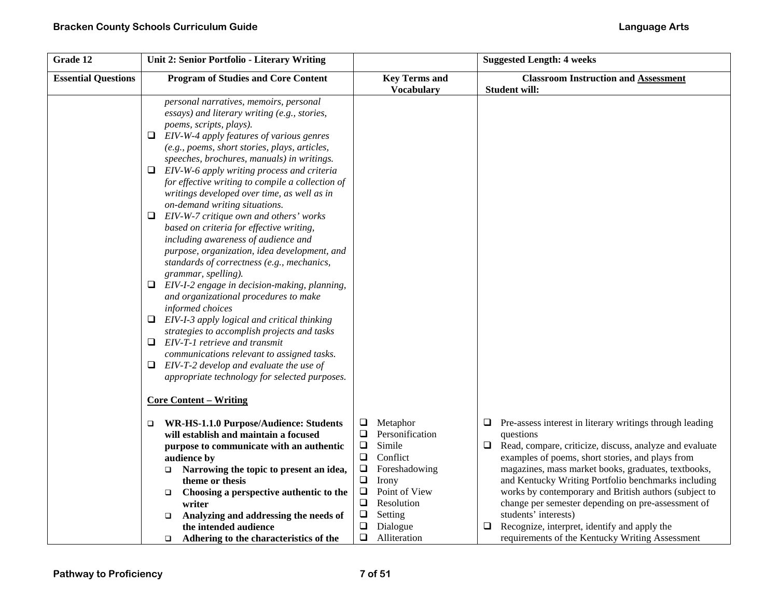| Grade 12                   | Unit 2: Senior Portfolio - Literary Writing                                                                                                                                                                                                                                                                                                                                                                                                                                                                                                                                                                                                                                                                                                                                                                                                                                                                                                                                                                                                                                                                                                                |                                                                                                                                                                                 | <b>Suggested Length: 4 weeks</b>                                                                                                                                                                                                                                                                                                                                                        |
|----------------------------|------------------------------------------------------------------------------------------------------------------------------------------------------------------------------------------------------------------------------------------------------------------------------------------------------------------------------------------------------------------------------------------------------------------------------------------------------------------------------------------------------------------------------------------------------------------------------------------------------------------------------------------------------------------------------------------------------------------------------------------------------------------------------------------------------------------------------------------------------------------------------------------------------------------------------------------------------------------------------------------------------------------------------------------------------------------------------------------------------------------------------------------------------------|---------------------------------------------------------------------------------------------------------------------------------------------------------------------------------|-----------------------------------------------------------------------------------------------------------------------------------------------------------------------------------------------------------------------------------------------------------------------------------------------------------------------------------------------------------------------------------------|
| <b>Essential Questions</b> | <b>Program of Studies and Core Content</b>                                                                                                                                                                                                                                                                                                                                                                                                                                                                                                                                                                                                                                                                                                                                                                                                                                                                                                                                                                                                                                                                                                                 | <b>Key Terms and</b><br><b>Vocabulary</b>                                                                                                                                       | <b>Classroom Instruction and Assessment</b><br><b>Student will:</b>                                                                                                                                                                                                                                                                                                                     |
|                            | personal narratives, memoirs, personal<br>essays) and literary writing (e.g., stories,<br>poems, scripts, plays).<br>EIV-W-4 apply features of various genres<br>⊔<br>(e.g., poems, short stories, plays, articles,<br>speeches, brochures, manuals) in writings.<br>EIV-W-6 apply writing process and criteria<br>□<br>for effective writing to compile a collection of<br>writings developed over time, as well as in<br>on-demand writing situations.<br>EIV-W-7 critique own and others' works<br>□<br>based on criteria for effective writing,<br>including awareness of audience and<br>purpose, organization, idea development, and<br>standards of correctness (e.g., mechanics,<br>grammar, spelling).<br>□<br>EIV-I-2 engage in decision-making, planning,<br>and organizational procedures to make<br>informed choices<br>EIV-I-3 apply logical and critical thinking<br>⊔<br>strategies to accomplish projects and tasks<br>EIV-T-1 retrieve and transmit<br>□<br>communications relevant to assigned tasks.<br>EIV-T-2 develop and evaluate the use of<br>⊔<br>appropriate technology for selected purposes.<br><b>Core Content - Writing</b> |                                                                                                                                                                                 |                                                                                                                                                                                                                                                                                                                                                                                         |
|                            | WR-HS-1.1.0 Purpose/Audience: Students<br>□                                                                                                                                                                                                                                                                                                                                                                                                                                                                                                                                                                                                                                                                                                                                                                                                                                                                                                                                                                                                                                                                                                                | ❏<br>Metaphor                                                                                                                                                                   | Pre-assess interest in literary writings through leading<br>⊔                                                                                                                                                                                                                                                                                                                           |
|                            | will establish and maintain a focused<br>purpose to communicate with an authentic<br>audience by<br>Narrowing the topic to present an idea,<br>□<br>theme or thesis<br>Choosing a perspective authentic to the<br>$\Box$<br>writer<br>Analyzing and addressing the needs of<br>❏                                                                                                                                                                                                                                                                                                                                                                                                                                                                                                                                                                                                                                                                                                                                                                                                                                                                           | Personification<br>Q<br>Simile<br>$\Box$<br>$\Box$<br>Conflict<br>$\Box$<br>Foreshadowing<br>❏<br>Irony<br>$\Box$<br>Point of View<br>$\Box$<br>Resolution<br>$\Box$<br>Setting | questions<br>Read, compare, criticize, discuss, analyze and evaluate<br>$\Box$<br>examples of poems, short stories, and plays from<br>magazines, mass market books, graduates, textbooks,<br>and Kentucky Writing Portfolio benchmarks including<br>works by contemporary and British authors (subject to<br>change per semester depending on pre-assessment of<br>students' interests) |
|                            | the intended audience<br>Adhering to the characteristics of the<br>$\Box$                                                                                                                                                                                                                                                                                                                                                                                                                                                                                                                                                                                                                                                                                                                                                                                                                                                                                                                                                                                                                                                                                  | ❏<br>Dialogue<br>$\Box$<br>Alliteration                                                                                                                                         | Recognize, interpret, identify and apply the<br>requirements of the Kentucky Writing Assessment                                                                                                                                                                                                                                                                                         |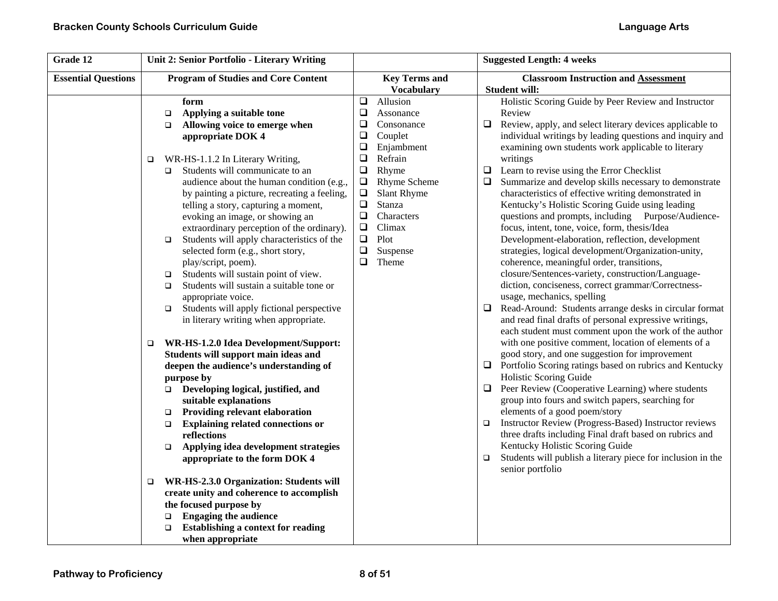| Grade 12                   | Unit 2: Senior Portfolio - Literary Writing                                                                                                                                                                                                                                                                                                                                                                                                                                                                                                                                                                                                                                                                                                                                                                                                                                                                                                                                                                                                                                                                                                                                                                                                                                                                                                                                     |                                                                                                                                                                                                                                                                                                                                                              | <b>Suggested Length: 4 weeks</b>                                                                                                                                                                                                                                                                                                                                                                                                                                                                                                                                                                                                                                                                                                                                                                                                                                                                                                                                                                                                                                                                                                                                                                                                                                                                                                                                                                                                                                                                                                                                                                                                                                                                                                                    |
|----------------------------|---------------------------------------------------------------------------------------------------------------------------------------------------------------------------------------------------------------------------------------------------------------------------------------------------------------------------------------------------------------------------------------------------------------------------------------------------------------------------------------------------------------------------------------------------------------------------------------------------------------------------------------------------------------------------------------------------------------------------------------------------------------------------------------------------------------------------------------------------------------------------------------------------------------------------------------------------------------------------------------------------------------------------------------------------------------------------------------------------------------------------------------------------------------------------------------------------------------------------------------------------------------------------------------------------------------------------------------------------------------------------------|--------------------------------------------------------------------------------------------------------------------------------------------------------------------------------------------------------------------------------------------------------------------------------------------------------------------------------------------------------------|-----------------------------------------------------------------------------------------------------------------------------------------------------------------------------------------------------------------------------------------------------------------------------------------------------------------------------------------------------------------------------------------------------------------------------------------------------------------------------------------------------------------------------------------------------------------------------------------------------------------------------------------------------------------------------------------------------------------------------------------------------------------------------------------------------------------------------------------------------------------------------------------------------------------------------------------------------------------------------------------------------------------------------------------------------------------------------------------------------------------------------------------------------------------------------------------------------------------------------------------------------------------------------------------------------------------------------------------------------------------------------------------------------------------------------------------------------------------------------------------------------------------------------------------------------------------------------------------------------------------------------------------------------------------------------------------------------------------------------------------------------|
| <b>Essential Questions</b> | <b>Program of Studies and Core Content</b>                                                                                                                                                                                                                                                                                                                                                                                                                                                                                                                                                                                                                                                                                                                                                                                                                                                                                                                                                                                                                                                                                                                                                                                                                                                                                                                                      | <b>Key Terms and</b>                                                                                                                                                                                                                                                                                                                                         | <b>Classroom Instruction and Assessment</b>                                                                                                                                                                                                                                                                                                                                                                                                                                                                                                                                                                                                                                                                                                                                                                                                                                                                                                                                                                                                                                                                                                                                                                                                                                                                                                                                                                                                                                                                                                                                                                                                                                                                                                         |
|                            | form<br>Applying a suitable tone<br>$\Box$<br>Allowing voice to emerge when<br>$\Box$<br>appropriate DOK 4<br>WR-HS-1.1.2 In Literary Writing,<br>$\Box$<br>Students will communicate to an<br>$\Box$<br>audience about the human condition (e.g.,<br>by painting a picture, recreating a feeling,<br>telling a story, capturing a moment,<br>evoking an image, or showing an<br>extraordinary perception of the ordinary).<br>Students will apply characteristics of the<br>$\Box$<br>selected form (e.g., short story,<br>play/script, poem).<br>Students will sustain point of view.<br>$\Box$<br>Students will sustain a suitable tone or<br>$\Box$<br>appropriate voice.<br>Students will apply fictional perspective<br>$\Box$<br>in literary writing when appropriate.<br>WR-HS-1.2.0 Idea Development/Support:<br>$\Box$<br>Students will support main ideas and<br>deepen the audience's understanding of<br>purpose by<br>$\Box$ Developing logical, justified, and<br>suitable explanations<br>Providing relevant elaboration<br>$\Box$<br><b>Explaining related connections or</b><br>$\Box$<br>reflections<br>Applying idea development strategies<br>$\Box$<br>appropriate to the form DOK 4<br>WR-HS-2.3.0 Organization: Students will<br>$\Box$<br>create unity and coherence to accomplish<br>the focused purpose by<br><b>Engaging the audience</b><br>$\Box$ | <b>Vocabulary</b><br>$\Box$<br>Allusion<br>$\square$<br>Assonance<br>$\Box$<br>Consonance<br>$\Box$<br>Couplet<br>$\Box$<br>Enjambment<br>$\Box$<br>Refrain<br>Rhyme<br>$\Box$<br>$\Box$<br>Rhyme Scheme<br>Slant Rhyme<br>$\Box$<br>$\Box$<br>Stanza<br>Characters<br>$\Box$<br>$\Box$<br>Climax<br>$\Box$<br>Plot<br>$\Box$<br>Suspense<br>$\Box$<br>Theme | Student will:<br>Holistic Scoring Guide by Peer Review and Instructor<br>Review<br>$\Box$<br>Review, apply, and select literary devices applicable to<br>individual writings by leading questions and inquiry and<br>examining own students work applicable to literary<br>writings<br>Learn to revise using the Error Checklist<br>$\Box$<br>$\Box$<br>Summarize and develop skills necessary to demonstrate<br>characteristics of effective writing demonstrated in<br>Kentucky's Holistic Scoring Guide using leading<br>questions and prompts, including Purpose/Audience-<br>focus, intent, tone, voice, form, thesis/Idea<br>Development-elaboration, reflection, development<br>strategies, logical development/Organization-unity,<br>coherence, meaningful order, transitions,<br>closure/Sentences-variety, construction/Language-<br>diction, conciseness, correct grammar/Correctness-<br>usage, mechanics, spelling<br>Read-Around: Students arrange desks in circular format<br>$\Box$<br>and read final drafts of personal expressive writings,<br>each student must comment upon the work of the author<br>with one positive comment, location of elements of a<br>good story, and one suggestion for improvement<br>Portfolio Scoring ratings based on rubrics and Kentucky<br>$\Box$<br>Holistic Scoring Guide<br>Peer Review (Cooperative Learning) where students<br>$\Box$<br>group into fours and switch papers, searching for<br>elements of a good poem/story<br>Instructor Review (Progress-Based) Instructor reviews<br>$\Box$<br>three drafts including Final draft based on rubrics and<br>Kentucky Holistic Scoring Guide<br>Students will publish a literary piece for inclusion in the<br>$\Box$<br>senior portfolio |
|                            | Establishing a context for reading<br>when appropriate                                                                                                                                                                                                                                                                                                                                                                                                                                                                                                                                                                                                                                                                                                                                                                                                                                                                                                                                                                                                                                                                                                                                                                                                                                                                                                                          |                                                                                                                                                                                                                                                                                                                                                              |                                                                                                                                                                                                                                                                                                                                                                                                                                                                                                                                                                                                                                                                                                                                                                                                                                                                                                                                                                                                                                                                                                                                                                                                                                                                                                                                                                                                                                                                                                                                                                                                                                                                                                                                                     |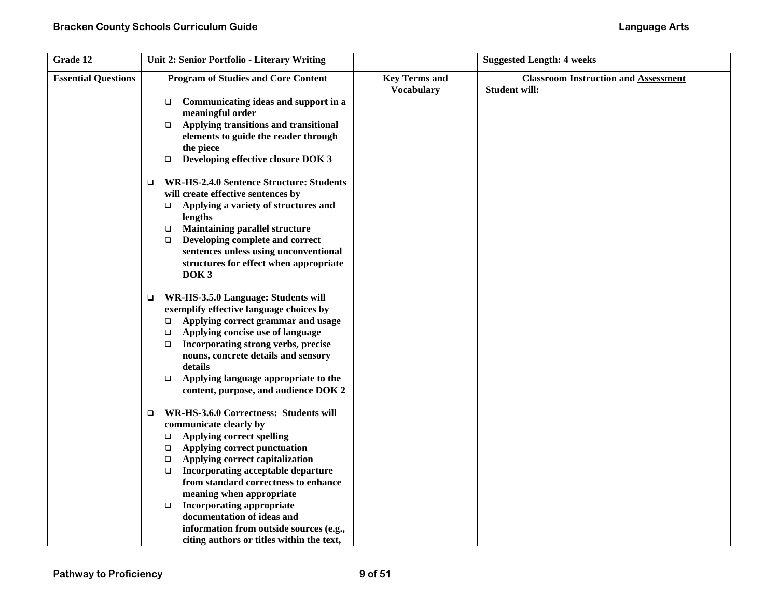| Grade 12                   | Unit 2: Senior Portfolio - Literary Writing                                                                                                                                                                                                                                                                                                                                                                                                                                                             |                                           | <b>Suggested Length: 4 weeks</b>                                    |
|----------------------------|---------------------------------------------------------------------------------------------------------------------------------------------------------------------------------------------------------------------------------------------------------------------------------------------------------------------------------------------------------------------------------------------------------------------------------------------------------------------------------------------------------|-------------------------------------------|---------------------------------------------------------------------|
| <b>Essential Questions</b> | <b>Program of Studies and Core Content</b>                                                                                                                                                                                                                                                                                                                                                                                                                                                              | <b>Key Terms and</b><br><b>Vocabulary</b> | <b>Classroom Instruction and Assessment</b><br><b>Student will:</b> |
|                            | Communicating ideas and support in a<br>$\Box$<br>meaningful order<br>Applying transitions and transitional<br>$\Box$<br>elements to guide the reader through<br>the piece<br>Developing effective closure DOK 3<br>$\Box$                                                                                                                                                                                                                                                                              |                                           |                                                                     |
|                            | <b>WR-HS-2.4.0 Sentence Structure: Students</b><br>$\Box$<br>will create effective sentences by<br>Applying a variety of structures and<br>$\Box$<br>lengths<br><b>Maintaining parallel structure</b><br>$\Box$<br>Developing complete and correct<br>$\Box$<br>sentences unless using unconventional<br>structures for effect when appropriate<br>DOK <sub>3</sub>                                                                                                                                     |                                           |                                                                     |
|                            | WR-HS-3.5.0 Language: Students will<br>$\Box$<br>exemplify effective language choices by<br>Applying correct grammar and usage<br>$\Box$<br>Applying concise use of language<br>$\Box$<br>Incorporating strong verbs, precise<br>$\Box$<br>nouns, concrete details and sensory<br>details<br>Applying language appropriate to the<br>$\Box$<br>content, purpose, and audience DOK 2                                                                                                                     |                                           |                                                                     |
|                            | WR-HS-3.6.0 Correctness: Students will<br>$\Box$<br>communicate clearly by<br><b>Applying correct spelling</b><br>$\Box$<br>Applying correct punctuation<br>$\Box$<br>Applying correct capitalization<br>$\Box$<br>Incorporating acceptable departure<br>$\Box$<br>from standard correctness to enhance<br>meaning when appropriate<br><b>Incorporating appropriate</b><br>$\Box$<br>documentation of ideas and<br>information from outside sources (e.g.,<br>citing authors or titles within the text, |                                           |                                                                     |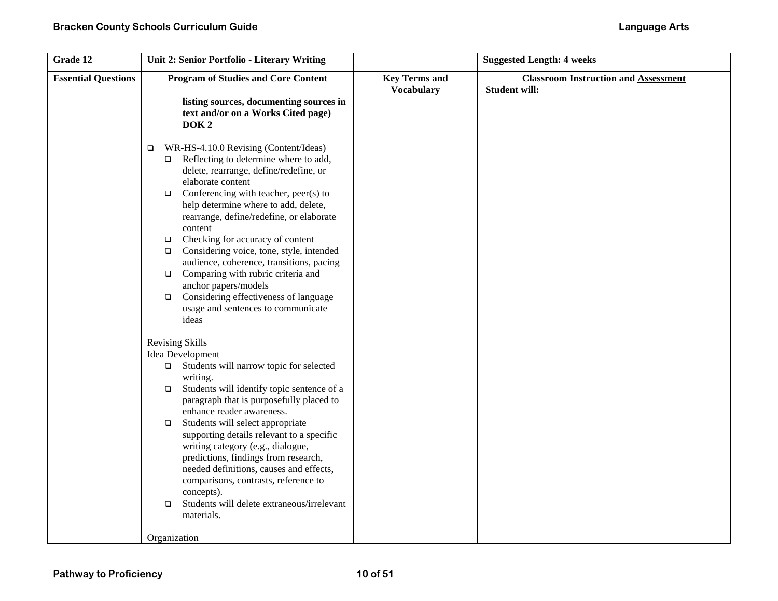| Grade 12                   | Unit 2: Senior Portfolio - Literary Writing                                                                                                                                                                                                                                                                                                                                                                                                                                                                                                                                                                                                   |                                           | <b>Suggested Length: 4 weeks</b>                                    |
|----------------------------|-----------------------------------------------------------------------------------------------------------------------------------------------------------------------------------------------------------------------------------------------------------------------------------------------------------------------------------------------------------------------------------------------------------------------------------------------------------------------------------------------------------------------------------------------------------------------------------------------------------------------------------------------|-------------------------------------------|---------------------------------------------------------------------|
| <b>Essential Questions</b> | <b>Program of Studies and Core Content</b>                                                                                                                                                                                                                                                                                                                                                                                                                                                                                                                                                                                                    | <b>Key Terms and</b><br><b>Vocabulary</b> | <b>Classroom Instruction and Assessment</b><br><b>Student will:</b> |
|                            | listing sources, documenting sources in<br>text and/or on a Works Cited page)<br>DOK <sub>2</sub>                                                                                                                                                                                                                                                                                                                                                                                                                                                                                                                                             |                                           |                                                                     |
|                            | WR-HS-4.10.0 Revising (Content/Ideas)<br>$\Box$<br>Reflecting to determine where to add,<br>$\Box$<br>delete, rearrange, define/redefine, or<br>elaborate content<br>Conferencing with teacher, peer(s) to<br>$\Box$<br>help determine where to add, delete,<br>rearrange, define/redefine, or elaborate<br>content<br>Checking for accuracy of content<br>$\Box$<br>Considering voice, tone, style, intended<br>$\Box$<br>audience, coherence, transitions, pacing<br>Comparing with rubric criteria and<br>$\Box$<br>anchor papers/models<br>Considering effectiveness of language<br>$\Box$<br>usage and sentences to communicate<br>ideas |                                           |                                                                     |
|                            | <b>Revising Skills</b><br>Idea Development<br>Students will narrow topic for selected<br>$\Box$<br>writing.<br>Students will identify topic sentence of a<br>$\Box$<br>paragraph that is purposefully placed to<br>enhance reader awareness.<br>Students will select appropriate<br>$\Box$<br>supporting details relevant to a specific<br>writing category (e.g., dialogue,<br>predictions, findings from research,<br>needed definitions, causes and effects,<br>comparisons, contrasts, reference to<br>concepts).<br>Students will delete extraneous/irrelevant<br>$\Box$<br>materials.<br>Organization                                   |                                           |                                                                     |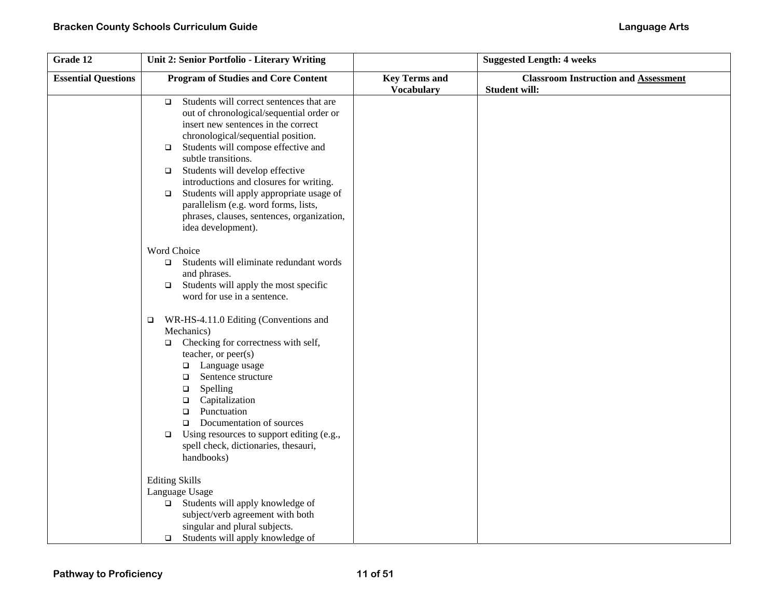| Grade 12                   | Unit 2: Senior Portfolio - Literary Writing                                                                                                                                                                                                                                                                                                                                                                                                                                                                   |                                           | <b>Suggested Length: 4 weeks</b>                                    |
|----------------------------|---------------------------------------------------------------------------------------------------------------------------------------------------------------------------------------------------------------------------------------------------------------------------------------------------------------------------------------------------------------------------------------------------------------------------------------------------------------------------------------------------------------|-------------------------------------------|---------------------------------------------------------------------|
| <b>Essential Questions</b> | <b>Program of Studies and Core Content</b>                                                                                                                                                                                                                                                                                                                                                                                                                                                                    | <b>Key Terms and</b><br><b>Vocabulary</b> | <b>Classroom Instruction and Assessment</b><br><b>Student will:</b> |
|                            | Students will correct sentences that are<br>$\Box$<br>out of chronological/sequential order or<br>insert new sentences in the correct<br>chronological/sequential position.<br>Students will compose effective and<br>$\Box$<br>subtle transitions.<br>Students will develop effective<br>$\Box$<br>introductions and closures for writing.<br>Students will apply appropriate usage of<br>$\Box$<br>parallelism (e.g. word forms, lists,<br>phrases, clauses, sentences, organization,<br>idea development). |                                           |                                                                     |
|                            | Word Choice<br>Students will eliminate redundant words<br>$\Box$<br>and phrases.<br>Students will apply the most specific<br>$\Box$<br>word for use in a sentence.                                                                                                                                                                                                                                                                                                                                            |                                           |                                                                     |
|                            | WR-HS-4.11.0 Editing (Conventions and<br>$\Box$<br>Mechanics)<br>Checking for correctness with self,<br>$\Box$<br>teacher, or peer(s)<br>$\Box$ Language usage<br>Sentence structure<br>$\Box$<br>Spelling<br>$\Box$<br>Capitalization<br>$\Box$<br>Punctuation<br>$\Box$<br>Documentation of sources<br>$\Box$<br>Using resources to support editing (e.g.,<br>$\Box$<br>spell check, dictionaries, thesauri,<br>handbooks)                                                                                  |                                           |                                                                     |
|                            | <b>Editing Skills</b><br>Language Usage<br>Students will apply knowledge of<br>$\Box$<br>subject/verb agreement with both<br>singular and plural subjects.<br>Students will apply knowledge of<br>$\Box$                                                                                                                                                                                                                                                                                                      |                                           |                                                                     |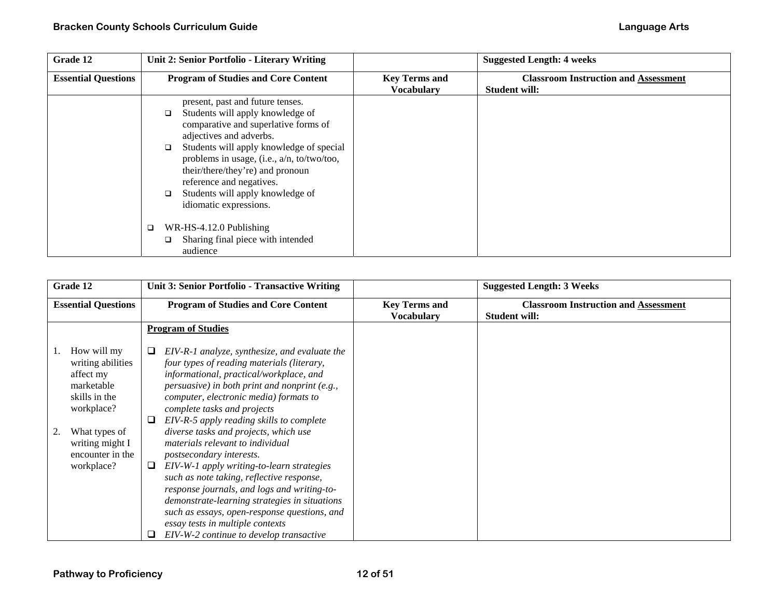| Grade 12                   | Unit 2: Senior Portfolio - Literary Writing                                                                                                                                                                                                                                                                                                                                                   |                                           | <b>Suggested Length: 4 weeks</b>                                    |
|----------------------------|-----------------------------------------------------------------------------------------------------------------------------------------------------------------------------------------------------------------------------------------------------------------------------------------------------------------------------------------------------------------------------------------------|-------------------------------------------|---------------------------------------------------------------------|
| <b>Essential Questions</b> | <b>Program of Studies and Core Content</b>                                                                                                                                                                                                                                                                                                                                                    | <b>Key Terms and</b><br><b>Vocabulary</b> | <b>Classroom Instruction and Assessment</b><br><b>Student will:</b> |
|                            | present, past and future tenses.<br>Students will apply knowledge of<br>$\Box$<br>comparative and superlative forms of<br>adjectives and adverbs.<br>Students will apply knowledge of special<br>$\Box$<br>problems in usage, (i.e., a/n, to/two/too,<br>their/there/they're) and pronoun<br>reference and negatives.<br>Students will apply knowledge of<br>$\Box$<br>idiomatic expressions. |                                           |                                                                     |
|                            | WR-HS-4.12.0 Publishing<br>$\Box$<br>Sharing final piece with intended<br>$\Box$<br>audience                                                                                                                                                                                                                                                                                                  |                                           |                                                                     |

| Grade 12                                                                                                                                                         | Unit 3: Senior Portfolio - Transactive Writing                                                                                                                                                                                                                                                                                                                                                                                                                                                                                                                                                                                                                                                                                                           |                                           | <b>Suggested Length: 3 Weeks</b>                                    |
|------------------------------------------------------------------------------------------------------------------------------------------------------------------|----------------------------------------------------------------------------------------------------------------------------------------------------------------------------------------------------------------------------------------------------------------------------------------------------------------------------------------------------------------------------------------------------------------------------------------------------------------------------------------------------------------------------------------------------------------------------------------------------------------------------------------------------------------------------------------------------------------------------------------------------------|-------------------------------------------|---------------------------------------------------------------------|
| <b>Essential Questions</b>                                                                                                                                       | <b>Program of Studies and Core Content</b>                                                                                                                                                                                                                                                                                                                                                                                                                                                                                                                                                                                                                                                                                                               | <b>Key Terms and</b><br><b>Vocabulary</b> | <b>Classroom Instruction and Assessment</b><br><b>Student will:</b> |
|                                                                                                                                                                  | <b>Program of Studies</b>                                                                                                                                                                                                                                                                                                                                                                                                                                                                                                                                                                                                                                                                                                                                |                                           |                                                                     |
| How will my<br>writing abilities<br>affect my<br>marketable<br>skills in the<br>workplace?<br>What types of<br>writing might I<br>encounter in the<br>workplace? | EIV-R-1 analyze, synthesize, and evaluate the<br>four types of reading materials (literary,<br>informational, practical/workplace, and<br>persuasive) in both print and nonprint (e.g.,<br>computer, electronic media) formats to<br>complete tasks and projects<br>EIV-R-5 apply reading skills to complete<br>⊔<br>diverse tasks and projects, which use<br>materials relevant to individual<br>postsecondary interests.<br>EIV-W-1 apply writing-to-learn strategies<br>⊔<br>such as note taking, reflective response,<br>response journals, and logs and writing-to-<br>demonstrate-learning strategies in situations<br>such as essays, open-response questions, and<br>essay tests in multiple contexts<br>EIV-W-2 continue to develop transactive |                                           |                                                                     |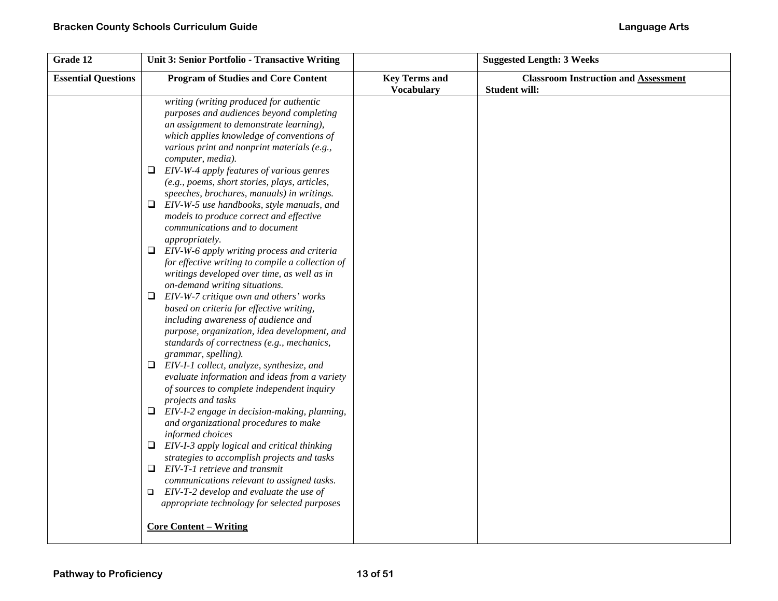| Grade 12                   | Unit 3: Senior Portfolio - Transactive Writing                                                                                                                                                                                                        |                                           | <b>Suggested Length: 3 Weeks</b>                                    |
|----------------------------|-------------------------------------------------------------------------------------------------------------------------------------------------------------------------------------------------------------------------------------------------------|-------------------------------------------|---------------------------------------------------------------------|
| <b>Essential Questions</b> | <b>Program of Studies and Core Content</b>                                                                                                                                                                                                            | <b>Key Terms and</b><br><b>Vocabulary</b> | <b>Classroom Instruction and Assessment</b><br><b>Student will:</b> |
|                            | writing (writing produced for authentic<br>purposes and audiences beyond completing<br>an assignment to demonstrate learning),<br>which applies knowledge of conventions of<br>various print and nonprint materials (e.g.,<br>computer, media).       |                                           |                                                                     |
|                            | $\Box$ EIV-W-4 apply features of various genres<br>(e.g., poems, short stories, plays, articles,<br>speeches, brochures, manuals) in writings.                                                                                                        |                                           |                                                                     |
|                            | EIV-W-5 use handbooks, style manuals, and<br>Q.<br>models to produce correct and effective<br>communications and to document<br>appropriately.                                                                                                        |                                           |                                                                     |
|                            | $\Box$ EIV-W-6 apply writing process and criteria<br>for effective writing to compile a collection of<br>writings developed over time, as well as in<br>on-demand writing situations.                                                                 |                                           |                                                                     |
|                            | $\Box$ EIV-W-7 critique own and others' works<br>based on criteria for effective writing,<br>including awareness of audience and<br>purpose, organization, idea development, and<br>standards of correctness (e.g., mechanics,<br>grammar, spelling). |                                           |                                                                     |
|                            | $\Box$ EIV-I-1 collect, analyze, synthesize, and<br>evaluate information and ideas from a variety<br>of sources to complete independent inquiry<br>projects and tasks                                                                                 |                                           |                                                                     |
|                            | EIV-I-2 engage in decision-making, planning,<br>⊔<br>and organizational procedures to make<br>informed choices                                                                                                                                        |                                           |                                                                     |
|                            | $\Box$ EIV-I-3 apply logical and critical thinking<br>strategies to accomplish projects and tasks                                                                                                                                                     |                                           |                                                                     |
|                            | $\Box$ EIV-T-1 retrieve and transmit<br>communications relevant to assigned tasks.<br>EIV-T-2 develop and evaluate the use of<br>$\Box$<br>appropriate technology for selected purposes                                                               |                                           |                                                                     |
|                            | <b>Core Content – Writing</b>                                                                                                                                                                                                                         |                                           |                                                                     |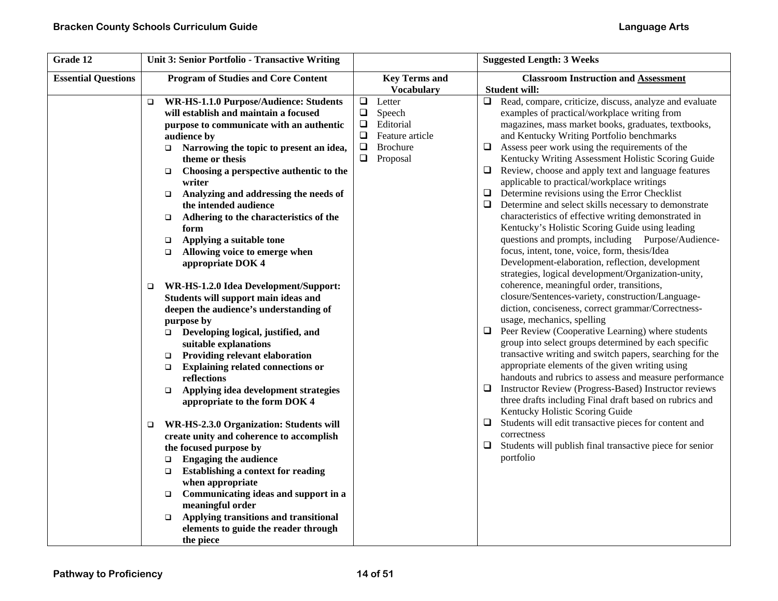| Grade 12                   | Unit 3: Senior Portfolio - Transactive Writing                     |                           | <b>Suggested Length: 3 Weeks</b>                                                                       |
|----------------------------|--------------------------------------------------------------------|---------------------------|--------------------------------------------------------------------------------------------------------|
| <b>Essential Questions</b> | <b>Program of Studies and Core Content</b>                         | <b>Key Terms and</b>      | <b>Classroom Instruction and Assessment</b>                                                            |
|                            |                                                                    | <b>Vocabulary</b>         | <b>Student will:</b>                                                                                   |
|                            | WR-HS-1.1.0 Purpose/Audience: Students<br>$\Box$                   | $\Box$<br>Letter          | Read, compare, criticize, discuss, analyze and evaluate<br>$\Box$                                      |
|                            | will establish and maintain a focused                              | $\Box$<br>Speech          | examples of practical/workplace writing from                                                           |
|                            | purpose to communicate with an authentic                           | Editorial<br>⊔            | magazines, mass market books, graduates, textbooks,                                                    |
|                            | audience by                                                        | $\Box$<br>Feature article | and Kentucky Writing Portfolio benchmarks                                                              |
|                            | Narrowing the topic to present an idea,<br>$\Box$                  | $\Box$<br><b>Brochure</b> | Assess peer work using the requirements of the<br>$\Box$                                               |
|                            | theme or thesis                                                    | $\Box$<br>Proposal        | Kentucky Writing Assessment Holistic Scoring Guide                                                     |
|                            | Choosing a perspective authentic to the<br>$\Box$<br>writer        |                           | Review, choose and apply text and language features<br>⊔<br>applicable to practical/workplace writings |
|                            | Analyzing and addressing the needs of<br>$\Box$                    |                           | Determine revisions using the Error Checklist<br>$\Box$                                                |
|                            | the intended audience                                              |                           | Determine and select skills necessary to demonstrate<br>⊔                                              |
|                            | Adhering to the characteristics of the<br>$\Box$                   |                           | characteristics of effective writing demonstrated in                                                   |
|                            | form                                                               |                           | Kentucky's Holistic Scoring Guide using leading                                                        |
|                            | Applying a suitable tone<br>$\Box$                                 |                           | questions and prompts, including Purpose/Audience-                                                     |
|                            | Allowing voice to emerge when<br>$\Box$                            |                           | focus, intent, tone, voice, form, thesis/Idea                                                          |
|                            | appropriate DOK 4                                                  |                           | Development-elaboration, reflection, development                                                       |
|                            |                                                                    |                           | strategies, logical development/Organization-unity,                                                    |
|                            | WR-HS-1.2.0 Idea Development/Support:<br>□                         |                           | coherence, meaningful order, transitions,                                                              |
|                            | Students will support main ideas and                               |                           | closure/Sentences-variety, construction/Language-                                                      |
|                            | deepen the audience's understanding of                             |                           | diction, conciseness, correct grammar/Correctness-                                                     |
|                            | purpose by                                                         |                           | usage, mechanics, spelling                                                                             |
|                            | Developing logical, justified, and<br>$\Box$                       |                           | Peer Review (Cooperative Learning) where students<br>u.                                                |
|                            | suitable explanations                                              |                           | group into select groups determined by each specific                                                   |
|                            | Providing relevant elaboration<br>$\Box$                           |                           | transactive writing and switch papers, searching for the                                               |
|                            | <b>Explaining related connections or</b><br>$\Box$                 |                           | appropriate elements of the given writing using                                                        |
|                            | reflections                                                        |                           | handouts and rubrics to assess and measure performance                                                 |
|                            | Applying idea development strategies<br>$\Box$                     |                           | Instructor Review (Progress-Based) Instructor reviews<br>⊔                                             |
|                            | appropriate to the form DOK 4                                      |                           | three drafts including Final draft based on rubrics and                                                |
|                            |                                                                    |                           | Kentucky Holistic Scoring Guide<br>Students will edit transactive pieces for content and<br>⊔          |
|                            | WR-HS-2.3.0 Organization: Students will<br>□                       |                           | correctness                                                                                            |
|                            | create unity and coherence to accomplish                           |                           | □                                                                                                      |
|                            | the focused purpose by                                             |                           | Students will publish final transactive piece for senior<br>portfolio                                  |
|                            | <b>Engaging the audience</b><br>$\Box$                             |                           |                                                                                                        |
|                            | <b>Establishing a context for reading</b><br>$\Box$                |                           |                                                                                                        |
|                            | when appropriate                                                   |                           |                                                                                                        |
|                            | Communicating ideas and support in a<br>$\Box$<br>meaningful order |                           |                                                                                                        |
|                            | Applying transitions and transitional<br>$\Box$                    |                           |                                                                                                        |
|                            | elements to guide the reader through                               |                           |                                                                                                        |
|                            | the piece                                                          |                           |                                                                                                        |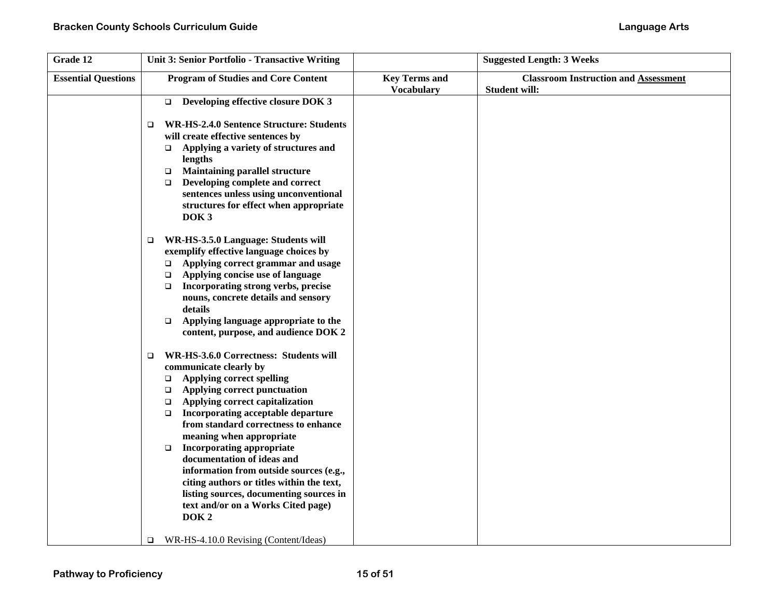| Grade 12                   | Unit 3: Senior Portfolio - Transactive Writing    |                      | <b>Suggested Length: 3 Weeks</b>            |
|----------------------------|---------------------------------------------------|----------------------|---------------------------------------------|
| <b>Essential Questions</b> | <b>Program of Studies and Core Content</b>        | <b>Key Terms and</b> | <b>Classroom Instruction and Assessment</b> |
|                            |                                                   | <b>Vocabulary</b>    | <b>Student will:</b>                        |
|                            | Developing effective closure DOK 3<br>$\Box$      |                      |                                             |
|                            |                                                   |                      |                                             |
|                            | WR-HS-2.4.0 Sentence Structure: Students<br>□     |                      |                                             |
|                            | will create effective sentences by                |                      |                                             |
|                            | Applying a variety of structures and<br>$\Box$    |                      |                                             |
|                            | lengths                                           |                      |                                             |
|                            | <b>Maintaining parallel structure</b><br>$\Box$   |                      |                                             |
|                            | Developing complete and correct<br>$\Box$         |                      |                                             |
|                            | sentences unless using unconventional             |                      |                                             |
|                            | structures for effect when appropriate            |                      |                                             |
|                            | DOK <sub>3</sub>                                  |                      |                                             |
|                            | WR-HS-3.5.0 Language: Students will               |                      |                                             |
|                            | $\Box$<br>exemplify effective language choices by |                      |                                             |
|                            | Applying correct grammar and usage<br>$\Box$      |                      |                                             |
|                            | Applying concise use of language<br>$\Box$        |                      |                                             |
|                            | Incorporating strong verbs, precise<br>$\Box$     |                      |                                             |
|                            | nouns, concrete details and sensory               |                      |                                             |
|                            | details                                           |                      |                                             |
|                            | Applying language appropriate to the<br>$\Box$    |                      |                                             |
|                            | content, purpose, and audience DOK 2              |                      |                                             |
|                            | WR-HS-3.6.0 Correctness: Students will<br>□       |                      |                                             |
|                            | communicate clearly by                            |                      |                                             |
|                            | <b>Applying correct spelling</b><br>$\Box$        |                      |                                             |
|                            | Applying correct punctuation<br>$\Box$            |                      |                                             |
|                            | Applying correct capitalization<br>$\Box$         |                      |                                             |
|                            | Incorporating acceptable departure<br>$\Box$      |                      |                                             |
|                            | from standard correctness to enhance              |                      |                                             |
|                            | meaning when appropriate                          |                      |                                             |
|                            | <b>Incorporating appropriate</b><br>$\Box$        |                      |                                             |
|                            | documentation of ideas and                        |                      |                                             |
|                            | information from outside sources (e.g.,           |                      |                                             |
|                            | citing authors or titles within the text,         |                      |                                             |
|                            | listing sources, documenting sources in           |                      |                                             |
|                            | text and/or on a Works Cited page)                |                      |                                             |
|                            | DOK <sub>2</sub>                                  |                      |                                             |
|                            | WR-HS-4.10.0 Revising (Content/Ideas)<br>$\Box$   |                      |                                             |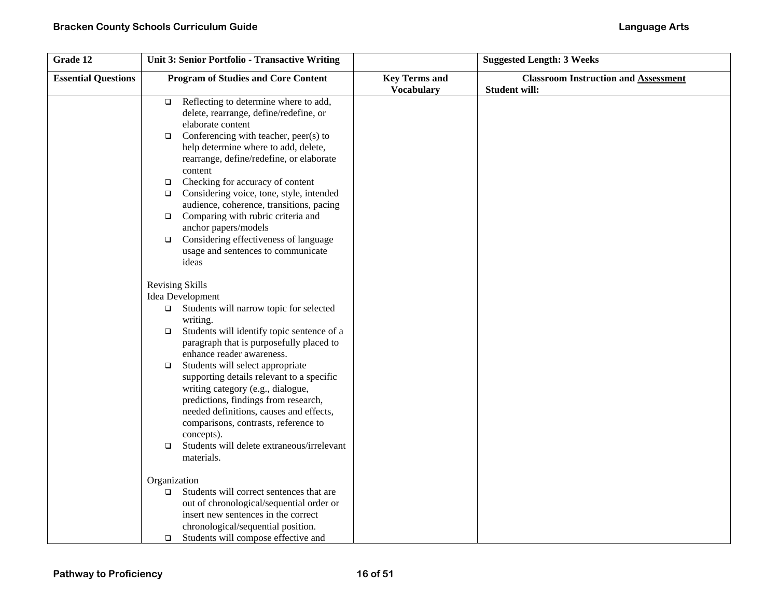| Grade 12                   | Unit 3: Senior Portfolio - Transactive Writing                                                                                                                                                                                                                                                                                                                                                                                                                                                                                                                                             |                                           | <b>Suggested Length: 3 Weeks</b>                                    |
|----------------------------|--------------------------------------------------------------------------------------------------------------------------------------------------------------------------------------------------------------------------------------------------------------------------------------------------------------------------------------------------------------------------------------------------------------------------------------------------------------------------------------------------------------------------------------------------------------------------------------------|-------------------------------------------|---------------------------------------------------------------------|
| <b>Essential Questions</b> | <b>Program of Studies and Core Content</b>                                                                                                                                                                                                                                                                                                                                                                                                                                                                                                                                                 | <b>Key Terms and</b><br><b>Vocabulary</b> | <b>Classroom Instruction and Assessment</b><br><b>Student will:</b> |
|                            | Reflecting to determine where to add,<br>$\Box$<br>delete, rearrange, define/redefine, or<br>elaborate content<br>Conferencing with teacher, peer(s) to<br>$\Box$<br>help determine where to add, delete,<br>rearrange, define/redefine, or elaborate<br>content<br>Checking for accuracy of content<br>$\Box$<br>Considering voice, tone, style, intended<br>$\Box$<br>audience, coherence, transitions, pacing<br>Comparing with rubric criteria and<br>$\Box$<br>anchor papers/models<br>Considering effectiveness of language<br>$\Box$<br>usage and sentences to communicate<br>ideas |                                           |                                                                     |
|                            | <b>Revising Skills</b><br>Idea Development<br>$\Box$ Students will narrow topic for selected<br>writing.<br>Students will identify topic sentence of a<br>$\Box$<br>paragraph that is purposefully placed to<br>enhance reader awareness.<br>Students will select appropriate<br>$\Box$<br>supporting details relevant to a specific<br>writing category (e.g., dialogue,<br>predictions, findings from research,<br>needed definitions, causes and effects,<br>comparisons, contrasts, reference to<br>concepts).<br>Students will delete extraneous/irrelevant<br>$\Box$<br>materials.   |                                           |                                                                     |
|                            | Organization<br>Students will correct sentences that are<br>$\Box$<br>out of chronological/sequential order or<br>insert new sentences in the correct<br>chronological/sequential position.<br>Students will compose effective and<br>$\Box$                                                                                                                                                                                                                                                                                                                                               |                                           |                                                                     |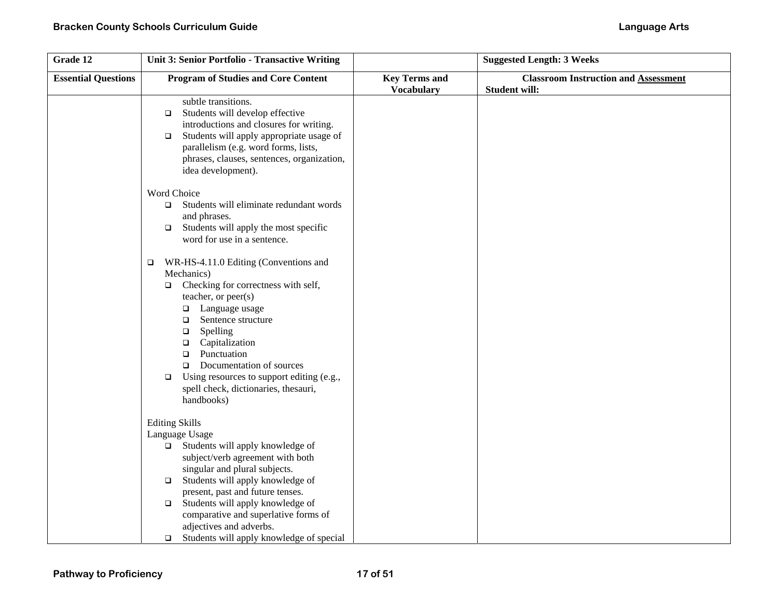| Grade 12                   | Unit 3: Senior Portfolio - Transactive Writing                                                                                                                                                                                                                                                                                                                                                                                    |                                           | <b>Suggested Length: 3 Weeks</b>                                    |
|----------------------------|-----------------------------------------------------------------------------------------------------------------------------------------------------------------------------------------------------------------------------------------------------------------------------------------------------------------------------------------------------------------------------------------------------------------------------------|-------------------------------------------|---------------------------------------------------------------------|
| <b>Essential Questions</b> | <b>Program of Studies and Core Content</b>                                                                                                                                                                                                                                                                                                                                                                                        | <b>Key Terms and</b><br><b>Vocabulary</b> | <b>Classroom Instruction and Assessment</b><br><b>Student will:</b> |
|                            | subtle transitions.<br>Students will develop effective<br>$\Box$<br>introductions and closures for writing.<br>Students will apply appropriate usage of<br>$\Box$<br>parallelism (e.g. word forms, lists,<br>phrases, clauses, sentences, organization,<br>idea development).                                                                                                                                                     |                                           |                                                                     |
|                            | Word Choice<br>Students will eliminate redundant words<br>$\Box$<br>and phrases.<br>Students will apply the most specific<br>$\Box$<br>word for use in a sentence.                                                                                                                                                                                                                                                                |                                           |                                                                     |
|                            | WR-HS-4.11.0 Editing (Conventions and<br>$\Box$<br>Mechanics)<br>Checking for correctness with self,<br>$\Box$<br>teacher, or $peer(s)$<br>Language usage<br>$\Box$<br>Sentence structure<br>$\Box$<br>Spelling<br>$\Box$<br>Capitalization<br>$\Box$<br>Punctuation<br>$\Box$<br>Documentation of sources<br>$\Box$<br>Using resources to support editing (e.g.,<br>$\Box$<br>spell check, dictionaries, thesauri,<br>handbooks) |                                           |                                                                     |
|                            | <b>Editing Skills</b><br>Language Usage<br>Students will apply knowledge of<br>$\Box$<br>subject/verb agreement with both<br>singular and plural subjects.<br>Students will apply knowledge of<br>$\Box$<br>present, past and future tenses.<br>Students will apply knowledge of<br>$\Box$<br>comparative and superlative forms of<br>adjectives and adverbs.<br>Students will apply knowledge of special<br>$\Box$               |                                           |                                                                     |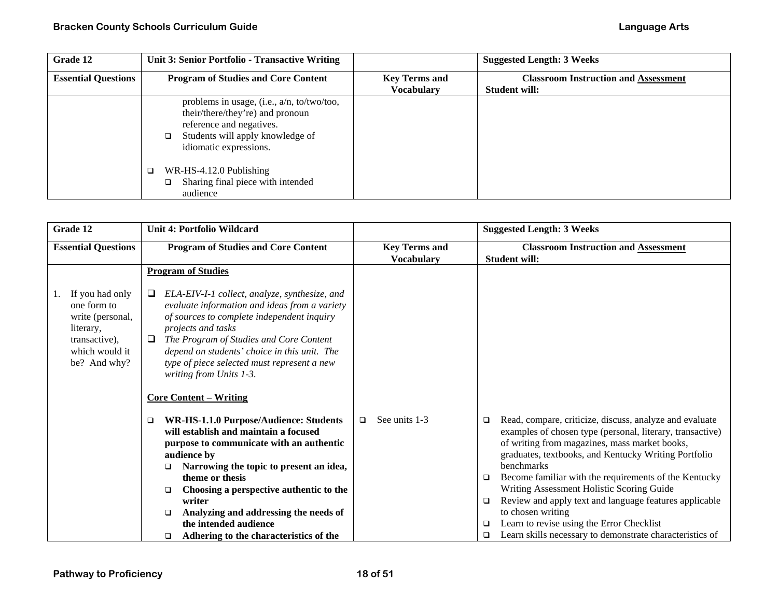| Grade 12                   | Unit 3: Senior Portfolio - Transactive Writing                                                                                                                                     |                      | <b>Suggested Length: 3 Weeks</b>            |
|----------------------------|------------------------------------------------------------------------------------------------------------------------------------------------------------------------------------|----------------------|---------------------------------------------|
| <b>Essential Questions</b> | <b>Program of Studies and Core Content</b>                                                                                                                                         | <b>Key Terms and</b> | <b>Classroom Instruction and Assessment</b> |
|                            |                                                                                                                                                                                    | <b>Vocabulary</b>    | <b>Student will:</b>                        |
|                            | problems in usage, (i.e., a/n, to/two/too,<br>their/there/they're) and pronoun<br>reference and negatives.<br>Students will apply knowledge of<br>$\Box$<br>idiomatic expressions. |                      |                                             |
|                            | WR-HS-4.12.0 Publishing<br>Sharing final piece with intended<br>audience                                                                                                           |                      |                                             |

| Grade 12                                                                                                           | Unit 4: Portfolio Wildcard                                                                                                                                                                                                                                                                                                                                                                                   |                                           | <b>Suggested Length: 3 Weeks</b>                                                                                                                                                                                                                                                                                                                                                                                                                                                                                                                              |
|--------------------------------------------------------------------------------------------------------------------|--------------------------------------------------------------------------------------------------------------------------------------------------------------------------------------------------------------------------------------------------------------------------------------------------------------------------------------------------------------------------------------------------------------|-------------------------------------------|---------------------------------------------------------------------------------------------------------------------------------------------------------------------------------------------------------------------------------------------------------------------------------------------------------------------------------------------------------------------------------------------------------------------------------------------------------------------------------------------------------------------------------------------------------------|
| <b>Essential Questions</b>                                                                                         | <b>Program of Studies and Core Content</b>                                                                                                                                                                                                                                                                                                                                                                   | <b>Key Terms and</b><br><b>Vocabulary</b> | <b>Classroom Instruction and Assessment</b><br><b>Student will:</b>                                                                                                                                                                                                                                                                                                                                                                                                                                                                                           |
|                                                                                                                    | <b>Program of Studies</b>                                                                                                                                                                                                                                                                                                                                                                                    |                                           |                                                                                                                                                                                                                                                                                                                                                                                                                                                                                                                                                               |
| If you had only<br>one form to<br>write (personal,<br>literary,<br>transactive),<br>which would it<br>be? And why? | ELA-EIV-I-1 collect, analyze, synthesize, and<br>□<br>evaluate information and ideas from a variety<br>of sources to complete independent inquiry<br><i>projects and tasks</i><br>The Program of Studies and Core Content<br>□<br>depend on students' choice in this unit. The<br>type of piece selected must represent a new<br>writing from Units 1-3.<br><b>Core Content – Writing</b>                    |                                           |                                                                                                                                                                                                                                                                                                                                                                                                                                                                                                                                                               |
|                                                                                                                    | WR-HS-1.1.0 Purpose/Audience: Students<br>$\Box$<br>will establish and maintain a focused<br>purpose to communicate with an authentic<br>audience by<br>Narrowing the topic to present an idea,<br>▫<br>theme or thesis<br>Choosing a perspective authentic to the<br>□<br>writer<br>Analyzing and addressing the needs of<br>$\Box$<br>the intended audience<br>Adhering to the characteristics of the<br>□ | See units 1-3<br>$\Box$                   | Read, compare, criticize, discuss, analyze and evaluate<br>□<br>examples of chosen type (personal, literary, transactive)<br>of writing from magazines, mass market books,<br>graduates, textbooks, and Kentucky Writing Portfolio<br>benchmarks<br>Become familiar with the requirements of the Kentucky<br>□<br>Writing Assessment Holistic Scoring Guide<br>Review and apply text and language features applicable<br>□<br>to chosen writing<br>Learn to revise using the Error Checklist<br>□<br>Learn skills necessary to demonstrate characteristics of |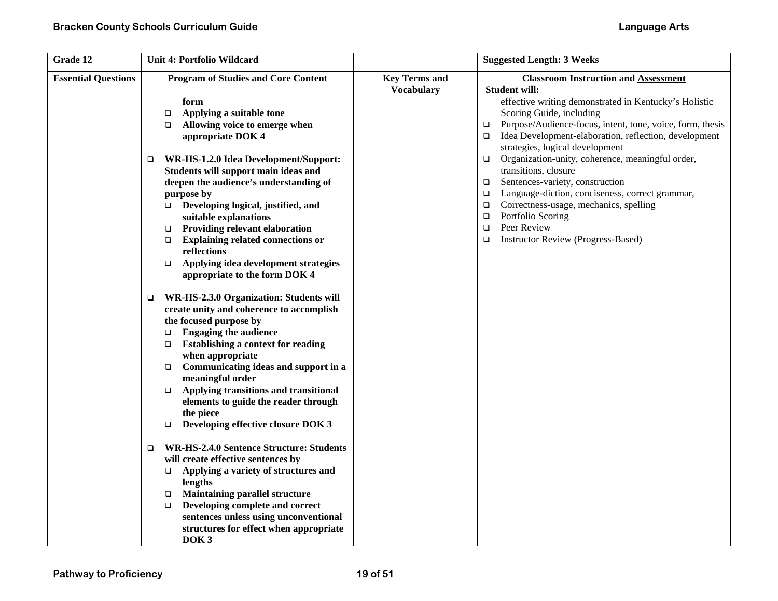| Grade 12                   | <b>Unit 4: Portfolio Wildcard</b>                                                                                                                                                                                                                                                                                                                                                                                                                                                                                                                                                                                                                                                                                                                                                                                                                                                                                                                                                                                                                                                                                                                                |                      | <b>Suggested Length: 3 Weeks</b>                                                                                                                                                                                                                                                                                                                                                                                                                                                                                                                                                                                                                          |
|----------------------------|------------------------------------------------------------------------------------------------------------------------------------------------------------------------------------------------------------------------------------------------------------------------------------------------------------------------------------------------------------------------------------------------------------------------------------------------------------------------------------------------------------------------------------------------------------------------------------------------------------------------------------------------------------------------------------------------------------------------------------------------------------------------------------------------------------------------------------------------------------------------------------------------------------------------------------------------------------------------------------------------------------------------------------------------------------------------------------------------------------------------------------------------------------------|----------------------|-----------------------------------------------------------------------------------------------------------------------------------------------------------------------------------------------------------------------------------------------------------------------------------------------------------------------------------------------------------------------------------------------------------------------------------------------------------------------------------------------------------------------------------------------------------------------------------------------------------------------------------------------------------|
| <b>Essential Questions</b> | <b>Program of Studies and Core Content</b>                                                                                                                                                                                                                                                                                                                                                                                                                                                                                                                                                                                                                                                                                                                                                                                                                                                                                                                                                                                                                                                                                                                       | <b>Key Terms and</b> | <b>Classroom Instruction and Assessment</b>                                                                                                                                                                                                                                                                                                                                                                                                                                                                                                                                                                                                               |
|                            | form<br>Applying a suitable tone<br>$\Box$<br>Allowing voice to emerge when<br>□<br>appropriate DOK 4<br>WR-HS-1.2.0 Idea Development/Support:<br>$\Box$<br>Students will support main ideas and<br>deepen the audience's understanding of<br>purpose by<br>Developing logical, justified, and<br>suitable explanations<br><b>Providing relevant elaboration</b><br>$\Box$<br><b>Explaining related connections or</b><br>$\Box$<br>reflections<br>Applying idea development strategies<br>$\Box$<br>appropriate to the form DOK 4<br>WR-HS-2.3.0 Organization: Students will<br>$\Box$<br>create unity and coherence to accomplish<br>the focused purpose by<br><b>Engaging the audience</b><br>$\Box$<br><b>Establishing a context for reading</b><br>$\Box$<br>when appropriate<br>Communicating ideas and support in a<br>$\Box$<br>meaningful order<br>Applying transitions and transitional<br>$\Box$<br>elements to guide the reader through<br>the piece<br>Developing effective closure DOK 3<br>$\Box$<br><b>WR-HS-2.4.0 Sentence Structure: Students</b><br>❏<br>will create effective sentences by<br>Applying a variety of structures and<br>$\Box$ | <b>Vocabulary</b>    | <b>Student will:</b><br>effective writing demonstrated in Kentucky's Holistic<br>Scoring Guide, including<br>Purpose/Audience-focus, intent, tone, voice, form, thesis<br>$\Box$<br>Idea Development-elaboration, reflection, development<br>$\Box$<br>strategies, logical development<br>Organization-unity, coherence, meaningful order,<br>$\Box$<br>transitions, closure<br>Sentences-variety, construction<br>$\Box$<br>Language-diction, conciseness, correct grammar,<br>$\Box$<br>Correctness-usage, mechanics, spelling<br>$\Box$<br>Portfolio Scoring<br>$\Box$<br>Peer Review<br>$\Box$<br><b>Instructor Review (Progress-Based)</b><br>$\Box$ |
|                            | lengths<br><b>Maintaining parallel structure</b><br>$\Box$<br>Developing complete and correct<br>$\Box$<br>sentences unless using unconventional<br>structures for effect when appropriate<br>DOK <sub>3</sub>                                                                                                                                                                                                                                                                                                                                                                                                                                                                                                                                                                                                                                                                                                                                                                                                                                                                                                                                                   |                      |                                                                                                                                                                                                                                                                                                                                                                                                                                                                                                                                                                                                                                                           |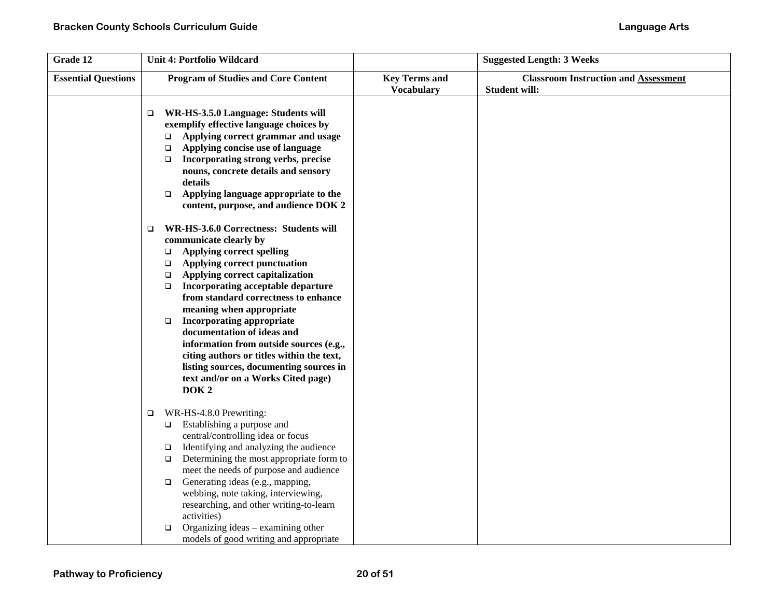| Grade 12                   | <b>Unit 4: Portfolio Wildcard</b>                                                                                                                                                                                                                                                                                                                                                                                                                                                                                                                                                                            |                                           | <b>Suggested Length: 3 Weeks</b>                             |
|----------------------------|--------------------------------------------------------------------------------------------------------------------------------------------------------------------------------------------------------------------------------------------------------------------------------------------------------------------------------------------------------------------------------------------------------------------------------------------------------------------------------------------------------------------------------------------------------------------------------------------------------------|-------------------------------------------|--------------------------------------------------------------|
| <b>Essential Questions</b> | <b>Program of Studies and Core Content</b>                                                                                                                                                                                                                                                                                                                                                                                                                                                                                                                                                                   | <b>Key Terms and</b><br><b>Vocabulary</b> | <b>Classroom Instruction and Assessment</b><br>Student will: |
|                            | WR-HS-3.5.0 Language: Students will<br>□<br>exemplify effective language choices by<br>Applying correct grammar and usage<br>$\Box$<br>Applying concise use of language<br>$\Box$<br>Incorporating strong verbs, precise<br>$\Box$<br>nouns, concrete details and sensory<br>details<br>Applying language appropriate to the<br>$\Box$<br>content, purpose, and audience DOK 2                                                                                                                                                                                                                               |                                           |                                                              |
|                            | WR-HS-3.6.0 Correctness: Students will<br>$\Box$<br>communicate clearly by<br><b>Applying correct spelling</b><br>$\Box$<br>Applying correct punctuation<br>$\Box$<br>Applying correct capitalization<br>$\Box$<br>Incorporating acceptable departure<br>$\Box$<br>from standard correctness to enhance<br>meaning when appropriate<br><b>Incorporating appropriate</b><br>$\Box$<br>documentation of ideas and<br>information from outside sources (e.g.,<br>citing authors or titles within the text,<br>listing sources, documenting sources in<br>text and/or on a Works Cited page)<br>DOK <sub>2</sub> |                                           |                                                              |
|                            | WR-HS-4.8.0 Prewriting:<br>$\Box$<br>Establishing a purpose and<br>$\Box$<br>central/controlling idea or focus<br>Identifying and analyzing the audience<br>$\Box$<br>Determining the most appropriate form to<br>$\Box$<br>meet the needs of purpose and audience<br>Generating ideas (e.g., mapping,<br>$\Box$<br>webbing, note taking, interviewing,<br>researching, and other writing-to-learn<br>activities)<br>Organizing ideas – examining other<br>$\Box$<br>models of good writing and appropriate                                                                                                  |                                           |                                                              |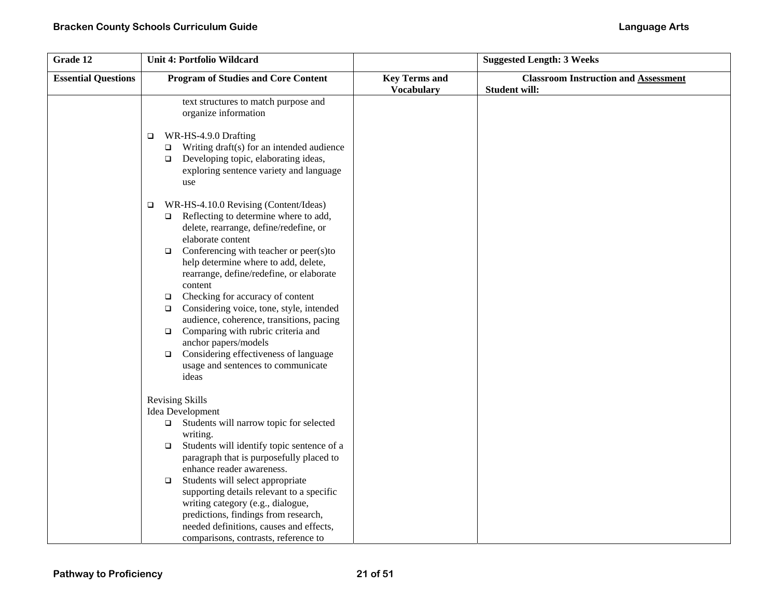| Grade 12                   | <b>Unit 4: Portfolio Wildcard</b>                                                                                                                                                                                                                                                                                                                                                                                                                                                                                                                                                                                                              |                                           | <b>Suggested Length: 3 Weeks</b>                                    |
|----------------------------|------------------------------------------------------------------------------------------------------------------------------------------------------------------------------------------------------------------------------------------------------------------------------------------------------------------------------------------------------------------------------------------------------------------------------------------------------------------------------------------------------------------------------------------------------------------------------------------------------------------------------------------------|-------------------------------------------|---------------------------------------------------------------------|
| <b>Essential Questions</b> | <b>Program of Studies and Core Content</b>                                                                                                                                                                                                                                                                                                                                                                                                                                                                                                                                                                                                     | <b>Key Terms and</b><br><b>Vocabulary</b> | <b>Classroom Instruction and Assessment</b><br><b>Student will:</b> |
|                            | text structures to match purpose and<br>organize information<br>WR-HS-4.9.0 Drafting<br>□<br>Writing draft(s) for an intended audience<br>$\Box$<br>Developing topic, elaborating ideas,<br>$\Box$<br>exploring sentence variety and language<br>use                                                                                                                                                                                                                                                                                                                                                                                           |                                           |                                                                     |
|                            | WR-HS-4.10.0 Revising (Content/Ideas)<br>$\Box$<br>Reflecting to determine where to add,<br>$\Box$<br>delete, rearrange, define/redefine, or<br>elaborate content<br>Conferencing with teacher or peer(s)to<br>$\Box$<br>help determine where to add, delete,<br>rearrange, define/redefine, or elaborate<br>content<br>Checking for accuracy of content<br>$\Box$<br>Considering voice, tone, style, intended<br>$\Box$<br>audience, coherence, transitions, pacing<br>Comparing with rubric criteria and<br>$\Box$<br>anchor papers/models<br>Considering effectiveness of language<br>$\Box$<br>usage and sentences to communicate<br>ideas |                                           |                                                                     |
|                            | <b>Revising Skills</b><br>Idea Development<br>$\Box$ Students will narrow topic for selected<br>writing.<br>Students will identify topic sentence of a<br>$\Box$<br>paragraph that is purposefully placed to<br>enhance reader awareness.<br>Students will select appropriate<br>$\Box$<br>supporting details relevant to a specific<br>writing category (e.g., dialogue,<br>predictions, findings from research,<br>needed definitions, causes and effects,<br>comparisons, contrasts, reference to                                                                                                                                           |                                           |                                                                     |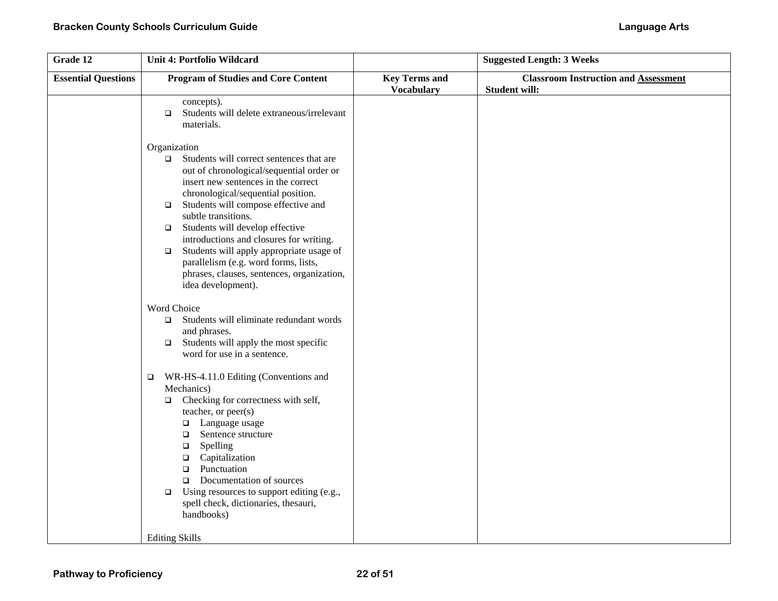| Grade 12                   | <b>Unit 4: Portfolio Wildcard</b>                                                                                                                                                                                                                                                                                                                                                                                                                                                                                             |                                           | <b>Suggested Length: 3 Weeks</b>                                    |
|----------------------------|-------------------------------------------------------------------------------------------------------------------------------------------------------------------------------------------------------------------------------------------------------------------------------------------------------------------------------------------------------------------------------------------------------------------------------------------------------------------------------------------------------------------------------|-------------------------------------------|---------------------------------------------------------------------|
| <b>Essential Questions</b> | <b>Program of Studies and Core Content</b>                                                                                                                                                                                                                                                                                                                                                                                                                                                                                    | <b>Key Terms and</b><br><b>Vocabulary</b> | <b>Classroom Instruction and Assessment</b><br><b>Student will:</b> |
|                            | concepts).<br>Students will delete extraneous/irrelevant<br>$\Box$<br>materials.                                                                                                                                                                                                                                                                                                                                                                                                                                              |                                           |                                                                     |
|                            | Organization<br>Students will correct sentences that are<br>$\Box$<br>out of chronological/sequential order or<br>insert new sentences in the correct<br>chronological/sequential position.<br>Students will compose effective and<br>$\Box$<br>subtle transitions.<br>Students will develop effective<br>$\Box$<br>introductions and closures for writing.<br>Students will apply appropriate usage of<br>$\Box$<br>parallelism (e.g. word forms, lists,<br>phrases, clauses, sentences, organization,<br>idea development). |                                           |                                                                     |
|                            | Word Choice<br>Students will eliminate redundant words<br>$\Box$<br>and phrases.<br>Students will apply the most specific<br>$\Box$<br>word for use in a sentence.                                                                                                                                                                                                                                                                                                                                                            |                                           |                                                                     |
|                            | WR-HS-4.11.0 Editing (Conventions and<br>o.<br>Mechanics)<br>Checking for correctness with self,<br>$\Box$<br>teacher, or peer(s)<br>Language usage<br>$\Box$<br>Sentence structure<br>$\Box$<br>Spelling<br>$\Box$<br>$\Box$<br>Capitalization<br>Punctuation<br>$\Box$<br>Documentation of sources<br>$\Box$<br>Using resources to support editing (e.g.,<br>$\Box$<br>spell check, dictionaries, thesauri,<br>handbooks)<br><b>Editing Skills</b>                                                                          |                                           |                                                                     |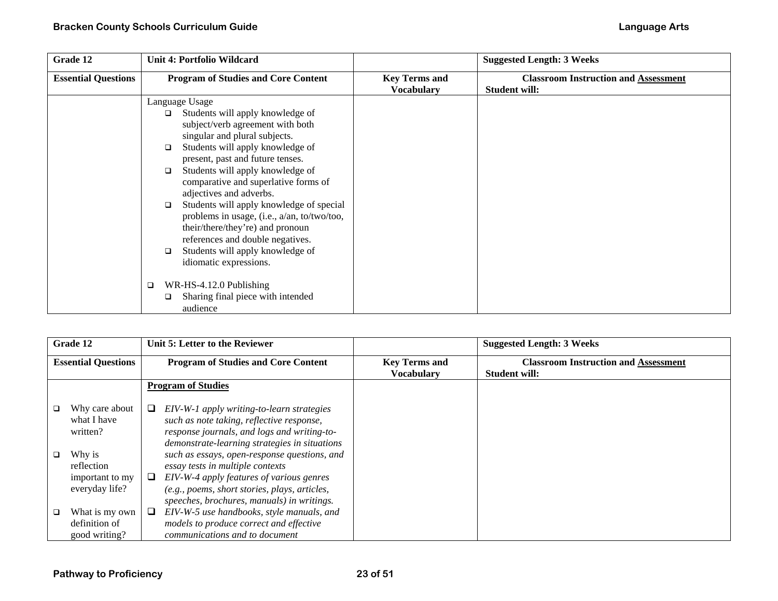| Grade 12                   | <b>Unit 4: Portfolio Wildcard</b>                                                                                                                                                                                                                                                                                                                                                                                                                                                          |                                           | <b>Suggested Length: 3 Weeks</b>                                    |
|----------------------------|--------------------------------------------------------------------------------------------------------------------------------------------------------------------------------------------------------------------------------------------------------------------------------------------------------------------------------------------------------------------------------------------------------------------------------------------------------------------------------------------|-------------------------------------------|---------------------------------------------------------------------|
| <b>Essential Questions</b> | <b>Program of Studies and Core Content</b>                                                                                                                                                                                                                                                                                                                                                                                                                                                 | <b>Key Terms and</b><br><b>Vocabulary</b> | <b>Classroom Instruction and Assessment</b><br><b>Student will:</b> |
|                            | Language Usage                                                                                                                                                                                                                                                                                                                                                                                                                                                                             |                                           |                                                                     |
|                            | Students will apply knowledge of<br>$\Box$<br>subject/verb agreement with both<br>singular and plural subjects.<br>Students will apply knowledge of<br>□<br>present, past and future tenses.<br>Students will apply knowledge of<br>$\Box$<br>comparative and superlative forms of<br>adjectives and adverbs.<br>Students will apply knowledge of special<br>$\Box$<br>problems in usage, (i.e., a/an, to/two/too,<br>their/there/they're) and pronoun<br>references and double negatives. |                                           |                                                                     |
|                            | Students will apply knowledge of<br>□<br>idiomatic expressions.<br>WR-HS-4.12.0 Publishing<br>□<br>Sharing final piece with intended                                                                                                                                                                                                                                                                                                                                                       |                                           |                                                                     |
|                            | ❏<br>audience                                                                                                                                                                                                                                                                                                                                                                                                                                                                              |                                           |                                                                     |

|                            | Grade 12        |   | Unit 5: Letter to the Reviewer                |                      | <b>Suggested Length: 3 Weeks</b>            |
|----------------------------|-----------------|---|-----------------------------------------------|----------------------|---------------------------------------------|
| <b>Essential Questions</b> |                 |   | <b>Program of Studies and Core Content</b>    | <b>Key Terms and</b> | <b>Classroom Instruction and Assessment</b> |
|                            |                 |   |                                               | <b>Vocabulary</b>    | <b>Student will:</b>                        |
|                            |                 |   | <b>Program of Studies</b>                     |                      |                                             |
|                            |                 |   |                                               |                      |                                             |
| □                          | Why care about  | ⊔ | EIV-W-1 apply writing-to-learn strategies     |                      |                                             |
|                            | what I have     |   | such as note taking, reflective response,     |                      |                                             |
|                            | written?        |   | response journals, and logs and writing-to-   |                      |                                             |
|                            |                 |   | demonstrate-learning strategies in situations |                      |                                             |
| ❏                          | Why is          |   | such as essays, open-response questions, and  |                      |                                             |
|                            | reflection      |   | essay tests in multiple contexts              |                      |                                             |
|                            | important to my | ⊔ | EIV-W-4 apply features of various genres      |                      |                                             |
|                            | everyday life?  |   | (e.g., poems, short stories, plays, articles, |                      |                                             |
|                            |                 |   | speeches, brochures, manuals) in writings.    |                      |                                             |
| ❏                          | What is my own  | ⊔ | EIV-W-5 use handbooks, style manuals, and     |                      |                                             |
|                            | definition of   |   | models to produce correct and effective       |                      |                                             |
|                            | good writing?   |   | communications and to document                |                      |                                             |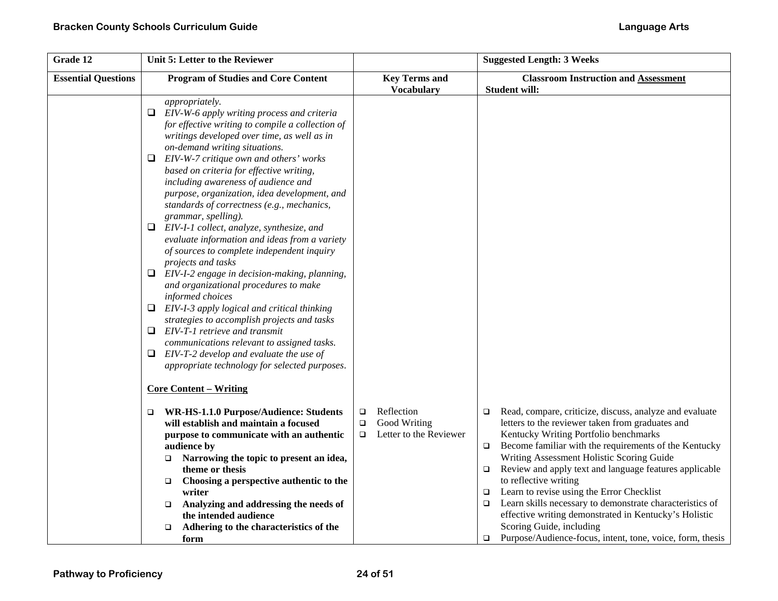| <b>Essential Questions</b><br><b>Program of Studies and Core Content</b><br><b>Key Terms and</b><br><b>Student will:</b><br><b>Vocabulary</b><br>appropriately.<br>EIV-W-6 apply writing process and criteria<br>⊔<br>for effective writing to compile a collection of<br>writings developed over time, as well as in<br>on-demand writing situations.<br>$\Box$ EIV-W-7 critique own and others' works<br>based on criteria for effective writing,<br>including awareness of audience and<br>purpose, organization, idea development, and<br>standards of correctness (e.g., mechanics,<br>grammar, spelling).<br>EIV-I-1 collect, analyze, synthesize, and<br>⊔<br>evaluate information and ideas from a variety<br>of sources to complete independent inquiry                                      | <b>Suggested Length: 3 Weeks</b>                                                                                                                                                                                                                                                                                                                             |
|-------------------------------------------------------------------------------------------------------------------------------------------------------------------------------------------------------------------------------------------------------------------------------------------------------------------------------------------------------------------------------------------------------------------------------------------------------------------------------------------------------------------------------------------------------------------------------------------------------------------------------------------------------------------------------------------------------------------------------------------------------------------------------------------------------|--------------------------------------------------------------------------------------------------------------------------------------------------------------------------------------------------------------------------------------------------------------------------------------------------------------------------------------------------------------|
|                                                                                                                                                                                                                                                                                                                                                                                                                                                                                                                                                                                                                                                                                                                                                                                                       | <b>Classroom Instruction and Assessment</b>                                                                                                                                                                                                                                                                                                                  |
|                                                                                                                                                                                                                                                                                                                                                                                                                                                                                                                                                                                                                                                                                                                                                                                                       |                                                                                                                                                                                                                                                                                                                                                              |
|                                                                                                                                                                                                                                                                                                                                                                                                                                                                                                                                                                                                                                                                                                                                                                                                       |                                                                                                                                                                                                                                                                                                                                                              |
| projects and tasks                                                                                                                                                                                                                                                                                                                                                                                                                                                                                                                                                                                                                                                                                                                                                                                    |                                                                                                                                                                                                                                                                                                                                                              |
| $\Box$ EIV-I-2 engage in decision-making, planning,<br>and organizational procedures to make<br>informed choices                                                                                                                                                                                                                                                                                                                                                                                                                                                                                                                                                                                                                                                                                      |                                                                                                                                                                                                                                                                                                                                                              |
| $\Box$ EIV-I-3 apply logical and critical thinking<br>strategies to accomplish projects and tasks<br>EIV-T-1 retrieve and transmit<br>⊔                                                                                                                                                                                                                                                                                                                                                                                                                                                                                                                                                                                                                                                               |                                                                                                                                                                                                                                                                                                                                                              |
| communications relevant to assigned tasks.<br>$\Box$ EIV-T-2 develop and evaluate the use of<br>appropriate technology for selected purposes.                                                                                                                                                                                                                                                                                                                                                                                                                                                                                                                                                                                                                                                         |                                                                                                                                                                                                                                                                                                                                                              |
| <b>Core Content - Writing</b>                                                                                                                                                                                                                                                                                                                                                                                                                                                                                                                                                                                                                                                                                                                                                                         |                                                                                                                                                                                                                                                                                                                                                              |
| Reflection<br>WR-HS-1.1.0 Purpose/Audience: Students<br>$\Box$<br>□<br>$\Box$<br>will establish and maintain a focused<br>Good Writing<br>letters to the reviewer taken from graduates and<br>$\Box$<br>Letter to the Reviewer<br>Kentucky Writing Portfolio benchmarks<br>purpose to communicate with an authentic<br>$\Box$<br>audience by<br>$\Box$<br>Writing Assessment Holistic Scoring Guide<br>Narrowing the topic to present an idea,<br>$\Box$<br>theme or thesis<br>$\Box$<br>to reflective writing<br>Choosing a perspective authentic to the<br>$\Box$<br>Learn to revise using the Error Checklist<br>writer<br>□<br>Analyzing and addressing the needs of<br>$\Box$<br>$\Box$<br>the intended audience<br>Scoring Guide, including<br>Adhering to the characteristics of the<br>$\Box$ | Read, compare, criticize, discuss, analyze and evaluate<br>Become familiar with the requirements of the Kentucky<br>Review and apply text and language features applicable<br>Learn skills necessary to demonstrate characteristics of<br>effective writing demonstrated in Kentucky's Holistic<br>Purpose/Audience-focus, intent, tone, voice, form, thesis |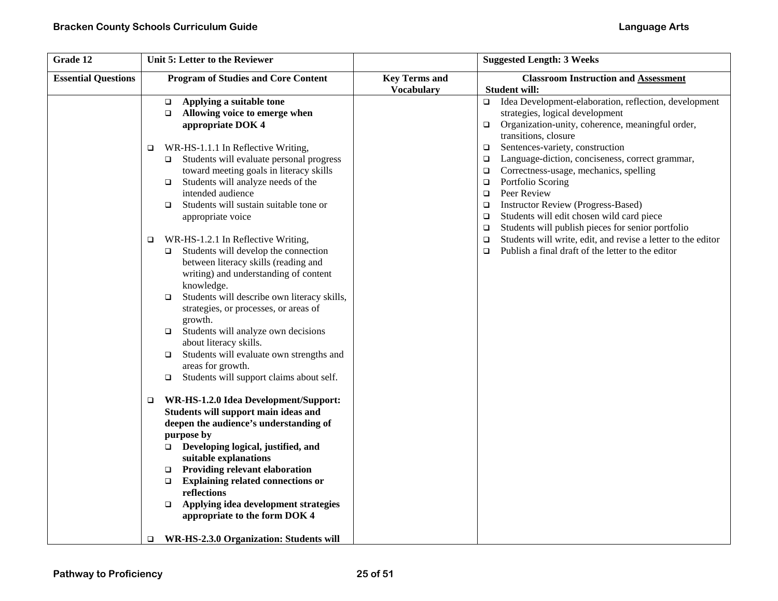| Grade 12                   | Unit 5: Letter to the Reviewer                                                |                      | <b>Suggested Length: 3 Weeks</b>                                                                   |
|----------------------------|-------------------------------------------------------------------------------|----------------------|----------------------------------------------------------------------------------------------------|
| <b>Essential Questions</b> | <b>Program of Studies and Core Content</b>                                    | <b>Key Terms and</b> | <b>Classroom Instruction and Assessment</b>                                                        |
|                            |                                                                               | <b>Vocabulary</b>    | <b>Student will:</b>                                                                               |
|                            | Applying a suitable tone<br>$\Box$<br>Allowing voice to emerge when<br>$\Box$ |                      | Idea Development-elaboration, reflection, development<br>$\Box$<br>strategies, logical development |
|                            | appropriate DOK 4                                                             |                      | Organization-unity, coherence, meaningful order,<br>$\Box$                                         |
|                            |                                                                               |                      | transitions, closure                                                                               |
|                            | WR-HS-1.1.1 In Reflective Writing,<br>$\Box$                                  |                      | Sentences-variety, construction<br>$\Box$                                                          |
|                            | Students will evaluate personal progress<br>$\Box$                            |                      | Language-diction, conciseness, correct grammar,<br>$\Box$                                          |
|                            | toward meeting goals in literacy skills                                       |                      | Correctness-usage, mechanics, spelling<br>□                                                        |
|                            | Students will analyze needs of the<br>$\Box$                                  |                      | Portfolio Scoring<br>$\Box$                                                                        |
|                            | intended audience                                                             |                      | Peer Review<br>$\Box$                                                                              |
|                            | Students will sustain suitable tone or<br>$\Box$                              |                      | <b>Instructor Review (Progress-Based)</b><br>$\Box$                                                |
|                            | appropriate voice                                                             |                      | Students will edit chosen wild card piece<br>$\Box$                                                |
|                            |                                                                               |                      | Students will publish pieces for senior portfolio<br>$\Box$                                        |
|                            | WR-HS-1.2.1 In Reflective Writing,<br>$\Box$                                  |                      | Students will write, edit, and revise a letter to the editor<br>$\Box$                             |
|                            | Students will develop the connection<br>$\Box$                                |                      | Publish a final draft of the letter to the editor<br>$\Box$                                        |
|                            | between literacy skills (reading and                                          |                      |                                                                                                    |
|                            | writing) and understanding of content                                         |                      |                                                                                                    |
|                            | knowledge.<br>Students will describe own literacy skills,<br>$\Box$           |                      |                                                                                                    |
|                            | strategies, or processes, or areas of                                         |                      |                                                                                                    |
|                            | growth.                                                                       |                      |                                                                                                    |
|                            | Students will analyze own decisions<br>$\Box$                                 |                      |                                                                                                    |
|                            | about literacy skills.                                                        |                      |                                                                                                    |
|                            | Students will evaluate own strengths and<br>$\Box$                            |                      |                                                                                                    |
|                            | areas for growth.                                                             |                      |                                                                                                    |
|                            | Students will support claims about self.<br>$\Box$                            |                      |                                                                                                    |
|                            | WR-HS-1.2.0 Idea Development/Support:<br>$\Box$                               |                      |                                                                                                    |
|                            | Students will support main ideas and                                          |                      |                                                                                                    |
|                            | deepen the audience's understanding of                                        |                      |                                                                                                    |
|                            | purpose by                                                                    |                      |                                                                                                    |
|                            | Developing logical, justified, and<br>$\Box$                                  |                      |                                                                                                    |
|                            | suitable explanations                                                         |                      |                                                                                                    |
|                            | Providing relevant elaboration<br>$\Box$                                      |                      |                                                                                                    |
|                            | <b>Explaining related connections or</b><br>$\Box$                            |                      |                                                                                                    |
|                            | $\mathbf{reflections}$                                                        |                      |                                                                                                    |
|                            | Applying idea development strategies<br>$\Box$                                |                      |                                                                                                    |
|                            | appropriate to the form DOK 4                                                 |                      |                                                                                                    |
|                            | WR-HS-2.3.0 Organization: Students will<br>$\Box$                             |                      |                                                                                                    |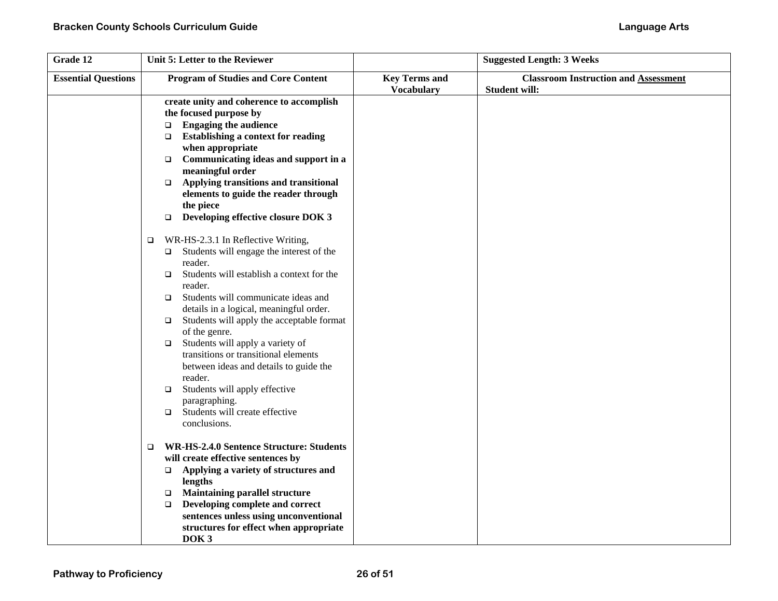| Grade 12                   | Unit 5: Letter to the Reviewer                                                                                                                                                                                                                                                                                                                                                                                                                                                                                                                                                                |                      | <b>Suggested Length: 3 Weeks</b>            |
|----------------------------|-----------------------------------------------------------------------------------------------------------------------------------------------------------------------------------------------------------------------------------------------------------------------------------------------------------------------------------------------------------------------------------------------------------------------------------------------------------------------------------------------------------------------------------------------------------------------------------------------|----------------------|---------------------------------------------|
| <b>Essential Questions</b> | <b>Program of Studies and Core Content</b>                                                                                                                                                                                                                                                                                                                                                                                                                                                                                                                                                    | <b>Key Terms and</b> | <b>Classroom Instruction and Assessment</b> |
|                            | create unity and coherence to accomplish<br>the focused purpose by<br><b>Engaging the audience</b><br>$\Box$<br><b>Establishing a context for reading</b><br>$\Box$<br>when appropriate<br>Communicating ideas and support in a<br>$\Box$<br>meaningful order<br>Applying transitions and transitional<br>$\Box$<br>elements to guide the reader through<br>the piece<br>Developing effective closure DOK 3<br>$\Box$<br>WR-HS-2.3.1 In Reflective Writing,<br>$\Box$<br>Students will engage the interest of the<br>$\Box$<br>reader.<br>Students will establish a context for the<br>$\Box$ | <b>Vocabulary</b>    | <b>Student will:</b>                        |
|                            | reader.<br>Students will communicate ideas and<br>$\Box$<br>details in a logical, meaningful order.<br>Students will apply the acceptable format<br>$\Box$<br>of the genre.<br>Students will apply a variety of<br>$\Box$<br>transitions or transitional elements<br>between ideas and details to guide the<br>reader.<br>Students will apply effective<br>$\Box$<br>paragraphing.<br>Students will create effective<br>$\Box$<br>conclusions.                                                                                                                                                |                      |                                             |
|                            | <b>WR-HS-2.4.0 Sentence Structure: Students</b><br>$\Box$<br>will create effective sentences by<br>Applying a variety of structures and<br>$\Box$<br>lengths<br><b>Maintaining parallel structure</b><br>$\Box$<br>Developing complete and correct<br>$\Box$<br>sentences unless using unconventional<br>structures for effect when appropriate<br>DOK <sub>3</sub>                                                                                                                                                                                                                           |                      |                                             |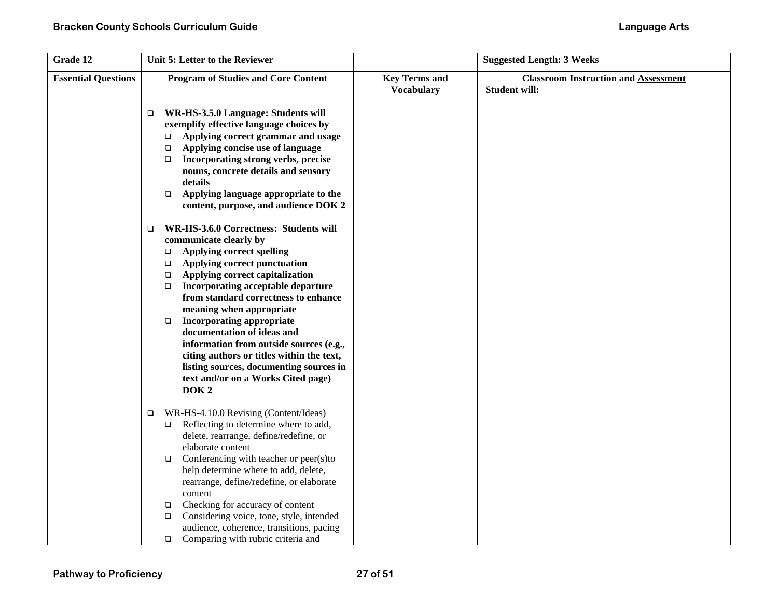| Grade 12                   | Unit 5: Letter to the Reviewer                                                                                                                                                                                                                                                                                                                                                                                                                                                                                                                                                                               |                                           | <b>Suggested Length: 3 Weeks</b>                                    |
|----------------------------|--------------------------------------------------------------------------------------------------------------------------------------------------------------------------------------------------------------------------------------------------------------------------------------------------------------------------------------------------------------------------------------------------------------------------------------------------------------------------------------------------------------------------------------------------------------------------------------------------------------|-------------------------------------------|---------------------------------------------------------------------|
| <b>Essential Questions</b> | <b>Program of Studies and Core Content</b>                                                                                                                                                                                                                                                                                                                                                                                                                                                                                                                                                                   | <b>Key Terms and</b><br><b>Vocabulary</b> | <b>Classroom Instruction and Assessment</b><br><b>Student will:</b> |
|                            | WR-HS-3.5.0 Language: Students will<br>□<br>exemplify effective language choices by<br>Applying correct grammar and usage<br>$\Box$<br>Applying concise use of language<br>$\Box$<br>Incorporating strong verbs, precise<br>$\Box$<br>nouns, concrete details and sensory<br>details<br>Applying language appropriate to the<br>$\Box$<br>content, purpose, and audience DOK 2                                                                                                                                                                                                                               |                                           |                                                                     |
|                            | WR-HS-3.6.0 Correctness: Students will<br>$\Box$<br>communicate clearly by<br><b>Applying correct spelling</b><br>$\Box$<br>Applying correct punctuation<br>$\Box$<br>Applying correct capitalization<br>$\Box$<br>Incorporating acceptable departure<br>$\Box$<br>from standard correctness to enhance<br>meaning when appropriate<br><b>Incorporating appropriate</b><br>$\Box$<br>documentation of ideas and<br>information from outside sources (e.g.,<br>citing authors or titles within the text,<br>listing sources, documenting sources in<br>text and/or on a Works Cited page)<br>DOK <sub>2</sub> |                                           |                                                                     |
|                            | WR-HS-4.10.0 Revising (Content/Ideas)<br>$\Box$<br>Reflecting to determine where to add,<br>$\Box$<br>delete, rearrange, define/redefine, or<br>elaborate content<br>Conferencing with teacher or peer(s)to<br>$\Box$<br>help determine where to add, delete,<br>rearrange, define/redefine, or elaborate<br>content                                                                                                                                                                                                                                                                                         |                                           |                                                                     |
|                            | Checking for accuracy of content<br>$\Box$<br>Considering voice, tone, style, intended<br>$\Box$<br>audience, coherence, transitions, pacing<br>Comparing with rubric criteria and<br>$\Box$                                                                                                                                                                                                                                                                                                                                                                                                                 |                                           |                                                                     |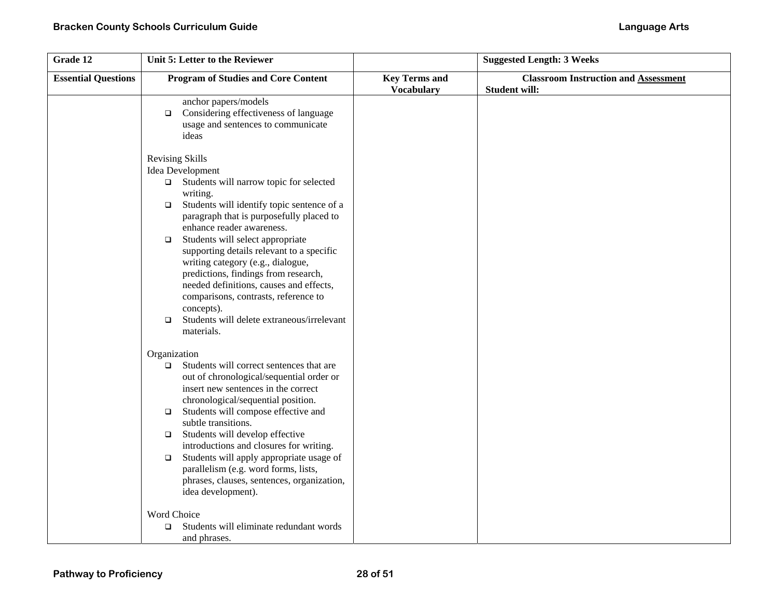| Grade 12                   | Unit 5: Letter to the Reviewer                                                                                                                                                                                                                                                                                                                                                                                                                                                                                                                                             |                                           | <b>Suggested Length: 3 Weeks</b>                                    |
|----------------------------|----------------------------------------------------------------------------------------------------------------------------------------------------------------------------------------------------------------------------------------------------------------------------------------------------------------------------------------------------------------------------------------------------------------------------------------------------------------------------------------------------------------------------------------------------------------------------|-------------------------------------------|---------------------------------------------------------------------|
| <b>Essential Questions</b> | <b>Program of Studies and Core Content</b>                                                                                                                                                                                                                                                                                                                                                                                                                                                                                                                                 | <b>Key Terms and</b><br><b>Vocabulary</b> | <b>Classroom Instruction and Assessment</b><br><b>Student will:</b> |
|                            | anchor papers/models<br>Considering effectiveness of language<br>$\Box$<br>usage and sentences to communicate<br>ideas                                                                                                                                                                                                                                                                                                                                                                                                                                                     |                                           |                                                                     |
|                            | <b>Revising Skills</b><br>Idea Development<br>$\Box$ Students will narrow topic for selected<br>writing.<br>Students will identify topic sentence of a<br>$\Box$<br>paragraph that is purposefully placed to<br>enhance reader awareness.<br>Students will select appropriate<br>$\Box$<br>supporting details relevant to a specific<br>writing category (e.g., dialogue,<br>predictions, findings from research,<br>needed definitions, causes and effects,<br>comparisons, contrasts, reference to<br>concepts).<br>Students will delete extraneous/irrelevant<br>$\Box$ |                                           |                                                                     |
|                            | materials.<br>Organization<br>Students will correct sentences that are<br>$\Box$<br>out of chronological/sequential order or<br>insert new sentences in the correct<br>chronological/sequential position.<br>Students will compose effective and<br>$\Box$<br>subtle transitions.<br>Students will develop effective<br>$\Box$<br>introductions and closures for writing.<br>Students will apply appropriate usage of<br>$\Box$<br>parallelism (e.g. word forms, lists,<br>phrases, clauses, sentences, organization,<br>idea development).                                |                                           |                                                                     |
|                            | Word Choice<br>Students will eliminate redundant words<br>$\Box$<br>and phrases.                                                                                                                                                                                                                                                                                                                                                                                                                                                                                           |                                           |                                                                     |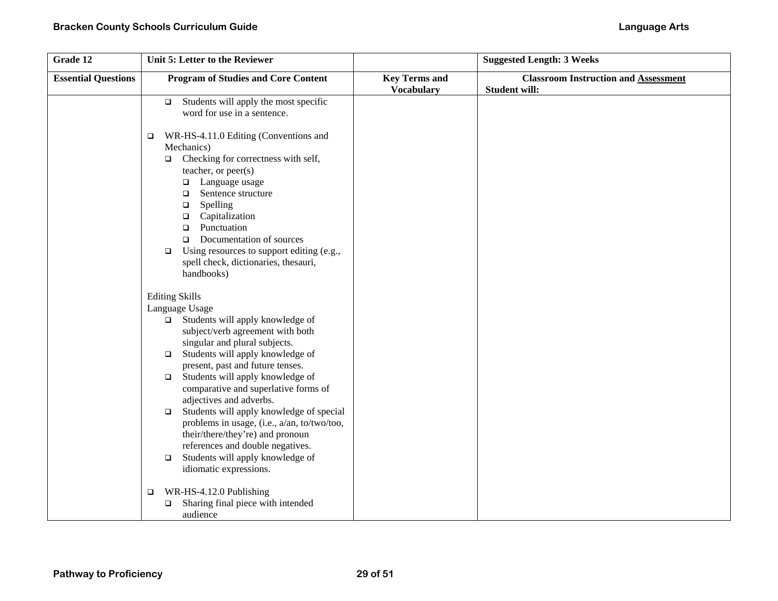| Grade 12                   | Unit 5: Letter to the Reviewer                                                 |                      | <b>Suggested Length: 3 Weeks</b>            |
|----------------------------|--------------------------------------------------------------------------------|----------------------|---------------------------------------------|
| <b>Essential Questions</b> | <b>Program of Studies and Core Content</b>                                     | <b>Key Terms and</b> | <b>Classroom Instruction and Assessment</b> |
|                            |                                                                                | <b>Vocabulary</b>    | <b>Student will:</b>                        |
|                            | Students will apply the most specific<br>$\Box$                                |                      |                                             |
|                            | word for use in a sentence.                                                    |                      |                                             |
|                            |                                                                                |                      |                                             |
|                            | WR-HS-4.11.0 Editing (Conventions and<br>□                                     |                      |                                             |
|                            | Mechanics)                                                                     |                      |                                             |
|                            | Checking for correctness with self,<br>$\Box$                                  |                      |                                             |
|                            | teacher, or peer(s)                                                            |                      |                                             |
|                            | □ Language usage<br>Sentence structure                                         |                      |                                             |
|                            | $\Box$<br>Spelling<br>$\Box$                                                   |                      |                                             |
|                            | Capitalization<br>$\Box$                                                       |                      |                                             |
|                            | Punctuation<br>$\Box$                                                          |                      |                                             |
|                            | Documentation of sources<br>$\Box$                                             |                      |                                             |
|                            | Using resources to support editing (e.g.,<br>$\Box$                            |                      |                                             |
|                            | spell check, dictionaries, thesauri,                                           |                      |                                             |
|                            | handbooks)                                                                     |                      |                                             |
|                            |                                                                                |                      |                                             |
|                            | <b>Editing Skills</b>                                                          |                      |                                             |
|                            | Language Usage                                                                 |                      |                                             |
|                            | Students will apply knowledge of<br>$\Box$                                     |                      |                                             |
|                            | subject/verb agreement with both                                               |                      |                                             |
|                            | singular and plural subjects.                                                  |                      |                                             |
|                            | Students will apply knowledge of<br>$\Box$                                     |                      |                                             |
|                            | present, past and future tenses.<br>Students will apply knowledge of<br>$\Box$ |                      |                                             |
|                            | comparative and superlative forms of                                           |                      |                                             |
|                            | adjectives and adverbs.                                                        |                      |                                             |
|                            | Students will apply knowledge of special<br>$\Box$                             |                      |                                             |
|                            | problems in usage, (i.e., a/an, to/two/too,                                    |                      |                                             |
|                            | their/there/they're) and pronoun                                               |                      |                                             |
|                            | references and double negatives.                                               |                      |                                             |
|                            | Students will apply knowledge of<br>$\Box$                                     |                      |                                             |
|                            | idiomatic expressions.                                                         |                      |                                             |
|                            |                                                                                |                      |                                             |
|                            | WR-HS-4.12.0 Publishing<br>$\Box$                                              |                      |                                             |
|                            | Sharing final piece with intended<br>$\Box$                                    |                      |                                             |
|                            | audience                                                                       |                      |                                             |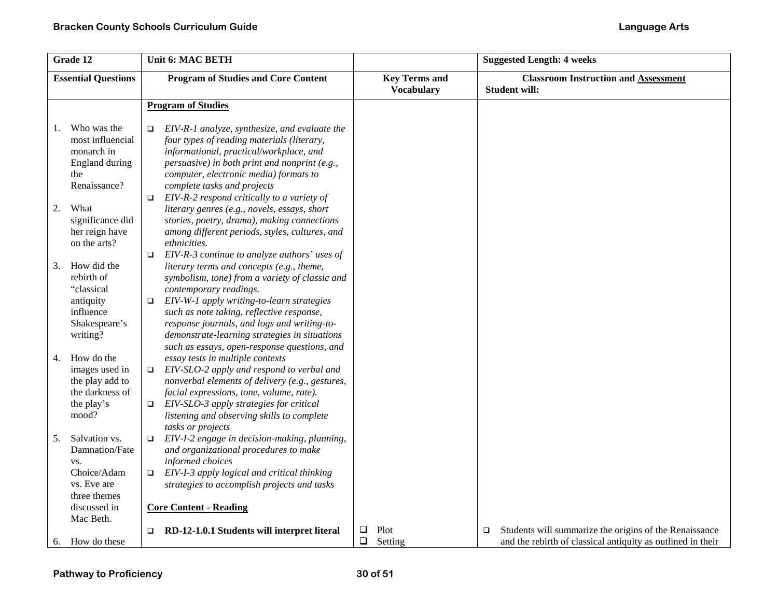| Grade 12                                                                                                                | Unit 6: MAC BETH                                                                                                                                                                                                                                                                                                                                               |                                           | <b>Suggested Length: 4 weeks</b>                                                                                                |
|-------------------------------------------------------------------------------------------------------------------------|----------------------------------------------------------------------------------------------------------------------------------------------------------------------------------------------------------------------------------------------------------------------------------------------------------------------------------------------------------------|-------------------------------------------|---------------------------------------------------------------------------------------------------------------------------------|
| <b>Essential Questions</b>                                                                                              | <b>Program of Studies and Core Content</b>                                                                                                                                                                                                                                                                                                                     | <b>Key Terms and</b><br><b>Vocabulary</b> | <b>Classroom Instruction and Assessment</b><br><b>Student will:</b>                                                             |
|                                                                                                                         | <b>Program of Studies</b>                                                                                                                                                                                                                                                                                                                                      |                                           |                                                                                                                                 |
| Who was the<br>1.<br>most influencial<br>monarch in                                                                     | EIV-R-1 analyze, synthesize, and evaluate the<br>$\Box$<br>four types of reading materials (literary,<br>informational, practical/workplace, and                                                                                                                                                                                                               |                                           |                                                                                                                                 |
| England during<br>the<br>Renaissance?                                                                                   | persuasive) in both print and nonprint (e.g.,<br>computer, electronic media) formats to<br>complete tasks and projects<br>EIV-R-2 respond critically to a variety of<br>$\Box$                                                                                                                                                                                 |                                           |                                                                                                                                 |
| 2.<br>What<br>significance did<br>her reign have<br>on the arts?                                                        | literary genres (e.g., novels, essays, short<br>stories, poetry, drama), making connections<br>among different periods, styles, cultures, and<br>ethnicities.<br>EIV-R-3 continue to analyze authors' uses of<br>$\Box$                                                                                                                                        |                                           |                                                                                                                                 |
| How did the<br>3.<br>rebirth of<br>"classical<br>antiquity<br>influence<br>Shakespeare's<br>writing?                    | literary terms and concepts (e.g., theme,<br>symbolism, tone) from a variety of classic and<br>contemporary readings.<br>EIV-W-1 apply writing-to-learn strategies<br>$\Box$<br>such as note taking, reflective response,<br>response journals, and logs and writing-to-<br>demonstrate-learning strategies in situations                                      |                                           |                                                                                                                                 |
| How do the<br>4.<br>images used in<br>the play add to<br>the darkness of<br>the play's<br>mood?                         | such as essays, open-response questions, and<br>essay tests in multiple contexts<br>EIV-SLO-2 apply and respond to verbal and<br>$\Box$<br>nonverbal elements of delivery (e.g., gestures,<br>facial expressions, tone, volume, rate).<br>EIV-SLO-3 apply strategies for critical<br>$\Box$<br>listening and observing skills to complete<br>tasks or projects |                                           |                                                                                                                                 |
| Salvation vs.<br>5.<br>Damnation/Fate<br>VS.<br>Choice/Adam<br>vs. Eve are<br>three themes<br>discussed in<br>Mac Beth. | EIV-I-2 engage in decision-making, planning,<br>$\Box$<br>and organizational procedures to make<br>informed choices<br>EIV-I-3 apply logical and critical thinking<br>$\Box$<br>strategies to accomplish projects and tasks<br><b>Core Content - Reading</b>                                                                                                   |                                           |                                                                                                                                 |
| How do these<br>6.                                                                                                      | $\Box$ RD-12-1.0.1 Students will interpret literal                                                                                                                                                                                                                                                                                                             | $\Box$<br>Plot<br>$\Box$<br>Setting       | Students will summarize the origins of the Renaissance<br>$\Box$<br>and the rebirth of classical antiquity as outlined in their |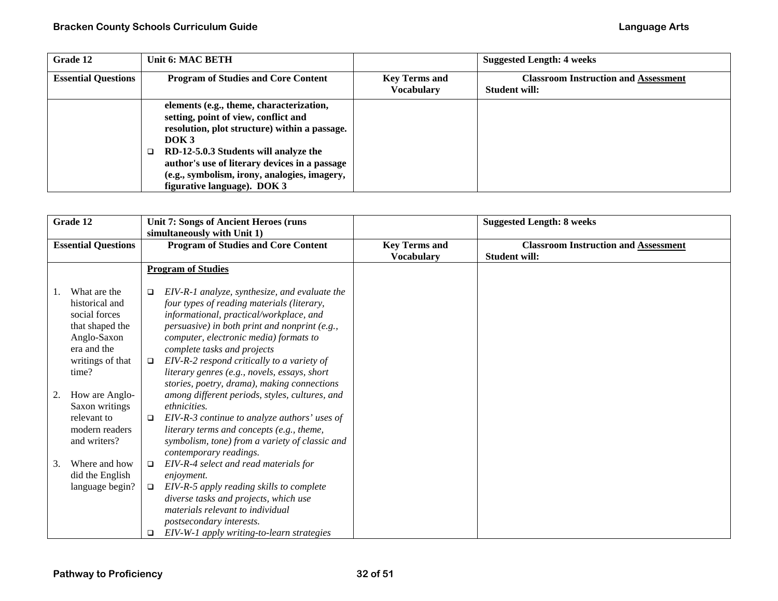| Grade 12                   | Unit 6: MAC BETH                                                                                                                                                                                                                                                                                                               |                                           | <b>Suggested Length: 4 weeks</b>                                    |
|----------------------------|--------------------------------------------------------------------------------------------------------------------------------------------------------------------------------------------------------------------------------------------------------------------------------------------------------------------------------|-------------------------------------------|---------------------------------------------------------------------|
| <b>Essential Questions</b> | <b>Program of Studies and Core Content</b>                                                                                                                                                                                                                                                                                     | <b>Key Terms and</b><br><b>Vocabulary</b> | <b>Classroom Instruction and Assessment</b><br><b>Student will:</b> |
|                            | elements (e.g., theme, characterization,<br>setting, point of view, conflict and<br>resolution, plot structure) within a passage.<br>DOK <sub>3</sub><br>RD-12-5.0.3 Students will analyze the<br>author's use of literary devices in a passage<br>(e.g., symbolism, irony, analogies, imagery,<br>figurative language). DOK 3 |                                           |                                                                     |

| Grade 12       |                                                                                                                               |                       | <b>Unit 7: Songs of Ancient Heroes (runs)</b>                                                                                                                                                                                                                                                                                                                  |                                           | <b>Suggested Length: 8 weeks</b>                                    |
|----------------|-------------------------------------------------------------------------------------------------------------------------------|-----------------------|----------------------------------------------------------------------------------------------------------------------------------------------------------------------------------------------------------------------------------------------------------------------------------------------------------------------------------------------------------------|-------------------------------------------|---------------------------------------------------------------------|
|                |                                                                                                                               |                       | simultaneously with Unit 1)                                                                                                                                                                                                                                                                                                                                    |                                           |                                                                     |
|                | <b>Essential Questions</b>                                                                                                    |                       | <b>Program of Studies and Core Content</b>                                                                                                                                                                                                                                                                                                                     | <b>Key Terms and</b><br><b>Vocabulary</b> | <b>Classroom Instruction and Assessment</b><br><b>Student will:</b> |
|                |                                                                                                                               |                       | <b>Program of Studies</b>                                                                                                                                                                                                                                                                                                                                      |                                           |                                                                     |
| $\mathbf{I}$ . | What are the<br>historical and<br>social forces<br>that shaped the<br>Anglo-Saxon<br>era and the<br>writings of that<br>time? | □<br>$\Box$           | EIV-R-1 analyze, synthesize, and evaluate the<br>four types of reading materials (literary,<br>informational, practical/workplace, and<br>persuasive) in both print and nonprint (e.g.,<br>computer, electronic media) formats to<br>complete tasks and projects<br>EIV-R-2 respond critically to a variety of<br>literary genres (e.g., novels, essays, short |                                           |                                                                     |
| 2.             | How are Anglo-<br>Saxon writings<br>relevant to<br>modern readers<br>and writers?                                             | $\Box$                | stories, poetry, drama), making connections<br>among different periods, styles, cultures, and<br>ethnicities.<br>EIV-R-3 continue to analyze authors' uses of<br>literary terms and concepts (e.g., theme,<br>symbolism, tone) from a variety of classic and<br>contemporary readings.                                                                         |                                           |                                                                     |
| 3.             | Where and how<br>did the English<br>language begin?                                                                           | $\Box$<br>$\Box$<br>□ | EIV-R-4 select and read materials for<br>enjoyment.<br>EIV-R-5 apply reading skills to complete<br>diverse tasks and projects, which use<br>materials relevant to individual<br>postsecondary interests.<br>EIV-W-1 apply writing-to-learn strategies                                                                                                          |                                           |                                                                     |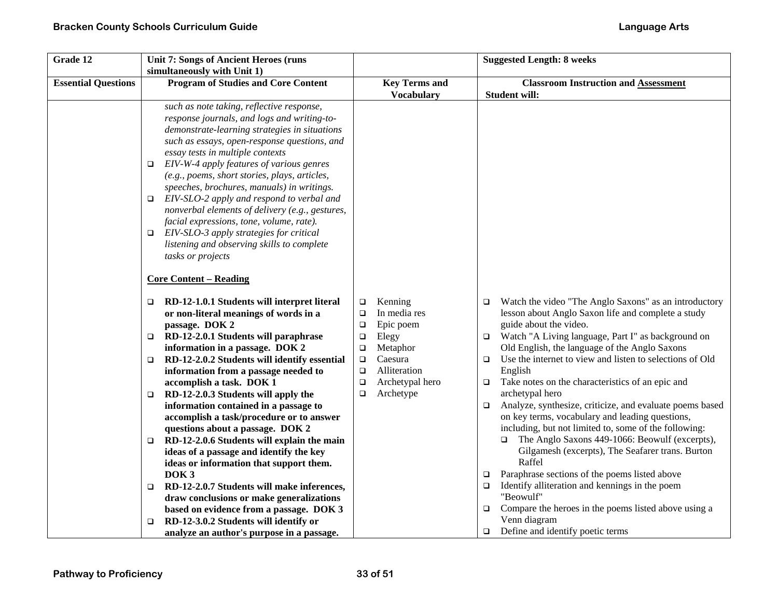| Grade 12                   | <b>Unit 7: Songs of Ancient Heroes (runs</b>                                                                                                                                                                                                                                                                                                                                                                                                                                                                                                                                                                                                                                                                                                                                                                                                                                                  |                                                                                                                                                                                                           | <b>Suggested Length: 8 weeks</b>                                                                                                                                                                                                                                                                                                                                                                                                                                                                                                                                                                                                                                                                                                                                                                                                                                                                                                                                                                         |
|----------------------------|-----------------------------------------------------------------------------------------------------------------------------------------------------------------------------------------------------------------------------------------------------------------------------------------------------------------------------------------------------------------------------------------------------------------------------------------------------------------------------------------------------------------------------------------------------------------------------------------------------------------------------------------------------------------------------------------------------------------------------------------------------------------------------------------------------------------------------------------------------------------------------------------------|-----------------------------------------------------------------------------------------------------------------------------------------------------------------------------------------------------------|----------------------------------------------------------------------------------------------------------------------------------------------------------------------------------------------------------------------------------------------------------------------------------------------------------------------------------------------------------------------------------------------------------------------------------------------------------------------------------------------------------------------------------------------------------------------------------------------------------------------------------------------------------------------------------------------------------------------------------------------------------------------------------------------------------------------------------------------------------------------------------------------------------------------------------------------------------------------------------------------------------|
| <b>Essential Questions</b> | simultaneously with Unit 1)<br><b>Program of Studies and Core Content</b>                                                                                                                                                                                                                                                                                                                                                                                                                                                                                                                                                                                                                                                                                                                                                                                                                     | <b>Key Terms and</b><br><b>Vocabulary</b>                                                                                                                                                                 | <b>Classroom Instruction and Assessment</b><br><b>Student will:</b>                                                                                                                                                                                                                                                                                                                                                                                                                                                                                                                                                                                                                                                                                                                                                                                                                                                                                                                                      |
|                            | such as note taking, reflective response,<br>response journals, and logs and writing-to-<br>demonstrate-learning strategies in situations<br>such as essays, open-response questions, and<br>essay tests in multiple contexts<br>EIV-W-4 apply features of various genres<br>o<br>(e.g., poems, short stories, plays, articles,<br>speeches, brochures, manuals) in writings.<br>EIV-SLO-2 apply and respond to verbal and<br>nonverbal elements of delivery (e.g., gestures,<br>facial expressions, tone, volume, rate).<br>EIV-SLO-3 apply strategies for critical<br>□<br>listening and observing skills to complete<br>tasks or projects                                                                                                                                                                                                                                                  |                                                                                                                                                                                                           |                                                                                                                                                                                                                                                                                                                                                                                                                                                                                                                                                                                                                                                                                                                                                                                                                                                                                                                                                                                                          |
|                            | <b>Core Content - Reading</b>                                                                                                                                                                                                                                                                                                                                                                                                                                                                                                                                                                                                                                                                                                                                                                                                                                                                 |                                                                                                                                                                                                           |                                                                                                                                                                                                                                                                                                                                                                                                                                                                                                                                                                                                                                                                                                                                                                                                                                                                                                                                                                                                          |
|                            | RD-12-1.0.1 Students will interpret literal<br>□<br>or non-literal meanings of words in a<br>passage. DOK 2<br>RD-12-2.0.1 Students will paraphrase<br>o.<br>information in a passage. DOK 2<br>RD-12-2.0.2 Students will identify essential<br>o.<br>information from a passage needed to<br>accomplish a task. DOK 1<br>RD-12-2.0.3 Students will apply the<br>❏<br>information contained in a passage to<br>accomplish a task/procedure or to answer<br>questions about a passage. DOK 2<br>RD-12-2.0.6 Students will explain the main<br>❏<br>ideas of a passage and identify the key<br>ideas or information that support them.<br>DOK <sub>3</sub><br>RD-12-2.0.7 Students will make inferences,<br>□<br>draw conclusions or make generalizations<br>based on evidence from a passage. DOK 3<br>RD-12-3.0.2 Students will identify or<br>□<br>analyze an author's purpose in a passage. | Kenning<br>□<br>In media res<br>$\Box$<br>Epic poem<br>$\Box$<br>Elegy<br>$\Box$<br>Metaphor<br>$\Box$<br>Caesura<br>$\Box$<br>Alliteration<br>$\Box$<br>Archetypal hero<br>$\Box$<br>Archetype<br>$\Box$ | Watch the video "The Anglo Saxons" as an introductory<br>$\Box$<br>lesson about Anglo Saxon life and complete a study<br>guide about the video.<br>Watch "A Living language, Part I" as background on<br>$\Box$<br>Old English, the language of the Anglo Saxons<br>Use the internet to view and listen to selections of Old<br>$\Box$<br>English<br>Take notes on the characteristics of an epic and<br>$\Box$<br>archetypal hero<br>Analyze, synthesize, criticize, and evaluate poems based<br>$\Box$<br>on key terms, vocabulary and leading questions,<br>including, but not limited to, some of the following:<br>The Anglo Saxons 449-1066: Beowulf (excerpts),<br>Gilgamesh (excerpts), The Seafarer trans. Burton<br>Raffel<br>Paraphrase sections of the poems listed above<br>$\Box$<br>Identify alliteration and kennings in the poem<br>$\Box$<br>"Beowulf"<br>Compare the heroes in the poems listed above using a<br>$\Box$<br>Venn diagram<br>Define and identify poetic terms<br>$\Box$ |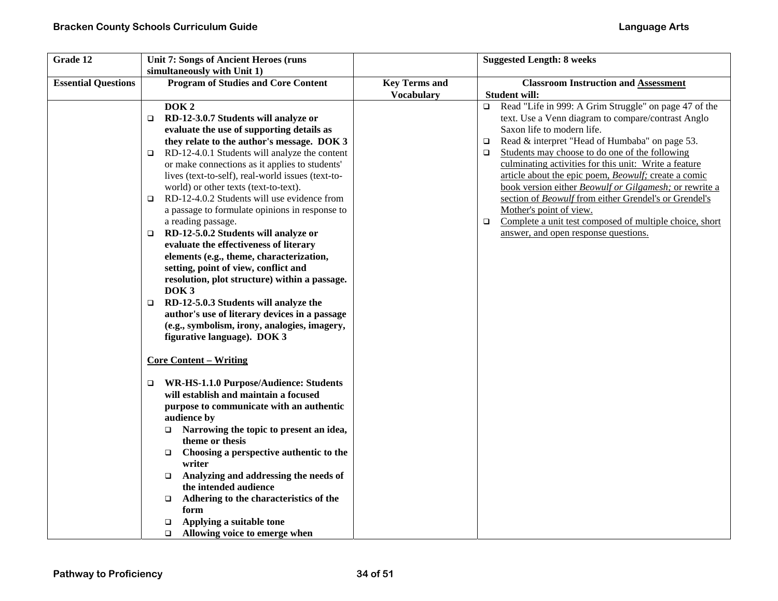| Grade 12                   | <b>Unit 7: Songs of Ancient Heroes (runs</b>                                                                                                                                                                                                                                                                                                                                                                                                                                                                                                                                                                                                                                                                                                                                                                                                                                                                                                                                                                                                                                                                                                                                                                                                                                                                                                                                         |                      | <b>Suggested Length: 8 weeks</b>                                                                                                                                                                                                                                                                                                                                                                                                                                                                                                                                                                                                                                                |
|----------------------------|--------------------------------------------------------------------------------------------------------------------------------------------------------------------------------------------------------------------------------------------------------------------------------------------------------------------------------------------------------------------------------------------------------------------------------------------------------------------------------------------------------------------------------------------------------------------------------------------------------------------------------------------------------------------------------------------------------------------------------------------------------------------------------------------------------------------------------------------------------------------------------------------------------------------------------------------------------------------------------------------------------------------------------------------------------------------------------------------------------------------------------------------------------------------------------------------------------------------------------------------------------------------------------------------------------------------------------------------------------------------------------------|----------------------|---------------------------------------------------------------------------------------------------------------------------------------------------------------------------------------------------------------------------------------------------------------------------------------------------------------------------------------------------------------------------------------------------------------------------------------------------------------------------------------------------------------------------------------------------------------------------------------------------------------------------------------------------------------------------------|
| <b>Essential Questions</b> | simultaneously with Unit 1)<br><b>Program of Studies and Core Content</b>                                                                                                                                                                                                                                                                                                                                                                                                                                                                                                                                                                                                                                                                                                                                                                                                                                                                                                                                                                                                                                                                                                                                                                                                                                                                                                            | <b>Key Terms and</b> | <b>Classroom Instruction and Assessment</b>                                                                                                                                                                                                                                                                                                                                                                                                                                                                                                                                                                                                                                     |
|                            | DOK <sub>2</sub><br>RD-12-3.0.7 Students will analyze or<br>evaluate the use of supporting details as<br>they relate to the author's message. DOK 3<br>RD-12-4.0.1 Students will analyze the content<br>□<br>or make connections as it applies to students'<br>lives (text-to-self), real-world issues (text-to-<br>world) or other texts (text-to-text).<br>RD-12-4.0.2 Students will use evidence from<br>$\Box$<br>a passage to formulate opinions in response to<br>a reading passage.<br>RD-12-5.0.2 Students will analyze or<br>□<br>evaluate the effectiveness of literary<br>elements (e.g., theme, characterization,<br>setting, point of view, conflict and<br>resolution, plot structure) within a passage.<br>DOK <sub>3</sub><br>RD-12-5.0.3 Students will analyze the<br>□<br>author's use of literary devices in a passage<br>(e.g., symbolism, irony, analogies, imagery,<br>figurative language). DOK 3<br><b>Core Content – Writing</b><br>WR-HS-1.1.0 Purpose/Audience: Students<br>$\Box$<br>will establish and maintain a focused<br>purpose to communicate with an authentic<br>audience by<br>Narrowing the topic to present an idea,<br>$\Box$<br>theme or thesis<br>Choosing a perspective authentic to the<br>$\Box$<br>writer<br>Analyzing and addressing the needs of<br>$\Box$<br>the intended audience<br>Adhering to the characteristics of the<br>O. | <b>Vocabulary</b>    | <b>Student will:</b><br>Read "Life in 999: A Grim Struggle" on page 47 of the<br>$\Box$<br>text. Use a Venn diagram to compare/contrast Anglo<br>Saxon life to modern life.<br>Read & interpret "Head of Humbaba" on page 53.<br>$\Box$<br>Students may choose to do one of the following<br>$\Box$<br>culminating activities for this unit: Write a feature<br>article about the epic poem, Beowulf; create a comic<br>book version either Beowulf or Gilgamesh; or rewrite a<br>section of Beowulf from either Grendel's or Grendel's<br>Mother's point of view.<br>Complete a unit test composed of multiple choice, short<br>$\Box$<br>answer, and open response questions. |
|                            | form<br>Applying a suitable tone                                                                                                                                                                                                                                                                                                                                                                                                                                                                                                                                                                                                                                                                                                                                                                                                                                                                                                                                                                                                                                                                                                                                                                                                                                                                                                                                                     |                      |                                                                                                                                                                                                                                                                                                                                                                                                                                                                                                                                                                                                                                                                                 |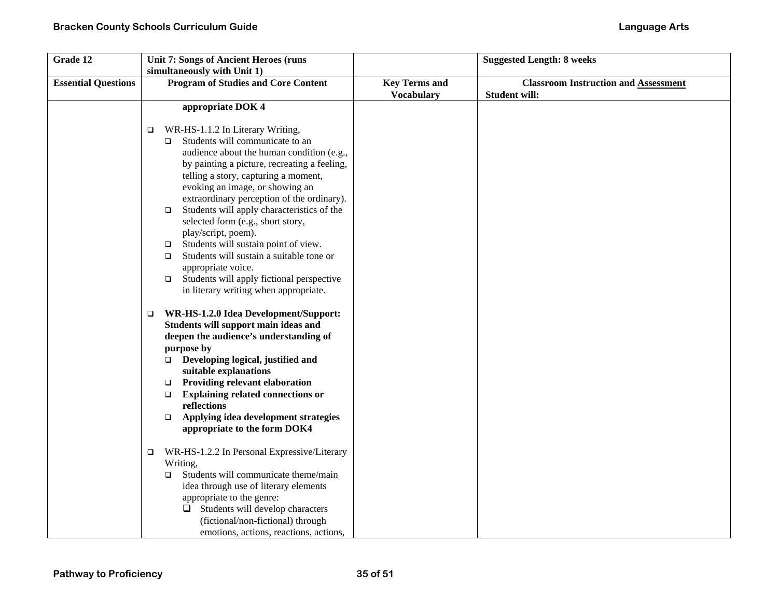| Grade 12                   | <b>Unit 7: Songs of Ancient Heroes (runs</b>          |                      | <b>Suggested Length: 8 weeks</b>            |
|----------------------------|-------------------------------------------------------|----------------------|---------------------------------------------|
|                            | simultaneously with Unit 1)                           |                      |                                             |
| <b>Essential Questions</b> | <b>Program of Studies and Core Content</b>            | <b>Key Terms and</b> | <b>Classroom Instruction and Assessment</b> |
|                            |                                                       | <b>Vocabulary</b>    | <b>Student will:</b>                        |
|                            | appropriate DOK 4                                     |                      |                                             |
|                            |                                                       |                      |                                             |
|                            | WR-HS-1.1.2 In Literary Writing,<br>□                 |                      |                                             |
|                            | Students will communicate to an<br>$\Box$             |                      |                                             |
|                            | audience about the human condition (e.g.,             |                      |                                             |
|                            | by painting a picture, recreating a feeling,          |                      |                                             |
|                            | telling a story, capturing a moment,                  |                      |                                             |
|                            | evoking an image, or showing an                       |                      |                                             |
|                            | extraordinary perception of the ordinary).            |                      |                                             |
|                            | Students will apply characteristics of the<br>$\Box$  |                      |                                             |
|                            | selected form (e.g., short story,                     |                      |                                             |
|                            | play/script, poem).                                   |                      |                                             |
|                            | Students will sustain point of view.<br>$\Box$        |                      |                                             |
|                            | Students will sustain a suitable tone or<br>$\Box$    |                      |                                             |
|                            | appropriate voice.                                    |                      |                                             |
|                            | Students will apply fictional perspective<br>$\Box$   |                      |                                             |
|                            | in literary writing when appropriate.                 |                      |                                             |
|                            | WR-HS-1.2.0 Idea Development/Support:<br>□            |                      |                                             |
|                            | Students will support main ideas and                  |                      |                                             |
|                            | deepen the audience's understanding of                |                      |                                             |
|                            | purpose by                                            |                      |                                             |
|                            | $\Box$ Developing logical, justified and              |                      |                                             |
|                            | suitable explanations                                 |                      |                                             |
|                            | <b>Providing relevant elaboration</b><br>$\Box$       |                      |                                             |
|                            | <b>Explaining related connections or</b><br>$\Box$    |                      |                                             |
|                            | reflections                                           |                      |                                             |
|                            | Applying idea development strategies<br>$\Box$        |                      |                                             |
|                            | appropriate to the form DOK4                          |                      |                                             |
|                            | WR-HS-1.2.2 In Personal Expressive/Literary<br>$\Box$ |                      |                                             |
|                            | Writing,                                              |                      |                                             |
|                            | Students will communicate theme/main<br>$\Box$        |                      |                                             |
|                            | idea through use of literary elements                 |                      |                                             |
|                            | appropriate to the genre:                             |                      |                                             |
|                            | $\Box$ Students will develop characters               |                      |                                             |
|                            | (fictional/non-fictional) through                     |                      |                                             |
|                            | emotions, actions, reactions, actions,                |                      |                                             |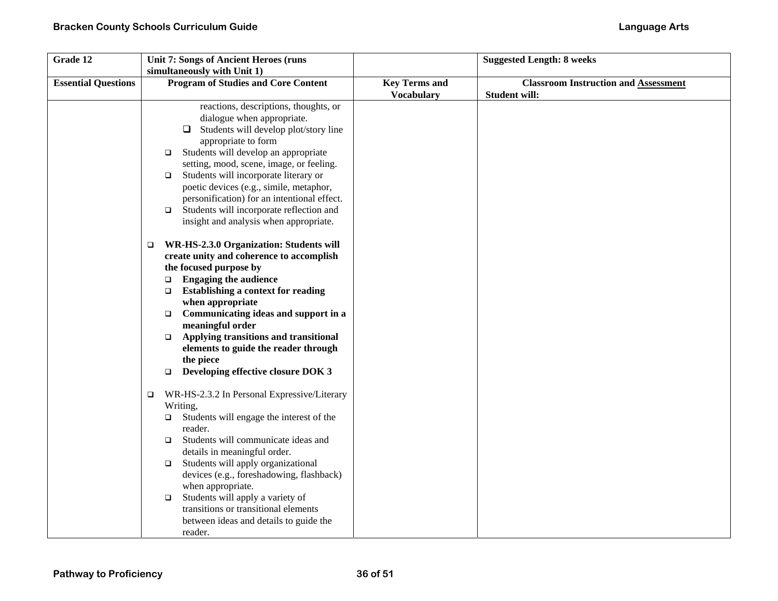| Grade 12                   | Unit 7: Songs of Ancient Heroes (runs                 |                      | <b>Suggested Length: 8 weeks</b>            |
|----------------------------|-------------------------------------------------------|----------------------|---------------------------------------------|
|                            | simultaneously with Unit 1)                           |                      |                                             |
| <b>Essential Questions</b> | <b>Program of Studies and Core Content</b>            | <b>Key Terms and</b> | <b>Classroom Instruction and Assessment</b> |
|                            |                                                       | <b>Vocabulary</b>    | <b>Student will:</b>                        |
|                            | reactions, descriptions, thoughts, or                 |                      |                                             |
|                            | dialogue when appropriate.                            |                      |                                             |
|                            | Students will develop plot/story line<br>□            |                      |                                             |
|                            | appropriate to form                                   |                      |                                             |
|                            | Students will develop an appropriate<br>$\Box$        |                      |                                             |
|                            | setting, mood, scene, image, or feeling.              |                      |                                             |
|                            | Students will incorporate literary or<br>$\Box$       |                      |                                             |
|                            | poetic devices (e.g., simile, metaphor,               |                      |                                             |
|                            | personification) for an intentional effect.           |                      |                                             |
|                            | Students will incorporate reflection and<br>$\Box$    |                      |                                             |
|                            | insight and analysis when appropriate.                |                      |                                             |
|                            |                                                       |                      |                                             |
|                            | WR-HS-2.3.0 Organization: Students will<br>$\Box$     |                      |                                             |
|                            | create unity and coherence to accomplish              |                      |                                             |
|                            | the focused purpose by                                |                      |                                             |
|                            | <b>Engaging the audience</b><br>$\Box$                |                      |                                             |
|                            | <b>Establishing a context for reading</b><br>$\Box$   |                      |                                             |
|                            | when appropriate                                      |                      |                                             |
|                            | Communicating ideas and support in a<br>$\Box$        |                      |                                             |
|                            | meaningful order                                      |                      |                                             |
|                            | Applying transitions and transitional<br>$\Box$       |                      |                                             |
|                            | elements to guide the reader through                  |                      |                                             |
|                            | the piece                                             |                      |                                             |
|                            | Developing effective closure DOK 3<br>$\Box$          |                      |                                             |
|                            | WR-HS-2.3.2 In Personal Expressive/Literary<br>$\Box$ |                      |                                             |
|                            | Writing,                                              |                      |                                             |
|                            | Students will engage the interest of the<br>□         |                      |                                             |
|                            | reader.                                               |                      |                                             |
|                            | Students will communicate ideas and<br>$\Box$         |                      |                                             |
|                            | details in meaningful order.                          |                      |                                             |
|                            | Students will apply organizational<br>$\Box$          |                      |                                             |
|                            | devices (e.g., foreshadowing, flashback)              |                      |                                             |
|                            | when appropriate.                                     |                      |                                             |
|                            | Students will apply a variety of<br>$\Box$            |                      |                                             |
|                            | transitions or transitional elements                  |                      |                                             |
|                            | between ideas and details to guide the                |                      |                                             |
|                            | reader.                                               |                      |                                             |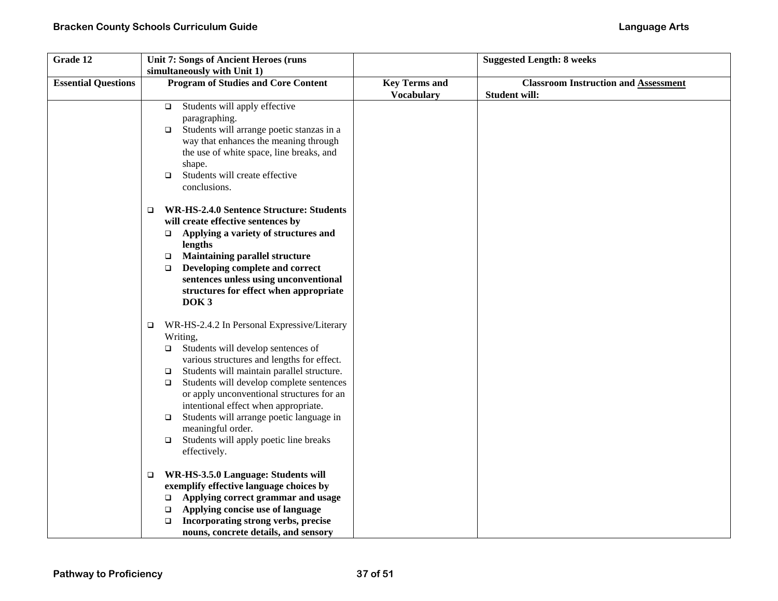| Grade 12                   | Unit 7: Songs of Ancient Heroes (runs                                                                                                                                                                                                                                                                                                                                                                                                                                                                                                                                                                                                                                                                                                                                                                                                               |                      | <b>Suggested Length: 8 weeks</b>            |
|----------------------------|-----------------------------------------------------------------------------------------------------------------------------------------------------------------------------------------------------------------------------------------------------------------------------------------------------------------------------------------------------------------------------------------------------------------------------------------------------------------------------------------------------------------------------------------------------------------------------------------------------------------------------------------------------------------------------------------------------------------------------------------------------------------------------------------------------------------------------------------------------|----------------------|---------------------------------------------|
| <b>Essential Questions</b> | simultaneously with Unit 1)<br><b>Program of Studies and Core Content</b>                                                                                                                                                                                                                                                                                                                                                                                                                                                                                                                                                                                                                                                                                                                                                                           | <b>Key Terms and</b> | <b>Classroom Instruction and Assessment</b> |
|                            | Students will apply effective<br>$\Box$<br>paragraphing.<br>Students will arrange poetic stanzas in a<br>$\Box$<br>way that enhances the meaning through<br>the use of white space, line breaks, and<br>shape.<br>Students will create effective<br>$\Box$<br>conclusions.<br><b>WR-HS-2.4.0 Sentence Structure: Students</b><br>$\Box$<br>will create effective sentences by<br>Applying a variety of structures and<br>$\Box$<br>lengths<br><b>Maintaining parallel structure</b><br>$\Box$<br>Developing complete and correct<br>$\Box$<br>sentences unless using unconventional                                                                                                                                                                                                                                                                 | <b>Vocabulary</b>    | <b>Student will:</b>                        |
|                            | structures for effect when appropriate<br>DOK <sub>3</sub><br>WR-HS-2.4.2 In Personal Expressive/Literary<br>$\Box$<br>Writing,<br>Students will develop sentences of<br>□<br>various structures and lengths for effect.<br>Students will maintain parallel structure.<br>$\Box$<br>Students will develop complete sentences<br>$\Box$<br>or apply unconventional structures for an<br>intentional effect when appropriate.<br>Students will arrange poetic language in<br>$\Box$<br>meaningful order.<br>Students will apply poetic line breaks<br>$\Box$<br>effectively.<br>WR-HS-3.5.0 Language: Students will<br>$\Box$<br>exemplify effective language choices by<br>Applying correct grammar and usage<br>□<br>Applying concise use of language<br>❏<br>Incorporating strong verbs, precise<br>$\Box$<br>nouns, concrete details, and sensory |                      |                                             |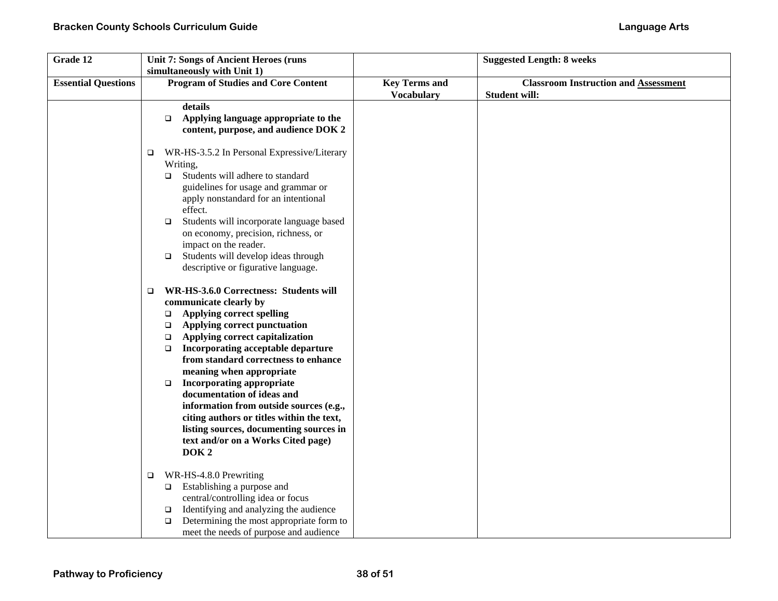| Grade 12                   | <b>Unit 7: Songs of Ancient Heroes (runs</b>                                                                                                                                                                                                                                                                                                                                                                                                                                                                                                                                                                 |                      | <b>Suggested Length: 8 weeks</b>            |
|----------------------------|--------------------------------------------------------------------------------------------------------------------------------------------------------------------------------------------------------------------------------------------------------------------------------------------------------------------------------------------------------------------------------------------------------------------------------------------------------------------------------------------------------------------------------------------------------------------------------------------------------------|----------------------|---------------------------------------------|
| <b>Essential Questions</b> | simultaneously with Unit 1)<br><b>Program of Studies and Core Content</b>                                                                                                                                                                                                                                                                                                                                                                                                                                                                                                                                    | <b>Key Terms and</b> | <b>Classroom Instruction and Assessment</b> |
|                            |                                                                                                                                                                                                                                                                                                                                                                                                                                                                                                                                                                                                              | <b>Vocabulary</b>    | <b>Student will:</b>                        |
|                            | details<br>Applying language appropriate to the<br>$\Box$<br>content, purpose, and audience DOK 2                                                                                                                                                                                                                                                                                                                                                                                                                                                                                                            |                      |                                             |
|                            | WR-HS-3.5.2 In Personal Expressive/Literary<br>▫<br>Writing,<br>Students will adhere to standard<br>$\Box$<br>guidelines for usage and grammar or<br>apply nonstandard for an intentional<br>effect.<br>Students will incorporate language based<br>$\Box$<br>on economy, precision, richness, or<br>impact on the reader.<br>Students will develop ideas through<br>$\Box$<br>descriptive or figurative language.                                                                                                                                                                                           |                      |                                             |
|                            | WR-HS-3.6.0 Correctness: Students will<br>$\Box$<br>communicate clearly by<br><b>Applying correct spelling</b><br>$\Box$<br>Applying correct punctuation<br>$\Box$<br>Applying correct capitalization<br>$\Box$<br>Incorporating acceptable departure<br>$\Box$<br>from standard correctness to enhance<br>meaning when appropriate<br><b>Incorporating appropriate</b><br>$\Box$<br>documentation of ideas and<br>information from outside sources (e.g.,<br>citing authors or titles within the text,<br>listing sources, documenting sources in<br>text and/or on a Works Cited page)<br>DOK <sub>2</sub> |                      |                                             |
|                            | WR-HS-4.8.0 Prewriting<br>$\Box$<br>Establishing a purpose and<br>$\Box$<br>central/controlling idea or focus<br>Identifying and analyzing the audience<br>$\Box$<br>Determining the most appropriate form to<br>$\Box$<br>meet the needs of purpose and audience                                                                                                                                                                                                                                                                                                                                            |                      |                                             |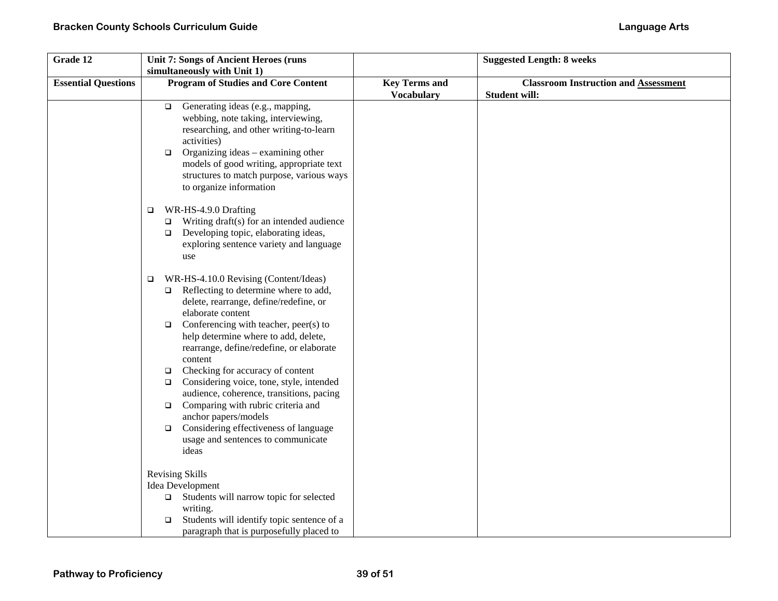| Grade 12                   | <b>Unit 7: Songs of Ancient Heroes (runs</b>                                           |                      | <b>Suggested Length: 8 weeks</b>            |
|----------------------------|----------------------------------------------------------------------------------------|----------------------|---------------------------------------------|
|                            | simultaneously with Unit 1)                                                            |                      |                                             |
| <b>Essential Questions</b> | <b>Program of Studies and Core Content</b>                                             | <b>Key Terms and</b> | <b>Classroom Instruction and Assessment</b> |
|                            |                                                                                        | <b>Vocabulary</b>    | <b>Student will:</b>                        |
|                            | Generating ideas (e.g., mapping,<br>$\Box$                                             |                      |                                             |
|                            | webbing, note taking, interviewing,                                                    |                      |                                             |
|                            | researching, and other writing-to-learn                                                |                      |                                             |
|                            | activities)                                                                            |                      |                                             |
|                            | Organizing ideas - examining other<br>$\Box$                                           |                      |                                             |
|                            | models of good writing, appropriate text                                               |                      |                                             |
|                            | structures to match purpose, various ways                                              |                      |                                             |
|                            | to organize information                                                                |                      |                                             |
|                            | WR-HS-4.9.0 Drafting<br>$\Box$                                                         |                      |                                             |
|                            | Writing draft(s) for an intended audience<br>$\Box$                                    |                      |                                             |
|                            | Developing topic, elaborating ideas,<br>$\Box$                                         |                      |                                             |
|                            | exploring sentence variety and language                                                |                      |                                             |
|                            | use                                                                                    |                      |                                             |
|                            | WR-HS-4.10.0 Revising (Content/Ideas)<br>$\Box$                                        |                      |                                             |
|                            | Reflecting to determine where to add,<br>$\Box$                                        |                      |                                             |
|                            | delete, rearrange, define/redefine, or                                                 |                      |                                             |
|                            | elaborate content                                                                      |                      |                                             |
|                            | Conferencing with teacher, peer(s) to<br>$\Box$                                        |                      |                                             |
|                            | help determine where to add, delete,                                                   |                      |                                             |
|                            | rearrange, define/redefine, or elaborate                                               |                      |                                             |
|                            | content                                                                                |                      |                                             |
|                            | Checking for accuracy of content<br>$\Box$<br>Considering voice, tone, style, intended |                      |                                             |
|                            | $\Box$<br>audience, coherence, transitions, pacing                                     |                      |                                             |
|                            | Comparing with rubric criteria and<br>$\Box$                                           |                      |                                             |
|                            | anchor papers/models                                                                   |                      |                                             |
|                            | Considering effectiveness of language<br>$\Box$                                        |                      |                                             |
|                            | usage and sentences to communicate                                                     |                      |                                             |
|                            | ideas                                                                                  |                      |                                             |
|                            | Revising Skills                                                                        |                      |                                             |
|                            | Idea Development                                                                       |                      |                                             |
|                            | $\Box$ Students will narrow topic for selected                                         |                      |                                             |
|                            | writing.                                                                               |                      |                                             |
|                            | Students will identify topic sentence of a<br>$\Box$                                   |                      |                                             |
|                            | paragraph that is purposefully placed to                                               |                      |                                             |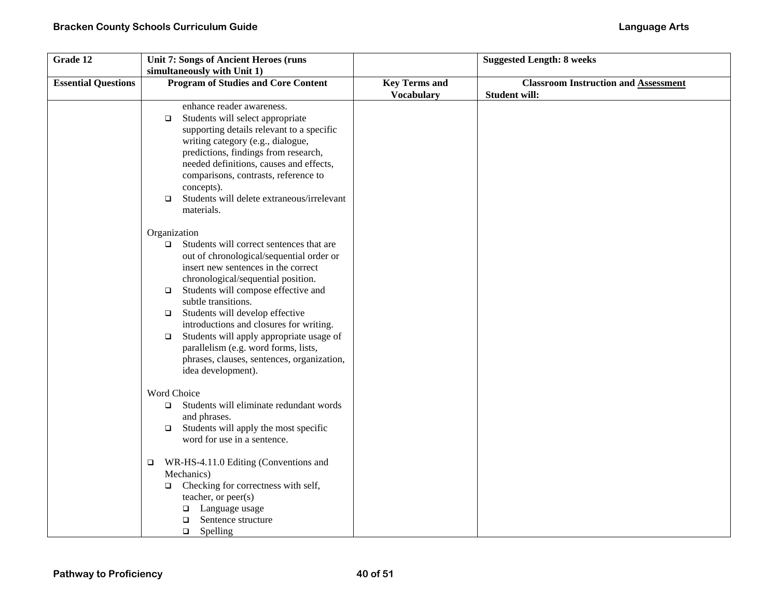| Grade 12                   | <b>Unit 7: Songs of Ancient Heroes (runs</b>         |                      | <b>Suggested Length: 8 weeks</b>            |
|----------------------------|------------------------------------------------------|----------------------|---------------------------------------------|
|                            | simultaneously with Unit 1)                          |                      |                                             |
| <b>Essential Questions</b> | <b>Program of Studies and Core Content</b>           | <b>Key Terms and</b> | <b>Classroom Instruction and Assessment</b> |
|                            |                                                      | <b>Vocabulary</b>    | <b>Student will:</b>                        |
|                            | enhance reader awareness.                            |                      |                                             |
|                            | Students will select appropriate<br>$\Box$           |                      |                                             |
|                            | supporting details relevant to a specific            |                      |                                             |
|                            | writing category (e.g., dialogue,                    |                      |                                             |
|                            | predictions, findings from research,                 |                      |                                             |
|                            | needed definitions, causes and effects,              |                      |                                             |
|                            | comparisons, contrasts, reference to                 |                      |                                             |
|                            | concepts).                                           |                      |                                             |
|                            | Students will delete extraneous/irrelevant<br>$\Box$ |                      |                                             |
|                            | materials.                                           |                      |                                             |
|                            | Organization                                         |                      |                                             |
|                            | Students will correct sentences that are<br>$\Box$   |                      |                                             |
|                            | out of chronological/sequential order or             |                      |                                             |
|                            | insert new sentences in the correct                  |                      |                                             |
|                            | chronological/sequential position.                   |                      |                                             |
|                            | Students will compose effective and<br>$\Box$        |                      |                                             |
|                            | subtle transitions.                                  |                      |                                             |
|                            | Students will develop effective<br>$\Box$            |                      |                                             |
|                            | introductions and closures for writing.              |                      |                                             |
|                            | Students will apply appropriate usage of<br>$\Box$   |                      |                                             |
|                            | parallelism (e.g. word forms, lists,                 |                      |                                             |
|                            | phrases, clauses, sentences, organization,           |                      |                                             |
|                            | idea development).                                   |                      |                                             |
|                            | Word Choice                                          |                      |                                             |
|                            | Students will eliminate redundant words<br>$\Box$    |                      |                                             |
|                            | and phrases.                                         |                      |                                             |
|                            | Students will apply the most specific<br>$\Box$      |                      |                                             |
|                            | word for use in a sentence.                          |                      |                                             |
|                            | WR-HS-4.11.0 Editing (Conventions and<br>$\Box$      |                      |                                             |
|                            | Mechanics)                                           |                      |                                             |
|                            | Checking for correctness with self,<br>$\Box$        |                      |                                             |
|                            | teacher, or peer(s)                                  |                      |                                             |
|                            | Language usage<br>❏                                  |                      |                                             |
|                            | Sentence structure<br>□                              |                      |                                             |
|                            | Spelling<br>$\Box$                                   |                      |                                             |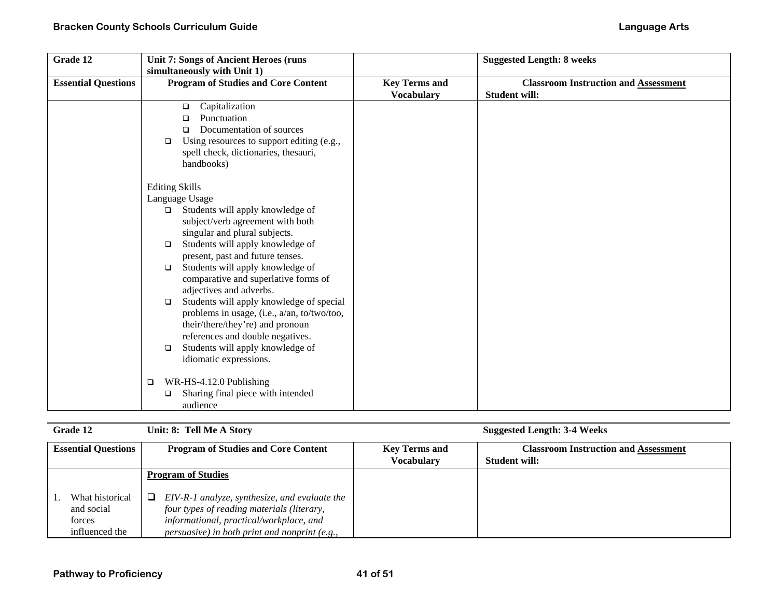| Grade 12                   | <b>Unit 7: Songs of Ancient Heroes (runs)</b><br>simultaneously with Unit 1)                                                                                                                                                                                                                                                                                                                                                                                                                                                     |                                           | <b>Suggested Length: 8 weeks</b>                                    |
|----------------------------|----------------------------------------------------------------------------------------------------------------------------------------------------------------------------------------------------------------------------------------------------------------------------------------------------------------------------------------------------------------------------------------------------------------------------------------------------------------------------------------------------------------------------------|-------------------------------------------|---------------------------------------------------------------------|
| <b>Essential Questions</b> | <b>Program of Studies and Core Content</b>                                                                                                                                                                                                                                                                                                                                                                                                                                                                                       | <b>Key Terms and</b><br><b>Vocabulary</b> | <b>Classroom Instruction and Assessment</b><br><b>Student will:</b> |
|                            | Capitalization<br>o.<br>Punctuation<br>◻<br>Documentation of sources<br>◻<br>Using resources to support editing (e.g.,<br>$\Box$<br>spell check, dictionaries, thesauri,<br>handbooks)                                                                                                                                                                                                                                                                                                                                           |                                           |                                                                     |
|                            | <b>Editing Skills</b><br>Language Usage<br>Students will apply knowledge of<br>□<br>subject/verb agreement with both<br>singular and plural subjects.<br>Students will apply knowledge of<br>□<br>present, past and future tenses.<br>Students will apply knowledge of<br>$\Box$<br>comparative and superlative forms of<br>adjectives and adverbs.<br>Students will apply knowledge of special<br>$\Box$<br>problems in usage, (i.e., a/an, to/two/too,<br>their/there/they're) and pronoun<br>references and double negatives. |                                           |                                                                     |
|                            | Students will apply knowledge of<br>$\Box$<br>idiomatic expressions.<br>WR-HS-4.12.0 Publishing<br>❏<br>Sharing final piece with intended<br>□<br>audience                                                                                                                                                                                                                                                                                                                                                                       |                                           |                                                                     |

| <b>Grade 12</b>                                           | Unit: 8: Tell Me A Story                                                                                                                                                                        |                                           | <b>Suggested Length: 3-4 Weeks</b>                                  |
|-----------------------------------------------------------|-------------------------------------------------------------------------------------------------------------------------------------------------------------------------------------------------|-------------------------------------------|---------------------------------------------------------------------|
| <b>Essential Questions</b>                                | <b>Program of Studies and Core Content</b>                                                                                                                                                      | <b>Key Terms and</b><br><b>Vocabulary</b> | <b>Classroom Instruction and Assessment</b><br><b>Student will:</b> |
|                                                           | <b>Program of Studies</b>                                                                                                                                                                       |                                           |                                                                     |
| What historical<br>and social<br>forces<br>influenced the | EIV-R-1 analyze, synthesize, and evaluate the<br>⊔<br>four types of reading materials (literary,<br>informational, practical/workplace, and<br>$persuasive$ ) in both print and nonprint (e.g., |                                           |                                                                     |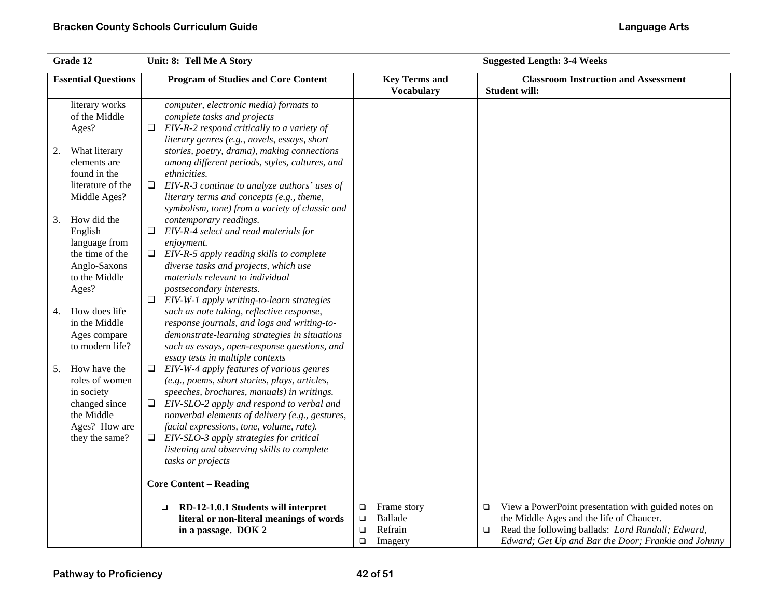| Grade 12                                                                                                             | Unit: 8: Tell Me A Story                                                                                                                                                                                                                                                                                                                                                                                                                                | <b>Suggested Length: 3-4 Weeks</b>                                              |                                                                                                                                                                                                                                 |  |  |
|----------------------------------------------------------------------------------------------------------------------|---------------------------------------------------------------------------------------------------------------------------------------------------------------------------------------------------------------------------------------------------------------------------------------------------------------------------------------------------------------------------------------------------------------------------------------------------------|---------------------------------------------------------------------------------|---------------------------------------------------------------------------------------------------------------------------------------------------------------------------------------------------------------------------------|--|--|
| <b>Essential Questions</b>                                                                                           | <b>Program of Studies and Core Content</b>                                                                                                                                                                                                                                                                                                                                                                                                              | <b>Key Terms and</b><br><b>Vocabulary</b>                                       | <b>Classroom Instruction and Assessment</b><br><b>Student will:</b>                                                                                                                                                             |  |  |
| literary works<br>of the Middle<br>Ages?                                                                             | computer, electronic media) formats to<br>complete tasks and projects<br>EIV-R-2 respond critically to a variety of<br>0<br>literary genres (e.g., novels, essays, short                                                                                                                                                                                                                                                                                |                                                                                 |                                                                                                                                                                                                                                 |  |  |
| What literary<br>2.<br>elements are<br>found in the<br>literature of the                                             | stories, poetry, drama), making connections<br>among different periods, styles, cultures, and<br>ethnicities.<br>EIV-R-3 continue to analyze authors' uses of<br>❏                                                                                                                                                                                                                                                                                      |                                                                                 |                                                                                                                                                                                                                                 |  |  |
| Middle Ages?<br>How did the<br>3.<br>English                                                                         | literary terms and concepts (e.g., theme,<br>symbolism, tone) from a variety of classic and<br>contemporary readings.<br>EIV-R-4 select and read materials for<br>⊔                                                                                                                                                                                                                                                                                     |                                                                                 |                                                                                                                                                                                                                                 |  |  |
| language from<br>the time of the<br>Anglo-Saxons<br>to the Middle<br>Ages?                                           | enjoyment.<br>$\Box$ EIV-R-5 apply reading skills to complete<br>diverse tasks and projects, which use<br>materials relevant to individual<br>postsecondary interests.                                                                                                                                                                                                                                                                                  |                                                                                 |                                                                                                                                                                                                                                 |  |  |
| How does life<br>4.<br>in the Middle<br>Ages compare<br>to modern life?                                              | EIV-W-1 apply writing-to-learn strategies<br>Q.<br>such as note taking, reflective response,<br>response journals, and logs and writing-to-<br>demonstrate-learning strategies in situations<br>such as essays, open-response questions, and                                                                                                                                                                                                            |                                                                                 |                                                                                                                                                                                                                                 |  |  |
| How have the<br>5.<br>roles of women<br>in society<br>changed since<br>the Middle<br>Ages? How are<br>they the same? | essay tests in multiple contexts<br>EIV-W-4 apply features of various genres<br>⊔<br>(e.g., poems, short stories, plays, articles,<br>speeches, brochures, manuals) in writings.<br>EIV-SLO-2 apply and respond to verbal and<br>Q.<br>nonverbal elements of delivery (e.g., gestures,<br>facial expressions, tone, volume, rate).<br>$\Box$ EIV-SLO-3 apply strategies for critical<br>listening and observing skills to complete<br>tasks or projects |                                                                                 |                                                                                                                                                                                                                                 |  |  |
|                                                                                                                      | <b>Core Content - Reading</b>                                                                                                                                                                                                                                                                                                                                                                                                                           |                                                                                 |                                                                                                                                                                                                                                 |  |  |
|                                                                                                                      | RD-12-1.0.1 Students will interpret<br>$\Box$<br>literal or non-literal meanings of words<br>in a passage. DOK 2                                                                                                                                                                                                                                                                                                                                        | Frame story<br>Ч<br>Ballade<br>$\Box$<br>Refrain<br>$\Box$<br>$\Box$<br>Imagery | View a PowerPoint presentation with guided notes on<br>$\Box$<br>the Middle Ages and the life of Chaucer.<br>Read the following ballads: Lord Randall; Edward,<br>$\Box$<br>Edward; Get Up and Bar the Door; Frankie and Johnny |  |  |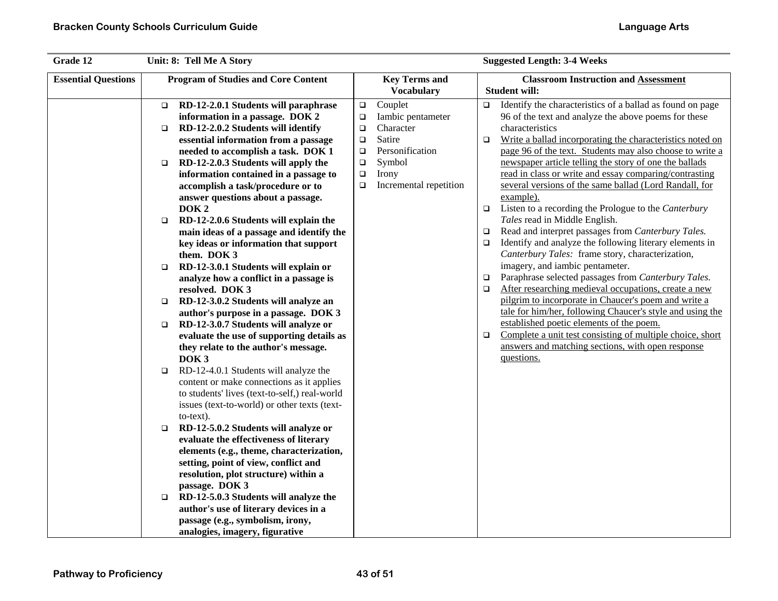| Grade 12                   | Unit: 8: Tell Me A Story                   |                                                                                   |        | <b>Suggested Length: 3-4 Weeks</b> |        |                                                                   |
|----------------------------|--------------------------------------------|-----------------------------------------------------------------------------------|--------|------------------------------------|--------|-------------------------------------------------------------------|
| <b>Essential Questions</b> | <b>Program of Studies and Core Content</b> |                                                                                   |        | <b>Key Terms and</b>               |        | <b>Classroom Instruction and Assessment</b>                       |
|                            |                                            |                                                                                   |        | <b>Vocabulary</b>                  |        | <b>Student will:</b>                                              |
|                            | $\Box$                                     | RD-12-2.0.1 Students will paraphrase                                              | $\Box$ | Couplet                            | $\Box$ | Identify the characteristics of a ballad as found on page         |
|                            |                                            | information in a passage. DOK 2                                                   | $\Box$ | Iambic pentameter                  |        | 96 of the text and analyze the above poems for these              |
|                            | $\Box$                                     | RD-12-2.0.2 Students will identify                                                | $\Box$ | Character                          |        | characteristics                                                   |
|                            |                                            | essential information from a passage                                              | $\Box$ | Satire                             | $\Box$ | Write a ballad incorporating the characteristics noted on         |
|                            |                                            | needed to accomplish a task. DOK 1                                                | $\Box$ | Personification                    |        | page 96 of the text. Students may also choose to write a          |
|                            | $\Box$                                     | RD-12-2.0.3 Students will apply the                                               | $\Box$ | Symbol                             |        | newspaper article telling the story of one the ballads            |
|                            |                                            | information contained in a passage to                                             | $\Box$ | Irony                              |        | read in class or write and essay comparing/contrasting            |
|                            |                                            | accomplish a task/procedure or to                                                 | $\Box$ | Incremental repetition             |        | several versions of the same ballad (Lord Randall, for            |
|                            |                                            | answer questions about a passage.                                                 |        |                                    | $\Box$ | example).<br>Listen to a recording the Prologue to the Canterbury |
|                            |                                            | DOK <sub>2</sub>                                                                  |        |                                    |        | Tales read in Middle English.                                     |
|                            | $\Box$                                     | RD-12-2.0.6 Students will explain the<br>main ideas of a passage and identify the |        |                                    | $\Box$ | Read and interpret passages from Canterbury Tales.                |
|                            |                                            | key ideas or information that support                                             |        |                                    | $\Box$ | Identify and analyze the following literary elements in           |
|                            |                                            | them. DOK 3                                                                       |        |                                    |        | Canterbury Tales: frame story, characterization,                  |
|                            | $\Box$                                     | RD-12-3.0.1 Students will explain or                                              |        |                                    |        | imagery, and iambic pentameter.                                   |
|                            |                                            | analyze how a conflict in a passage is                                            |        |                                    | $\Box$ | Paraphrase selected passages from Canterbury Tales.               |
|                            |                                            | resolved. DOK 3                                                                   |        |                                    | $\Box$ | After researching medieval occupations, create a new              |
|                            | $\Box$                                     | RD-12-3.0.2 Students will analyze an                                              |        |                                    |        | pilgrim to incorporate in Chaucer's poem and write a              |
|                            |                                            | author's purpose in a passage. DOK 3                                              |        |                                    |        | tale for him/her, following Chaucer's style and using the         |
|                            | $\Box$                                     | RD-12-3.0.7 Students will analyze or                                              |        |                                    |        | established poetic elements of the poem.                          |
|                            |                                            | evaluate the use of supporting details as                                         |        |                                    | $\Box$ | Complete a unit test consisting of multiple choice, short         |
|                            |                                            | they relate to the author's message.                                              |        |                                    |        | answers and matching sections, with open response                 |
|                            |                                            | DOK <sub>3</sub>                                                                  |        |                                    |        | questions.                                                        |
|                            | $\Box$                                     | RD-12-4.0.1 Students will analyze the                                             |        |                                    |        |                                                                   |
|                            |                                            | content or make connections as it applies                                         |        |                                    |        |                                                                   |
|                            |                                            | to students' lives (text-to-self,) real-world                                     |        |                                    |        |                                                                   |
|                            |                                            | issues (text-to-world) or other texts (text-                                      |        |                                    |        |                                                                   |
|                            |                                            | to-text).                                                                         |        |                                    |        |                                                                   |
|                            | $\Box$                                     | RD-12-5.0.2 Students will analyze or<br>evaluate the effectiveness of literary    |        |                                    |        |                                                                   |
|                            |                                            | elements (e.g., theme, characterization,                                          |        |                                    |        |                                                                   |
|                            |                                            | setting, point of view, conflict and                                              |        |                                    |        |                                                                   |
|                            |                                            | resolution, plot structure) within a                                              |        |                                    |        |                                                                   |
|                            |                                            | passage. DOK 3                                                                    |        |                                    |        |                                                                   |
|                            | $\Box$                                     | RD-12-5.0.3 Students will analyze the                                             |        |                                    |        |                                                                   |
|                            |                                            | author's use of literary devices in a                                             |        |                                    |        |                                                                   |
|                            |                                            | passage (e.g., symbolism, irony,                                                  |        |                                    |        |                                                                   |
|                            |                                            | analogies, imagery, figurative                                                    |        |                                    |        |                                                                   |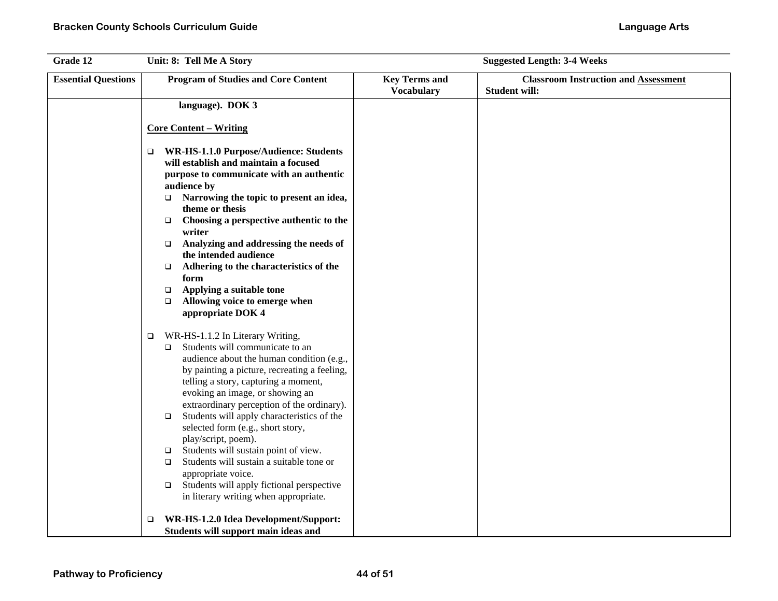| Grade 12                   | Unit: 8: Tell Me A Story                                                                                                                                                                                                                                                                                                                                                                                                                                                                                                                                                                                                                                        | <b>Suggested Length: 3-4 Weeks</b>        |                                                                     |  |
|----------------------------|-----------------------------------------------------------------------------------------------------------------------------------------------------------------------------------------------------------------------------------------------------------------------------------------------------------------------------------------------------------------------------------------------------------------------------------------------------------------------------------------------------------------------------------------------------------------------------------------------------------------------------------------------------------------|-------------------------------------------|---------------------------------------------------------------------|--|
| <b>Essential Questions</b> | <b>Program of Studies and Core Content</b>                                                                                                                                                                                                                                                                                                                                                                                                                                                                                                                                                                                                                      | <b>Key Terms and</b><br><b>Vocabulary</b> | <b>Classroom Instruction and Assessment</b><br><b>Student will:</b> |  |
|                            | language). DOK 3                                                                                                                                                                                                                                                                                                                                                                                                                                                                                                                                                                                                                                                |                                           |                                                                     |  |
|                            | <b>Core Content – Writing</b>                                                                                                                                                                                                                                                                                                                                                                                                                                                                                                                                                                                                                                   |                                           |                                                                     |  |
|                            | WR-HS-1.1.0 Purpose/Audience: Students<br>$\Box$<br>will establish and maintain a focused<br>purpose to communicate with an authentic<br>audience by<br>Narrowing the topic to present an idea,<br>$\Box$<br>theme or thesis<br>Choosing a perspective authentic to the<br>$\Box$<br>writer<br>Analyzing and addressing the needs of<br>$\Box$<br>the intended audience<br>Adhering to the characteristics of the<br>$\Box$<br>form<br>Applying a suitable tone<br>$\Box$                                                                                                                                                                                       |                                           |                                                                     |  |
|                            | Allowing voice to emerge when<br>$\Box$<br>appropriate DOK 4                                                                                                                                                                                                                                                                                                                                                                                                                                                                                                                                                                                                    |                                           |                                                                     |  |
|                            | WR-HS-1.1.2 In Literary Writing,<br>$\Box$<br>Students will communicate to an<br>$\Box$<br>audience about the human condition (e.g.,<br>by painting a picture, recreating a feeling,<br>telling a story, capturing a moment,<br>evoking an image, or showing an<br>extraordinary perception of the ordinary).<br>Students will apply characteristics of the<br>$\Box$<br>selected form (e.g., short story,<br>play/script, poem).<br>Students will sustain point of view.<br>$\Box$<br>Students will sustain a suitable tone or<br>$\Box$<br>appropriate voice.<br>Students will apply fictional perspective<br>$\Box$<br>in literary writing when appropriate. |                                           |                                                                     |  |
|                            | WR-HS-1.2.0 Idea Development/Support:<br>$\Box$<br>Students will support main ideas and                                                                                                                                                                                                                                                                                                                                                                                                                                                                                                                                                                         |                                           |                                                                     |  |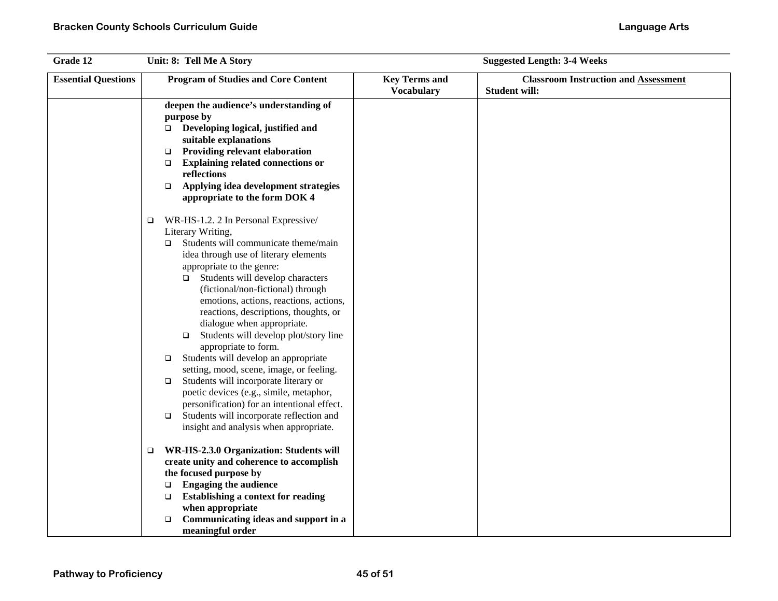| Grade 12                   |        | Unit: 8: Tell Me A Story                                                         |                                           | <b>Suggested Length: 3-4 Weeks</b>                                  |
|----------------------------|--------|----------------------------------------------------------------------------------|-------------------------------------------|---------------------------------------------------------------------|
| <b>Essential Questions</b> |        | <b>Program of Studies and Core Content</b>                                       | <b>Key Terms and</b><br><b>Vocabulary</b> | <b>Classroom Instruction and Assessment</b><br><b>Student will:</b> |
|                            |        | deepen the audience's understanding of<br>purpose by                             |                                           |                                                                     |
|                            |        | □ Developing logical, justified and                                              |                                           |                                                                     |
|                            |        | suitable explanations                                                            |                                           |                                                                     |
|                            | $\Box$ | <b>Providing relevant elaboration</b>                                            |                                           |                                                                     |
|                            | $\Box$ | <b>Explaining related connections or</b>                                         |                                           |                                                                     |
|                            | $\Box$ | reflections<br>Applying idea development strategies                              |                                           |                                                                     |
|                            |        | appropriate to the form DOK 4                                                    |                                           |                                                                     |
|                            | $\Box$ | WR-HS-1.2. 2 In Personal Expressive/                                             |                                           |                                                                     |
|                            |        | Literary Writing,                                                                |                                           |                                                                     |
|                            | $\Box$ | Students will communicate theme/main<br>idea through use of literary elements    |                                           |                                                                     |
|                            |        | appropriate to the genre:                                                        |                                           |                                                                     |
|                            |        | Students will develop characters<br>□                                            |                                           |                                                                     |
|                            |        | (fictional/non-fictional) through                                                |                                           |                                                                     |
|                            |        | emotions, actions, reactions, actions,                                           |                                           |                                                                     |
|                            |        | reactions, descriptions, thoughts, or                                            |                                           |                                                                     |
|                            |        | dialogue when appropriate.                                                       |                                           |                                                                     |
|                            |        | Students will develop plot/story line<br>□                                       |                                           |                                                                     |
|                            |        | appropriate to form.                                                             |                                           |                                                                     |
|                            | $\Box$ | Students will develop an appropriate<br>setting, mood, scene, image, or feeling. |                                           |                                                                     |
|                            | $\Box$ | Students will incorporate literary or                                            |                                           |                                                                     |
|                            |        | poetic devices (e.g., simile, metaphor,                                          |                                           |                                                                     |
|                            |        | personification) for an intentional effect.                                      |                                           |                                                                     |
|                            | $\Box$ | Students will incorporate reflection and                                         |                                           |                                                                     |
|                            |        | insight and analysis when appropriate.                                           |                                           |                                                                     |
|                            | $\Box$ | WR-HS-2.3.0 Organization: Students will                                          |                                           |                                                                     |
|                            |        | create unity and coherence to accomplish                                         |                                           |                                                                     |
|                            | $\Box$ | the focused purpose by<br><b>Engaging the audience</b>                           |                                           |                                                                     |
|                            | $\Box$ | <b>Establishing a context for reading</b>                                        |                                           |                                                                     |
|                            |        | when appropriate                                                                 |                                           |                                                                     |
|                            | □      | Communicating ideas and support in a                                             |                                           |                                                                     |
|                            |        | meaningful order                                                                 |                                           |                                                                     |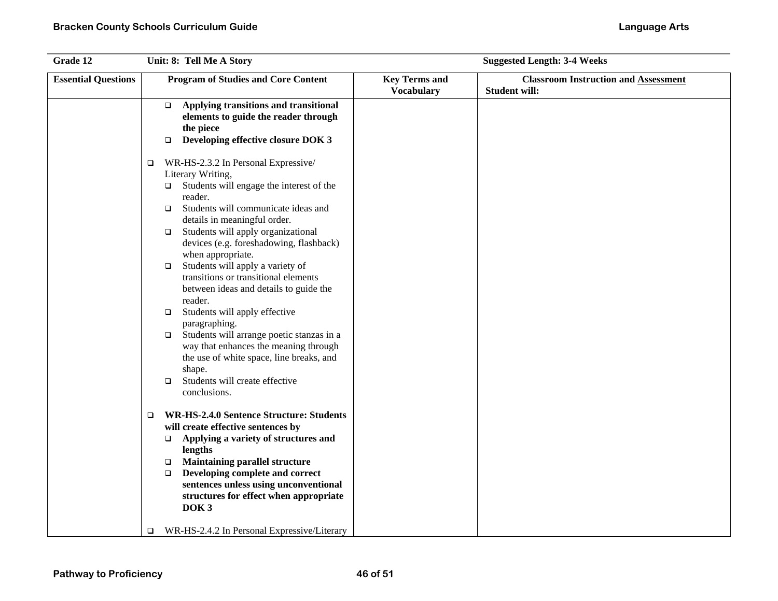| Grade 12                   | Unit: 8: Tell Me A Story                                                                                                                                                                                                                                                                                                                                                                                                                                                                                                                                                                                                     | <b>Suggested Length: 3-4 Weeks</b>        |                                                                     |  |
|----------------------------|------------------------------------------------------------------------------------------------------------------------------------------------------------------------------------------------------------------------------------------------------------------------------------------------------------------------------------------------------------------------------------------------------------------------------------------------------------------------------------------------------------------------------------------------------------------------------------------------------------------------------|-------------------------------------------|---------------------------------------------------------------------|--|
| <b>Essential Questions</b> | <b>Program of Studies and Core Content</b>                                                                                                                                                                                                                                                                                                                                                                                                                                                                                                                                                                                   | <b>Key Terms and</b><br><b>Vocabulary</b> | <b>Classroom Instruction and Assessment</b><br><b>Student will:</b> |  |
|                            | Applying transitions and transitional<br>$\Box$<br>elements to guide the reader through<br>the piece<br>Developing effective closure DOK 3<br>$\Box$<br>WR-HS-2.3.2 In Personal Expressive/<br>$\Box$<br>Literary Writing,<br>Students will engage the interest of the<br>$\Box$<br>reader.<br>Students will communicate ideas and<br>$\Box$<br>details in meaningful order.<br>Students will apply organizational<br>$\Box$<br>devices (e.g. foreshadowing, flashback)<br>when appropriate.<br>Students will apply a variety of<br>$\Box$<br>transitions or transitional elements<br>between ideas and details to guide the |                                           |                                                                     |  |
|                            | reader.<br>Students will apply effective<br>$\Box$<br>paragraphing.<br>Students will arrange poetic stanzas in a<br>$\Box$<br>way that enhances the meaning through<br>the use of white space, line breaks, and<br>shape.<br>Students will create effective<br>$\Box$<br>conclusions.                                                                                                                                                                                                                                                                                                                                        |                                           |                                                                     |  |
|                            | <b>WR-HS-2.4.0 Sentence Structure: Students</b><br>$\Box$<br>will create effective sentences by<br>Applying a variety of structures and<br>$\Box$<br>lengths<br><b>Maintaining parallel structure</b><br>$\Box$<br>Developing complete and correct<br>$\Box$<br>sentences unless using unconventional<br>structures for effect when appropriate<br>DOK <sub>3</sub><br>WR-HS-2.4.2 In Personal Expressive/Literary<br>$\Box$                                                                                                                                                                                                 |                                           |                                                                     |  |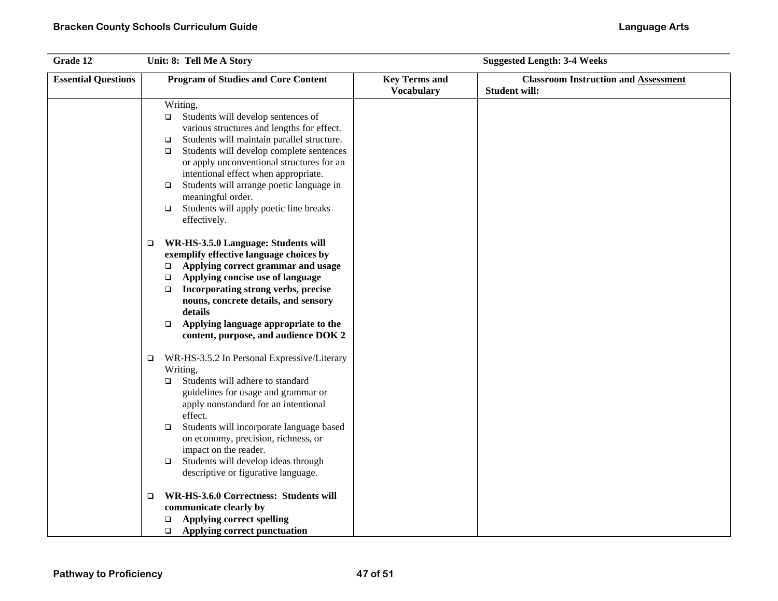| Grade 12                   | Unit: 8: Tell Me A Story                                                                                                                                                                                                                                                                                                                                                                                                                                 | <b>Suggested Length: 3-4 Weeks</b>        |                                                                     |  |
|----------------------------|----------------------------------------------------------------------------------------------------------------------------------------------------------------------------------------------------------------------------------------------------------------------------------------------------------------------------------------------------------------------------------------------------------------------------------------------------------|-------------------------------------------|---------------------------------------------------------------------|--|
| <b>Essential Questions</b> | <b>Program of Studies and Core Content</b>                                                                                                                                                                                                                                                                                                                                                                                                               | <b>Key Terms and</b><br><b>Vocabulary</b> | <b>Classroom Instruction and Assessment</b><br><b>Student will:</b> |  |
|                            | Writing,<br>Students will develop sentences of<br>$\Box$<br>various structures and lengths for effect.<br>Students will maintain parallel structure.<br>$\Box$<br>Students will develop complete sentences<br>$\Box$<br>or apply unconventional structures for an<br>intentional effect when appropriate.<br>Students will arrange poetic language in<br>$\Box$<br>meaningful order.<br>Students will apply poetic line breaks<br>$\Box$<br>effectively. |                                           |                                                                     |  |
|                            | WR-HS-3.5.0 Language: Students will<br>$\Box$<br>exemplify effective language choices by<br>Applying correct grammar and usage<br>$\Box$<br>Applying concise use of language<br>□<br>Incorporating strong verbs, precise<br>$\Box$<br>nouns, concrete details, and sensory<br>details<br>Applying language appropriate to the<br>$\Box$<br>content, purpose, and audience DOK 2                                                                          |                                           |                                                                     |  |
|                            | WR-HS-3.5.2 In Personal Expressive/Literary<br>$\Box$<br>Writing,<br>Students will adhere to standard<br>□<br>guidelines for usage and grammar or<br>apply nonstandard for an intentional<br>effect.<br>Students will incorporate language based<br>$\Box$<br>on economy, precision, richness, or<br>impact on the reader.<br>Students will develop ideas through<br>$\Box$<br>descriptive or figurative language.                                       |                                           |                                                                     |  |
|                            | WR-HS-3.6.0 Correctness: Students will<br>$\Box$<br>communicate clearly by<br><b>Applying correct spelling</b><br>$\Box$<br>$\Box$ Applying correct punctuation                                                                                                                                                                                                                                                                                          |                                           |                                                                     |  |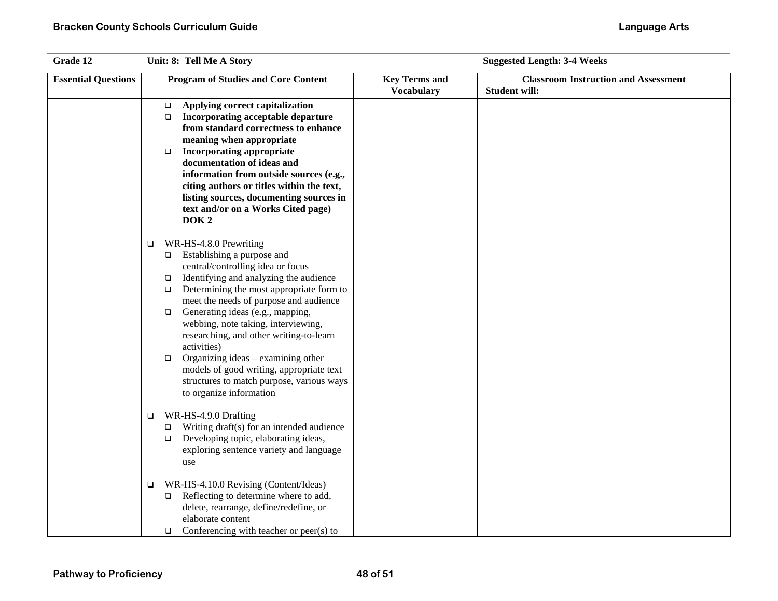| Grade 12                   | Unit: 8: Tell Me A Story                                                                                                                                                                                                                                                                                                                                                                                                                                                                                                                                                     |                                           | <b>Suggested Length: 3-4 Weeks</b>                                  |
|----------------------------|------------------------------------------------------------------------------------------------------------------------------------------------------------------------------------------------------------------------------------------------------------------------------------------------------------------------------------------------------------------------------------------------------------------------------------------------------------------------------------------------------------------------------------------------------------------------------|-------------------------------------------|---------------------------------------------------------------------|
| <b>Essential Questions</b> | <b>Program of Studies and Core Content</b>                                                                                                                                                                                                                                                                                                                                                                                                                                                                                                                                   | <b>Key Terms and</b><br><b>Vocabulary</b> | <b>Classroom Instruction and Assessment</b><br><b>Student will:</b> |
|                            | Applying correct capitalization<br>$\Box$<br>Incorporating acceptable departure<br>$\Box$<br>from standard correctness to enhance<br>meaning when appropriate<br><b>Incorporating appropriate</b><br>$\Box$<br>documentation of ideas and<br>information from outside sources (e.g.,<br>citing authors or titles within the text,<br>listing sources, documenting sources in<br>text and/or on a Works Cited page)<br>DOK <sub>2</sub>                                                                                                                                       |                                           |                                                                     |
|                            | WR-HS-4.8.0 Prewriting<br>$\Box$<br>□ Establishing a purpose and<br>central/controlling idea or focus<br>Identifying and analyzing the audience<br>$\Box$<br>Determining the most appropriate form to<br>$\Box$<br>meet the needs of purpose and audience<br>Generating ideas (e.g., mapping,<br>$\Box$<br>webbing, note taking, interviewing,<br>researching, and other writing-to-learn<br>activities)<br>Organizing ideas – examining other<br>$\Box$<br>models of good writing, appropriate text<br>structures to match purpose, various ways<br>to organize information |                                           |                                                                     |
|                            | WR-HS-4.9.0 Drafting<br>$\Box$<br>Writing draft(s) for an intended audience<br>$\Box$<br>Developing topic, elaborating ideas,<br>$\Box$<br>exploring sentence variety and language<br>use                                                                                                                                                                                                                                                                                                                                                                                    |                                           |                                                                     |
|                            | WR-HS-4.10.0 Revising (Content/Ideas)<br>$\Box$<br>Reflecting to determine where to add,<br>$\Box$<br>delete, rearrange, define/redefine, or<br>elaborate content<br>Conferencing with teacher or peer(s) to<br>$\Box$                                                                                                                                                                                                                                                                                                                                                       |                                           |                                                                     |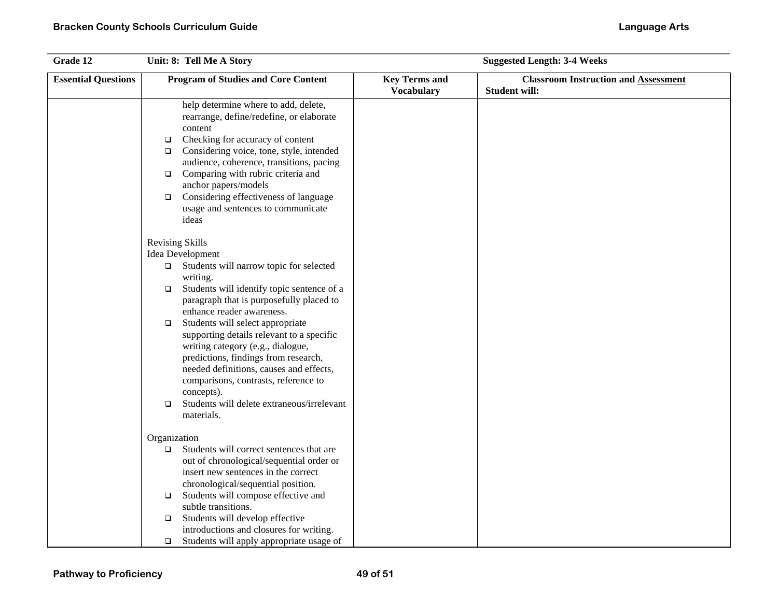| Grade 12                   | Unit: 8: Tell Me A Story                                                                                                                                                                                                                                                                                                                                                                                           | <b>Suggested Length: 3-4 Weeks</b>        |                                                                     |  |
|----------------------------|--------------------------------------------------------------------------------------------------------------------------------------------------------------------------------------------------------------------------------------------------------------------------------------------------------------------------------------------------------------------------------------------------------------------|-------------------------------------------|---------------------------------------------------------------------|--|
| <b>Essential Questions</b> | <b>Program of Studies and Core Content</b>                                                                                                                                                                                                                                                                                                                                                                         | <b>Key Terms and</b><br><b>Vocabulary</b> | <b>Classroom Instruction and Assessment</b><br><b>Student will:</b> |  |
|                            | help determine where to add, delete,<br>rearrange, define/redefine, or elaborate<br>content<br>Checking for accuracy of content<br>$\Box$<br>Considering voice, tone, style, intended<br>$\Box$<br>audience, coherence, transitions, pacing<br>$\Box$ Comparing with rubric criteria and<br>anchor papers/models<br>Considering effectiveness of language<br>$\Box$<br>usage and sentences to communicate<br>ideas |                                           |                                                                     |  |
|                            | <b>Revising Skills</b><br>Idea Development<br>$\Box$ Students will narrow topic for selected<br>writing.<br>Students will identify topic sentence of a<br>$\Box$<br>paragraph that is purposefully placed to<br>enhance reader awareness.                                                                                                                                                                          |                                           |                                                                     |  |
|                            | Students will select appropriate<br>$\Box$<br>supporting details relevant to a specific<br>writing category (e.g., dialogue,<br>predictions, findings from research,<br>needed definitions, causes and effects,<br>comparisons, contrasts, reference to<br>concepts).                                                                                                                                              |                                           |                                                                     |  |
|                            | Students will delete extraneous/irrelevant<br>$\Box$<br>materials.                                                                                                                                                                                                                                                                                                                                                 |                                           |                                                                     |  |
|                            | Organization<br>Students will correct sentences that are<br>□<br>out of chronological/sequential order or<br>insert new sentences in the correct<br>chronological/sequential position.<br>Students will compose effective and<br>$\Box$<br>subtle transitions.                                                                                                                                                     |                                           |                                                                     |  |
|                            | Students will develop effective<br>$\Box$<br>introductions and closures for writing.<br>Students will apply appropriate usage of<br>$\Box$                                                                                                                                                                                                                                                                         |                                           |                                                                     |  |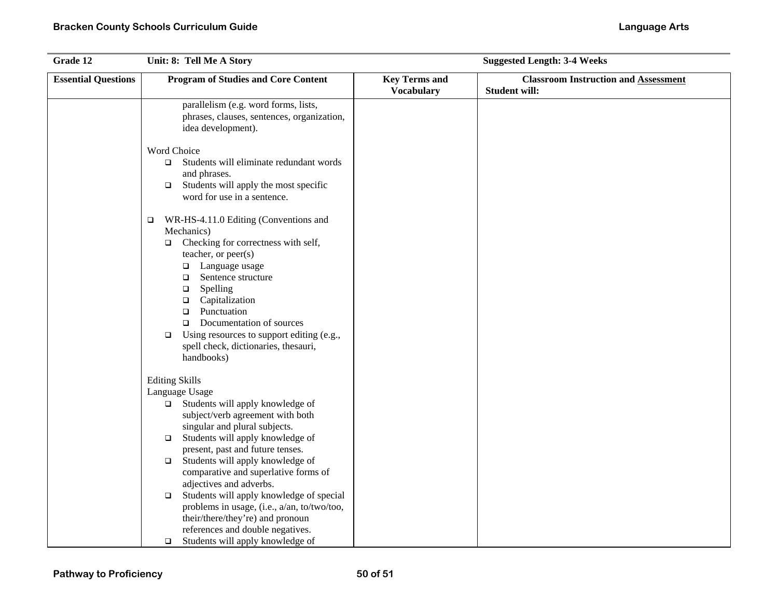| Grade 12                   | Unit: 8: Tell Me A Story                                                                                                                                                                                                                                                                                                                                                                                                        | <b>Suggested Length: 3-4 Weeks</b>        |                                                                     |  |
|----------------------------|---------------------------------------------------------------------------------------------------------------------------------------------------------------------------------------------------------------------------------------------------------------------------------------------------------------------------------------------------------------------------------------------------------------------------------|-------------------------------------------|---------------------------------------------------------------------|--|
| <b>Essential Questions</b> | <b>Program of Studies and Core Content</b>                                                                                                                                                                                                                                                                                                                                                                                      | <b>Key Terms and</b><br><b>Vocabulary</b> | <b>Classroom Instruction and Assessment</b><br><b>Student will:</b> |  |
|                            | parallelism (e.g. word forms, lists,<br>phrases, clauses, sentences, organization,<br>idea development).                                                                                                                                                                                                                                                                                                                        |                                           |                                                                     |  |
|                            | Word Choice<br>$\Box$ Students will eliminate redundant words<br>and phrases.<br>Students will apply the most specific<br>$\Box$<br>word for use in a sentence.                                                                                                                                                                                                                                                                 |                                           |                                                                     |  |
|                            | WR-HS-4.11.0 Editing (Conventions and<br>$\Box$<br>Mechanics)<br>Checking for correctness with self,<br>$\Box$<br>teacher, or peer(s)<br>Language usage<br>$\Box$<br>Sentence structure<br>$\Box$<br>Spelling<br>$\Box$<br>Capitalization<br>$\Box$<br>Punctuation<br>$\Box$<br>Documentation of sources<br>$\Box$<br>Using resources to support editing (e.g.,<br>$\Box$<br>spell check, dictionaries, thesauri,<br>handbooks) |                                           |                                                                     |  |
|                            | <b>Editing Skills</b><br>Language Usage<br>$\Box$ Students will apply knowledge of<br>subject/verb agreement with both<br>singular and plural subjects.<br>$\Box$ Students will apply knowledge of<br>present, past and future tenses.<br>$\Box$ Students will apply knowledge of<br>comparative and superlative forms of                                                                                                       |                                           |                                                                     |  |
|                            | adjectives and adverbs.<br>Students will apply knowledge of special<br>$\Box$<br>problems in usage, (i.e., a/an, to/two/too,<br>their/there/they're) and pronoun<br>references and double negatives.<br>Students will apply knowledge of<br>$\Box$                                                                                                                                                                              |                                           |                                                                     |  |